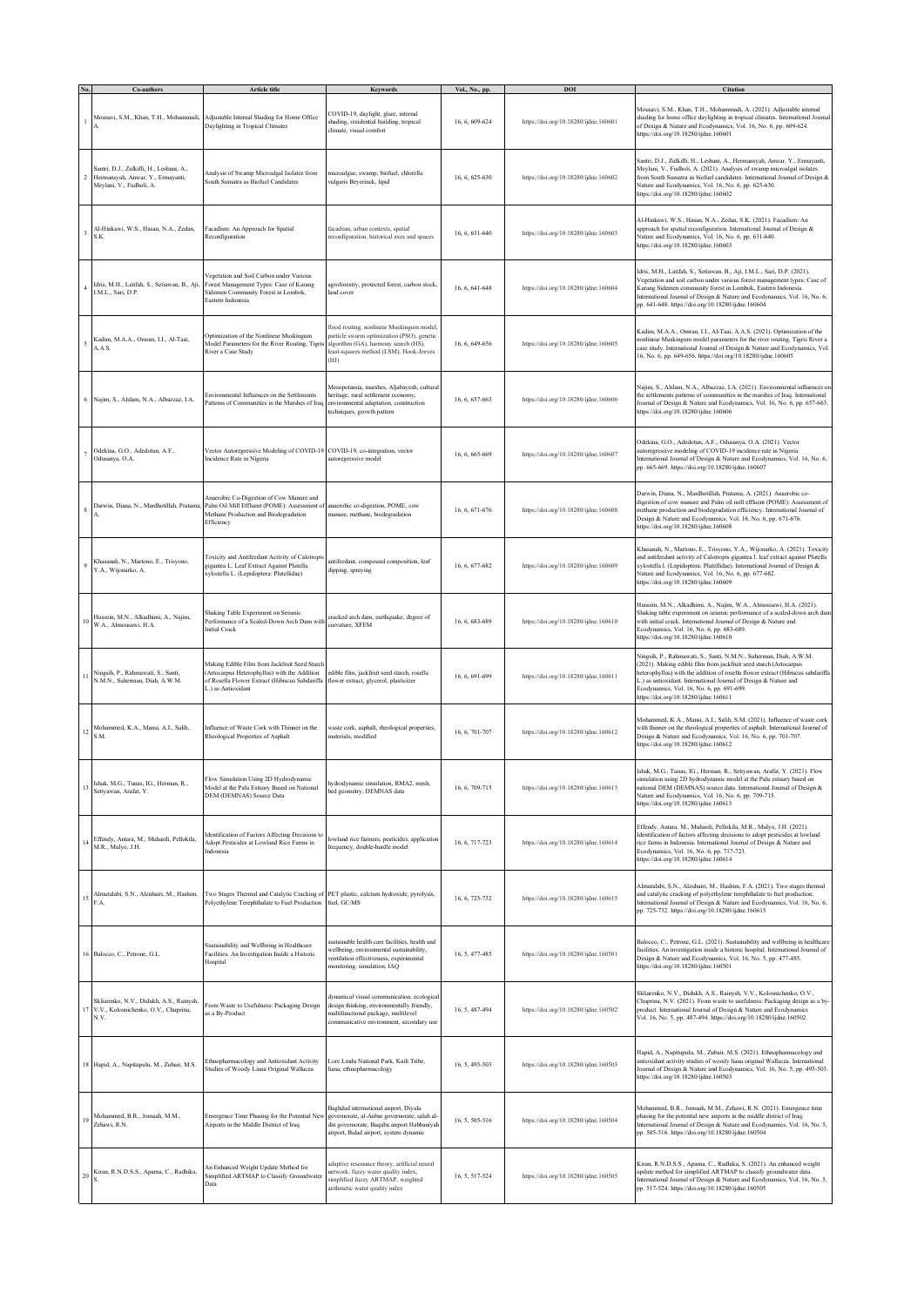|                | Co-authors                                                                                                | Article title                                                                                                                                                         | Keyword:                                                                                                                                                                           | Vol., No., pp. | <b>DO</b>                             | Citation                                                                                                                                                                                                                                                                                                                                                                          |
|----------------|-----------------------------------------------------------------------------------------------------------|-----------------------------------------------------------------------------------------------------------------------------------------------------------------------|------------------------------------------------------------------------------------------------------------------------------------------------------------------------------------|----------------|---------------------------------------|-----------------------------------------------------------------------------------------------------------------------------------------------------------------------------------------------------------------------------------------------------------------------------------------------------------------------------------------------------------------------------------|
|                | Mousavi, S.M., Khan, T.H., Mohammadi,                                                                     | Adjustable Internal Shading for Home Office<br>Daylighting in Tropical Climates                                                                                       | COVID-19, daylight, glare, internal<br>shading, residential building, tropical<br>climate, visual comfort                                                                          | 16, 6, 609-624 | https://doi.org/10.18280/ijdne.160601 | Mousavi, S.M., Khan, T.H., Mohammadi, A. (2021). Adjustable internal<br>shading for home office daylighting in tropical climates. International Journal<br>of Design & Nature and Ecodynamics, Vol. 16, No. 6, pp. 609-624.<br>https://doi.org/10.18280/ijdne.160601                                                                                                              |
| $\overline{2}$ | šantri, D.J., Zulkifli, H., Lesbani, A.,<br>Hermansyah, Anwar, Y., Ermayanti,<br>Meylani, V., Fudholi, A. | Analysis of Swamp Microalgal Isolates from<br>South Sumatra as Biofuel Candidates                                                                                     | microalgae, swamp, biofuel, chlorella<br>algaris Beyerinck, lipid                                                                                                                  | 16, 6, 625-630 | https://doi.org/10.18280/ijdne.160602 | Santri, D.J., Zulkifli, H., Lesbani, A., Hermansyah, Anwar, Y., Ermayanti,<br>Meylani, V., Fudholi, A. (2021). Analysis of swamp microalgal isolates<br>from South Sumatra as biofuel candidates. International Journal of Design &<br>Nature and Ecodynamics, Vol. 16, No. 6, pp. 625-630.<br>https://doi.org/10.18280/ijdne.160602                                              |
|                | Al-Hinkawi, W.S., Hasan, N.A., Zedan,<br>S.K.                                                             | Facadism: An Approach for Spatial<br>Reconfiguration                                                                                                                  | àcadism, urban contexts, spatial<br>econfiguration, historical axes and spaces                                                                                                     | 16, 6, 631-640 | https://doi.org/10.18280/ijdne.160603 | Al-Hinkawi, W.S., Hasan, N.A., Zedan, S.K. (2021). Facadism: An<br>approach for spatial reconfiguration. International Journal of Design &<br>Nature and Ecodynamics, Vol. 16, No. 6, pp. 631-640.<br>https://doi.org/10.18280/ijdne.160603                                                                                                                                       |
|                | Idris, M.H., Latifah, S., Setiawan, B., Aji,<br>I.M.L., Sari, D.P.                                        | Vegetation and Soil Carbon under Various<br>Forest Management Types: Case of Karang<br>Sidemen Community Forest in Lombok,<br>Eastern Indonesia                       | agroforestry, protected forest, carbon stock,<br>land cover                                                                                                                        | 16, 6, 641-648 | https://doi.org/10.18280/ijdne.160604 | Idris, M.H., Latifah, S., Setiawan, B., Aji, I.M.L., Sari, D.P. (2021).<br>/egetation and soil carbon under various forest management types: Case of<br>Karang Sidemen community forest in Lombok, Eastern Indonesia.<br>International Journal of Design & Nature and Ecodynamics, Vol. 16, No. 6,<br>pp. 641-648. https://doi.org/10.18280/ijdne.160604                          |
|                | Kadim, M.A.A., Omran, I.I., Al-Taai,<br>A.A.S.                                                            | Optimization of the Nonlinear Muskingum<br>Model Parameters for the River Routing, Tigris<br>River a Case Study                                                       | flood routing, nonlinear Muskingum model.<br>particle swarm optimization (PSO), genetic<br>algorithm (GA), harmony search (HS),<br>least-squares method (LSM), Hook-Jeeves<br>(HJ) | 16, 6, 649-656 | https://doi.org/10.18280/ijdne.160605 | Kadim, M.A.A., Omran, I.I., Al-Taai, A.A.S. (2021). Optimization of the<br>nonlinear Muskingum model parameters for the river routing, Tigris River a<br>case study. International Journal of Design & Nature and Ecodynamics, Vol.<br>16, No. 6, pp. 649-656. https://doi.org/10.18280/ijdne.160605                                                                              |
|                | Najim, S., Alslam, N.A., Albazzaz, I.A.                                                                   | Environmental Influences on the Settlements<br>Patterns of Communities in the Marshes of Iraq                                                                         | Mesopotamia, marshes, Aljabayesh, cultural<br>heritage, rural settlement economy,<br>environmental adaptation, construction<br>techniques, growth pattern                          | 16, 6, 657-663 | https://doi.org/10.18280/ijdne.160606 | Najim, S., Alslam, N.A., Albazzaz, I.A. (2021). Environmental influences or<br>the settlements patterns of communities in the marshes of Iraq. International<br>Journal of Design & Nature and Ecodynamics, Vol. 16, No. 6, pp. 657-663.<br>https://doi.org/10.18280/ijdne.160606                                                                                                 |
|                | Odekina, G.O., Adedotun, A.F.,<br>Odusanya, O.A.                                                          | Vector Autoregressive Modeling of COVID-19 COVID-19, co-integration, vector<br>Incidence Rate in Nigeria                                                              | utoregressive model                                                                                                                                                                | 16, 6, 665-669 | https://doi.org/10.18280/ijdne.160607 | Odekina, G.O., Adedotun, A.F., Odusanya, O.A. (2021). Vector<br>autoregressive modeling of COVID-19 incidence rate in Nigeria.<br>International Journal of Design & Nature and Ecodynamics, Vol. 16, No. 6,<br>pp. 665-669. https://doi.org/10.18280/ijdne.160607                                                                                                                 |
| 8              | Darwin, Diana, N., Mardhotillah, Pratama                                                                  | Anaerobic Co-Digestion of Cow Manure and<br>Palm Oil Mill Effluent (POME): Assessment of<br>Methane Production and Biodegradation<br>Efficiency                       | anaerobic co-digestion, POME, cow<br>manure, methane, biodegradation                                                                                                               | 16, 6, 671-676 | https://doi.org/10.18280/ijdne.160608 | Darwin, Diana, N., Mardhotillah, Pratama, A. (2021). Anaerobic co-<br>digestion of cow manure and Palm oil mill effluent (POME): Assessment of<br>methane production and biodegradation efficiency. International Journal of<br>Design & Nature and Ecodynamics, Vol. 16, No. 6, pp. 671-676.<br>attps://doi.org/10.18280/ijdne.160608                                            |
|                | Khasanah, N., Martono, E., Trisyono,<br>Y.A., Wijonarko, A.                                               | Toxicity and Antifeedant Activity of Calotropis<br>gigantea L. Leaf Extract Against Plutella<br>xylostella L. (Lepidoptera: Plutellidae)                              | antifeedant, compound composition, leaf<br>dipping, spraying                                                                                                                       | 16, 6, 677-682 | https://doi.org/10.18280/ijdne.160609 | Khasanah, N., Martono, E., Trisyono, Y.A., Wijonarko, A. (2021). Toxicity<br>and antifeedant activity of Calotropis gigantea l. leaf extract against Plutella<br>xylostella I. (Lepidoptera: Plutellidae). International Journal of Design &<br>Nature and Ecodynamics, Vol. 16, No. 6, pp. 677-682.<br>https://doi.org/10.18280/ijdne.160609                                     |
|                | Hussein, M.N., Alkadhimi, A., Najim,<br>W.A., Almousawi, H.A.                                             | Shaking Table Experiment on Seismic<br>Performance of a Scaled-Down Arch Dam with<br>nitial Crack                                                                     | cracked arch dam, earthquake, degree of<br>curvature, XFEM                                                                                                                         | 16, 6, 683-689 | https://doi.org/10.18280/ijdne.160610 | Hussein, M.N., Alkadhimi, A., Najim, W.A., Almousawi, H.A. (2021).<br>Shaking table experiment on seismic performance of a scaled-down arch dam<br>with initial crack. International Journal of Design & Nature and<br>Ecodynamics, Vol. 16, No. 6, pp. 683-689.<br>https://doi.org/10.18280/ijdne.160610                                                                         |
| 11             | Ningsih, P., Rahmawati, S., Santi,<br>N.M.N., Suherman, Diah, A.W.M.                                      | Making Edible Film from Jackfruit Seed Starch<br>(Artocarpus Heterophyllus) with the Addition<br>of Rosella Flower Extract (Hibiscus Sabdariffa<br>L.) as Antioxidant | edible film, jackfruit seed starch, rosella<br>flower extract, glycerol, plasticizer                                                                                               | 16, 6, 691-699 | https://doi.org/10.18280/ijdne.160611 | Vingsih, P., Rahmawati, S., Santi, N.M.N., Suherman, Diah, A.W.M.<br>(2021). Making edible film from jackfruit seed starch (Artocarpus<br>heterophyllus) with the addition of rosella flower extract (Hibiscus sabdariffa<br>) as antioxidant. International Journal of Design & Nature and<br>Ecodynamics, Vol. 16, No. 6, pp. 691-699.<br>https://doi.org/10.18280/ijdne.160611 |
| 12             | Mohammed, K.A., Mansi, A.I., Salih,<br>S.M.                                                               | Influence of Waste Cork with Thinner on the<br>Rheological Properties of Asphalt                                                                                      | vaste cork, asphalt, rheological properties,<br>naterials, modified                                                                                                                | 16, 6, 701-707 | https://doi.org/10.18280/ijdne.160612 | Mohammed, K.A., Mansi, A.I., Salih, S.M. (2021). Influence of waste cork<br>with thinner on the rheological properties of asphalt. International Journal of<br>Design & Nature and Ecodynamics, Vol. 16, No. 6, pp. 701-707.<br>https://doi.org/10.18280/ijdne.160612                                                                                                             |
| 13             | Ishak, M.G., Tunas, IG., Herman, R.,<br>Setiyawan, Arafat, Y.                                             | Flow Simulation Using 2D Hydrodynamic<br>Model at the Palu Estuary Based on National<br>DEM (DEMNAS) Source Data                                                      | hydrodynamic simulation, RMA2, mesh,<br>bed geometry, DEMNAS data                                                                                                                  | 16, 6, 709-715 | https://doi.org/10.18280/ijdne.160613 | Ishak, M.G., Tunas, IG., Herman, R., Setiyawan, Arafat, Y. (2021). Flow<br>simulation using 2D hydrodynamic model at the Palu estuary based on<br>national DEM (DEMNAS) source data. International Journal of Design &<br>Nature and Ecodynamics, Vol. 16, No. 6, pp. 709-715.<br>https://doi.org/10.18280/ijdne.160613                                                           |
| 14             | Effendy, Antara, M., Muhardi, Pellokila,<br>M.R., Mulyo, J.H.                                             | dentification of Factors Affecting Decisions to<br>Adopt Pesticides at Lowland Rice Farms in<br>Indonesia                                                             | lowland rice farmers, pesticides, application<br>frequency, double-hurdle model                                                                                                    | 16, 6, 717-723 | https://doi.org/10.18280/ijdne.160614 | Effendy, Antara, M., Muhardi, Pellokila, M.R., Mulyo, J.H. (2021).<br>Identification of factors affecting decisions to adopt pesticides at lowland<br>ice farms in Indonesia. International Journal of Design & Nature and<br>Ecodynamics, Vol. 16, No. 6, pp. 717-723.<br>https://doi.org/10.18280/ijdne.160614                                                                  |
|                | 15 Almutalabi, S.N., Alzuhairi, M., Hashim,<br>F.A.                                                       | Two Stages Thermal and Catalytic Cracking of PET plastic, calcium hydroxide, pyrolysis,<br>Polyethylene Terephthalate to Fuel Production fuel, GC/MS                  |                                                                                                                                                                                    | 16, 6, 725-732 | https://doi.org/10.18280/ijdne.160615 | Almutalabi, S.N., Alzuhairi, M., Hashim, F.A. (2021). Two stages thermal<br>and catalytic cracking of polyethylene terephthalate to fuel production.<br>International Journal of Design & Nature and Ecodynamics, Vol. 16, No. 6,<br>pp. 725-732. https://doi.org/10.18280/ijdne.160615                                                                                           |
|                | 16 Balocco, C., Petrone, G.L.                                                                             | Sustainability and Wellbeing in Healthcare<br>Facilities. An Investigation Inside a Historic<br>Hospital                                                              | austainable health care facilities, health and<br>wellbeing, environmental sustainability,<br>ventilation effectiveness, experimental<br>nonitoring, simulation, IAQ               | 16, 5, 477-485 | https://doi.org/10.18280/ijdne.160501 | Balocco, C., Petrone, G.L. (2021). Sustainability and wellbeing in healthcare<br>facilities. An investigation inside a historic hospital. International Journal of<br>Design & Nature and Ecodynamics, Vol. 16, No. 5, pp. 477-485.<br>https://doi.org/10.18280/ijdne.160501                                                                                                      |
|                | Skliarenko, N.V., Didukh, A.S., Rainysh,<br>17 V.V., Kolosnichenko, O.V., Chuprina,<br>N.V.               | From Waste to Usefulness: Packaging Design<br>as a By-Product                                                                                                         | dynamical visual communication, ecological<br>design thinking, environmentally friendly,<br>multifunctional package, multilevel<br>communicative environment, secondary use        | 16, 5, 487-494 | https://doi.org/10.18280/ijdne.160502 | Skliarenko, N.V., Didukh, A.S., Rainysh, V.V., Kolosnichenko, O.V.,<br>Chuprina, N.V. (2021). From waste to usefulness: Packaging design as a by-<br>product. International Journal of Design & Nature and Ecodynamics<br>Vol. 16, No. 5, pp. 487-494. https://doi.org/10.18280/ijdne.160502                                                                                      |
|                | 18 Hapid, A., Napitupulu, M., Zubair, M.S.                                                                | Ethnopharmacology and Antioxidant Activity<br>Studies of Woody Liana Original Wallacea                                                                                | Lore Lindu National Park, Kaili Tribe.<br>liana, ethnopharmacology                                                                                                                 | 16, 5, 495-503 | https://doi.org/10.18280/ijdne.160503 | Hapid, A., Napitupulu, M., Zubair, M.S. (2021). Ethnopharmacology and<br>antioxidant activity studies of woody liana original Wallacea. International<br>lournal of Design & Nature and Ecodynamics, Vol. 16, No. 5, pp. 495-503.<br>https://doi.org/10.18280/ijdne.160503                                                                                                        |
| 19             | Mohammed, B.R., Jomaah, M.M.,<br>Zehawi, R.N.                                                             | Emergence Time Phasing for the Potential New<br>Airports in the Middle District of Iraq                                                                               | Baghdad international airport, Diyala<br>governorate, al-Anbar governorate, salah al-<br>din governorate, Baquba airport Habbaniyah<br>sirport, Balad airport, system dynamic      | 16, 5, 505-516 | https://doi.org/10.18280/ijdne.160504 | Mohammed, B.R., Jomaah, M.M., Zehawi, R.N. (2021). Emergence time<br>phasing for the potential new airports in the middle district of Iraq.<br>International Journal of Design & Nature and Ecodynamics, Vol. 16, No. 5,<br>pp. 505-516. https://doi.org/10.18280/ijdne.160504                                                                                                    |
| $20\,$         | Kiran, R.N.D.S.S., Aparna, C., Radhika,                                                                   | An Enhanced Weight Update Method for<br>Simplified ARTMAP to Classify Groundwater<br>Data                                                                             | daptive resonance theory, artificial neural<br>network, fuzzy water quality index,<br>simplified fuzzy ARTMAP, weighted<br>urithmetic water quality index                          | 16, 5, 517-524 | https://doi.org/10.18280/ijdne.160505 | Kiran, R.N.D.S.S., Aparna, C., Radhika, S. (2021). An enhanced weight<br>update method for simplified ARTMAP to classify groundwater data.<br>International Journal of Design & Nature and Ecodynamics, Vol. 16, No. 5,<br>pp. 517-524. https://doi.org/10.18280/ijdne.160505                                                                                                     |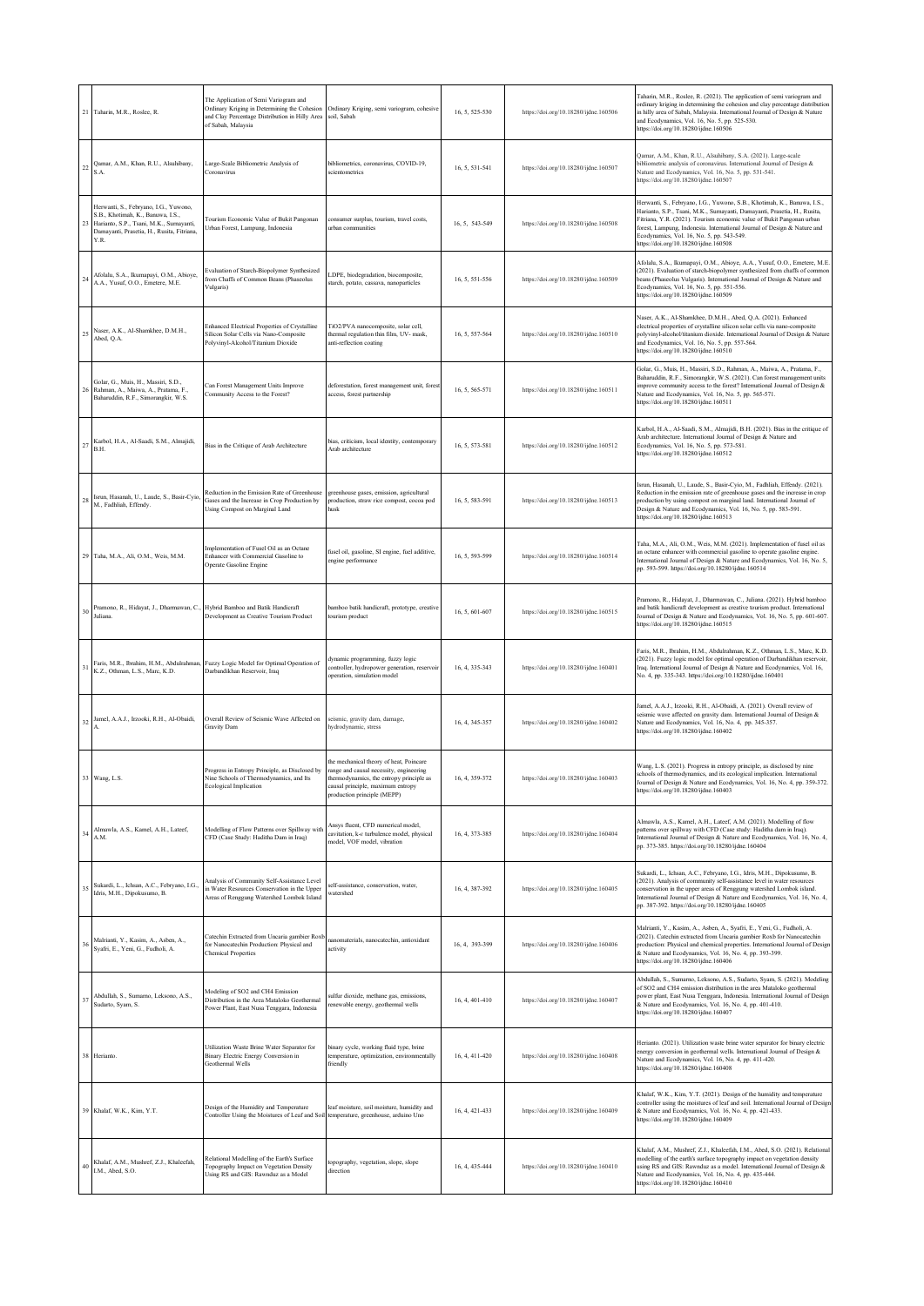| 21  | Taharin, M.R., Roslee, R.                                                                                                                                                    | The Application of Semi Variogram and<br>Ordinary Kriging in Determining the Cohesion<br>and Clay Percentage Distribution in Hilly Area<br>of Sabah, Malaysia | Ordinary Kriging, semi variogram, cohesive<br>soil, Sabah                                                                                                                                     | 16, 5, 525-530 | https://doi.org/10.18280/ijdne.160506 | Taharin, M.R., Roslee, R. (2021). The application of semi variogram and<br>ordinary kriging in determining the cohesion and clay percentage distribution<br>in hilly area of Sabah, Malaysia. International Journal of Design & Nature<br>and Ecodynamics, Vol. 16, No. 5, pp. 525-530.<br>https://doi.org/10.18280/ijdne.160506                                                                |
|-----|------------------------------------------------------------------------------------------------------------------------------------------------------------------------------|---------------------------------------------------------------------------------------------------------------------------------------------------------------|-----------------------------------------------------------------------------------------------------------------------------------------------------------------------------------------------|----------------|---------------------------------------|-------------------------------------------------------------------------------------------------------------------------------------------------------------------------------------------------------------------------------------------------------------------------------------------------------------------------------------------------------------------------------------------------|
| 22  | Qamar, A.M., Khan, R.U., Alsuhibany,<br>S.A.                                                                                                                                 | Large-Scale Bibliometric Analysis of<br>Coronavirus                                                                                                           | bibliometrics, coronavirus, COVID-19,<br>cientometrics                                                                                                                                        | 16, 5, 531-541 | https://doi.org/10.18280/ijdne.160507 | Qamar, A.M., Khan, R.U., Alsuhibany, S.A. (2021). Large-scale<br>bibliometric analysis of coronavirus. International Journal of Design &<br>Nature and Ecodynamics, Vol. 16, No. 5, pp. 531-541.<br>https://doi.org/10.18280/ijdne.160507                                                                                                                                                       |
|     | Herwanti, S., Febryano, I.G., Yuwono,<br>S.B., Khotimah, K., Banuwa, I.S.,<br>Harianto, S.P., Tsani, M.K., Surnayanti,<br>Damayanti, Prasetia, H., Rusita, Fitriana,<br>Y.R. | Tourism Economic Value of Bukit Pangonan<br>Urban Forest, Lampung, Indonesia                                                                                  | consumer surplus, tourism, travel costs,<br><b>urban</b> communities                                                                                                                          | 16, 5, 543-549 | https://doi.org/10.18280/ijdne.160508 | Herwanti, S., Febryano, I.G., Yuwono, S.B., Khotimah, K., Banuwa, I.S.,<br>Harianto, S.P., Tsani, M.K., Surnayanti, Damayanti, Prasetia, H., Rusita,<br>Fitriana, Y.R. (2021). Tourism economic value of Bukit Pangonan urban<br>forest, Lampung, Indonesia. International Journal of Design & Nature and<br>Ecodynamics, Vol. 16, No. 5, pp. 543-549.<br>https://doi.org/10.18280/ijdne.160508 |
|     | Afolalu, S.A., Ikumapayi, O.M., Abioye,<br>A.A., Yusuf, O.O., Emetere, M.E.                                                                                                  | Evaluation of Starch-Biopolymer Synthesized<br>from Chaffs of Common Beans (Phaseolus<br>Vulgaris)                                                            | LDPE, biodegradation, biocomposite,<br>starch, potato, cassava, nanoparticles                                                                                                                 | 16, 5, 551-556 | https://doi.org/10.18280/ijdne.160509 | Afolalu, S.A., Ikumapayi, O.M., Abioye, A.A., Yusuf, O.O., Emetere, M.E.<br>(2021). Evaluation of starch-biopolymer synthesized from chaffs of common<br>beans (Phaseolus Vulgaris). International Journal of Design & Nature and<br>Ecodynamics, Vol. 16, No. 5, pp. 551-556.<br>https://doi.org/10.18280/ijdne.160509                                                                         |
| 2.5 | Naser, A.K., Al-Shamkhee, D.M.H.,<br>Abed, Q.A.                                                                                                                              | Enhanced Electrical Properties of Crystalline<br>Silicon Solar Cells via Nano-Composite<br>Polyvinyl-Alcohol/Titanium Dioxide                                 | TiO2/PVA nanocomposite, solar cell,<br>thermal regulation thin film, UV- mask,<br>anti-reflection coating                                                                                     | 16, 5, 557-564 | https://doi.org/10.18280/ijdne.160510 | Naser, A.K., Al-Shamkhee, D.M.H., Abed, Q.A. (2021). Enhanced<br>electrical properties of crystalline silicon solar cells via nano-composite<br>polyvinyl-alcohol/titanium dioxide. International Journal of Design & Nature<br>and Ecodynamics, Vol. 16, No. 5, pp. 557-564.<br>https://doi.org/10.18280/ijdne.160510                                                                          |
|     | Golar, G., Muis, H., Massiri, S.D.,<br>Rahman, A., Maiwa, A., Pratama, F.,<br>Baharuddin, R.F., Simorangkir, W.S.                                                            | Can Forest Management Units Improve<br>Community Access to the Forest?                                                                                        | deforestation, forest management unit, forest<br>access, forest partnership                                                                                                                   | 16, 5, 565-571 | https://doi.org/10.18280/ijdne.160511 | Golar, G., Muis, H., Massiri, S.D., Rahman, A., Maiwa, A., Pratama, F.,<br>Baharuddin, R.F., Simorangkir, W.S. (2021). Can forest management units<br>improve community access to the forest? International Journal of Design &<br>Nature and Ecodynamics, Vol. 16, No. 5, pp. 565-571.<br>https://doi.org/10.18280/ijdne.160511                                                                |
| 27  | Karbol, H.A., Al-Saadi, S.M., Almajidi,<br>B.H.                                                                                                                              | Bias in the Critique of Arab Architecture                                                                                                                     | pias, criticism, local identity, contemporary<br>Arab architecture                                                                                                                            | 16, 5, 573-581 | https://doi.org/10.18280/ijdne.160512 | Karbol, H.A., Al-Saadi, S.M., Almajidi, B.H. (2021). Bias in the critique of<br>Arab architecture. International Journal of Design & Nature and<br>Ecodynamics, Vol. 16, No. 5, pp. 573-581.<br>https://doi.org/10.18280/ijdne.160512                                                                                                                                                           |
| 28  | Isrun, Hasanah, U., Laude, S., Basir-Cyio,<br>M., Fadhliah, Effendy.                                                                                                         | Reduction in the Emission Rate of Greenhouse<br>Gases and the Increase in Crop Production by<br>Using Compost on Marginal Land                                | greenhouse gases, emission, agricultural<br>production, straw rice compost, cocoa pod<br>iusk                                                                                                 | 16, 5, 583-591 | https://doi.org/10.18280/ijdne.160513 | Isrun, Hasanah, U., Laude, S., Basir-Cyio, M., Fadhliah, Effendy. (2021).<br>Reduction in the emission rate of greenhouse gases and the increase in crop<br>production by using compost on marginal land. International Journal of<br>Design & Nature and Ecodynamics, Vol. 16, No. 5, pp. 583-591.<br>https://doi.org/10.18280/ijdne.160513                                                    |
| 29  | Taha, M.A., Ali, O.M., Weis, M.M.                                                                                                                                            | Implementation of Fusel Oil as an Octane<br>Enhancer with Commercial Gasoline to<br>Operate Gasoline Engine                                                   | fusel oil, gasoline, SI engine, fuel additive,<br>engine performance                                                                                                                          | 16, 5, 593-599 | https://doi.org/10.18280/ijdne.160514 | Taha, M.A., Ali, O.M., Weis, M.M. (2021). Implementation of fusel oil as<br>an octane enhancer with commercial gasoline to operate gasoline engine.<br>International Journal of Design & Nature and Ecodynamics, Vol. 16, No. 5,<br>pp. 593-599. https://doi.org/10.18280/ijdne.160514                                                                                                          |
| 30  | Pramono, R., Hidayat, J., Dharmawan, C.<br>Juliana.                                                                                                                          | Hybrid Bamboo and Batik Handicraft<br>Development as Creative Tourism Product                                                                                 | xamboo batik handicraft, prototype, creative<br>ourism product                                                                                                                                | 16, 5, 601-607 | https://doi.org/10.18280/ijdne.160515 | Pramono, R., Hidayat, J., Dharmawan, C., Juliana. (2021). Hybrid bamboo<br>and batik handicraft development as creative tourism product. International<br>Journal of Design & Nature and Ecodynamics, Vol. 16, No. 5, pp. 601-607.<br>https://doi.org/10.18280/ijdne.160515                                                                                                                     |
|     | Faris, M.R., Ibrahim, H.M., Abdulrahman<br>K.Z., Othman, L.S., Marc, K.D.                                                                                                    | Fuzzy Logic Model for Optimal Operation of<br>Darbandikhan Reservoir, Iraq                                                                                    | dynamic programming, fuzzy logic<br>controller, hydropower generation, reservoir<br>operation, simulation model                                                                               | 16, 4, 335-343 | https://doi.org/10.18280/ijdne.160401 | Faris, M.R., Ibrahim, H.M., Abdulrahman, K.Z., Othman, L.S., Marc, K.D.<br>(2021). Fuzzy logic model for optimal operation of Darbandikhan reservoir,<br>Iraq. International Journal of Design & Nature and Ecodynamics, Vol. 16,<br>No. 4, pp. 335-343. https://doi.org/10.18280/ijdne.160401                                                                                                  |
| 32  | Jamel, A.A.J., Irzooki, R.H., Al-Obaidi,                                                                                                                                     | Overall Review of Seismic Wave Affected on<br>Gravity Dam                                                                                                     | seismic, gravity dam, damage,<br>hydrodynamic, stress                                                                                                                                         | 16, 4, 345-357 | https://doi.org/10.18280/ijdne.160402 | Jamel, A.A.J., Irzooki, R.H., Al-Obaidi, A. (2021). Overall review of<br>seismic wave affected on gravity dam. International Journal of Design &<br>Nature and Ecodynamics, Vol. 16, No. 4, pp. 345-357.<br>https://doi.org/10.18280/ijdne.160402                                                                                                                                               |
|     | Wang, L.S.                                                                                                                                                                   | Progress in Entropy Principle, as Disclosed by<br>ine Schools of Thermodynamics and Its<br><b>Ecological Implication</b>                                      | the mechanical theory of heat, Poincare<br>range and causal necessity, engineering<br>odynamics, the entropy principle as<br>causal principle, maximum entropy<br>production principle (MEPP) | 16, 4, 359-372 | https://doi.org/10.18280/jidne.160403 | Wang, L.S. (2021). Progress in entropy principle, as disclosed by nine<br>schools of thermodynamics, and its ecological implication. International<br>Journal of Design & Nature and Ecodynamics, Vol. 16, No. 4, pp. 359-372.<br>https://doi.org/10.18280/ijdne.160403                                                                                                                         |
| 34  | Almawla, A.S., Kamel, A.H., Lateef,<br>A.M.                                                                                                                                  | Modelling of Flow Patterns over Spillway with<br>CFD (Case Study: Haditha Dam in Iraq)                                                                        | Ansys fluent, CFD numerical model,<br>cavitation, k-e turbulence model, physical<br>nodel, VOF model, vibration                                                                               | 16, 4, 373-385 | https://doi.org/10.18280/ijdne.160404 | Almawla, A.S., Kamel, A.H., Lateef, A.M. (2021). Modelling of flow<br>patterns over spillway with CFD (Case study: Haditha dam in Iraq).<br>International Journal of Design & Nature and Ecodynamics, Vol. 16, No. 4,<br>pp. 373-385. https://doi.org/10.18280/ijdne.160404                                                                                                                     |
| 35  | Sukardi, L., Ichsan, A.C., Febryano, I.G.,<br>Idris, M.H., Dipokusumo, B.                                                                                                    | Analysis of Community Self-Assistance Level<br>in Water Resources Conservation in the Upper<br>Areas of Renggung Watershed Lombok Island                      | elf-assistance, conservation, water,<br>watershed                                                                                                                                             | 16, 4, 387-392 | https://doi.org/10.18280/ijdne.160405 | Sukardi, L., Ichsan, A.C., Febryano, I.G., Idris, M.H., Dipokusumo, B.<br>(2021). Analysis of community self-assistance level in water resources<br>conservation in the upper areas of Renggung watershed Lombok island.<br>International Journal of Design & Nature and Ecodynamics, Vol. 16, No. 4,<br>pp. 387-392. https://doi.org/10.18280/ijdne.160405                                     |
| 36  | Malrianti, Y., Kasim, A., Asben, A.,<br>Syafri, E., Yeni, G., Fudholi, A.                                                                                                    | Catechin Extracted from Uncaria gambier Roxb<br>for Nanocatechin Production: Physical and<br><b>Chemical Properties</b>                                       | nanomaterials, nanocatechin, antioxidant<br>activity                                                                                                                                          | 16, 4, 393-399 | https://doi.org/10.18280/ijdne.160406 | Malrianti, Y., Kasim, A., Asben, A., Syafri, E., Yeni, G., Fudholi, A.<br>(2021). Catechin extracted from Uncaria gambier Roxb for Nanocatechin<br>production: Physical and chemical properties. International Journal of Design<br>& Nature and Ecodynamics, Vol. 16, No. 4, pp. 393-399.<br>https://doi.org/10.18280/ijdne.160406                                                             |
| 37  | Abdullah, S., Sumarno, Leksono, A.S.,<br>Sudarto, Syam, S.                                                                                                                   | Modeling of SO2 and CH4 Emission<br>Distribution in the Area Mataloko Geothermal<br>Power Plant, East Nusa Tenggara, Indonesia                                | sulfur dioxide, methane gas, emissions,<br>enewable energy, geothermal wells                                                                                                                  | 16, 4, 401-410 | https://doi.org/10.18280/ijdne.160407 | Abdullah, S., Sumarno, Leksono, A.S., Sudarto, Syam, S. (2021). Modeling<br>of SO2 and CH4 emission distribution in the area Mataloko geothermal<br>power plant, East Nusa Tenggara, Indonesia. International Journal of Design<br>& Nature and Ecodynamics, Vol. 16, No. 4, pp. 401-410.<br>https://doi.org/10.18280/ijdne.160407                                                              |
| 38  | Herianto.                                                                                                                                                                    | Utilization Waste Brine Water Separator for<br>Binary Electric Energy Conversion in<br>Geothermal Wells                                                       | binary cycle, working fluid type, brine<br>temperature, optimization, environmentally<br>friendly                                                                                             | 16, 4, 411-420 | https://doi.org/10.18280/ijdne.160408 | Herianto. (2021). Utilization waste brine water separator for binary electric<br>energy conversion in geothermal wells. International Journal of Design &<br>Nature and Ecodynamics, Vol. 16, No. 4, pp. 411-420.<br>https://doi.org/10.18280/ijdne.160408                                                                                                                                      |
| 39  | Khalaf, W.K., Kim, Y.T.                                                                                                                                                      | Design of the Humidity and Temperature<br>Controller Using the Moistures of Leaf and Soil                                                                     | leaf moisture, soil moisture, humidity and<br>temperature, greenhouse, arduino Uno                                                                                                            | 16, 4, 421-433 | https://doi.org/10.18280/ijdne.160409 | Khalaf, W.K., Kim, Y.T. (2021). Design of the humidity and temperature<br>controller using the moistures of leaf and soil. International Journal of Design<br>& Nature and Ecodynamics, Vol. 16, No. 4, pp. 421-433.<br>https://doi.org/10.18280/ijdne.160409                                                                                                                                   |
| 40  | Khalaf, A.M., Mushref, Z.J., Khaleefah,<br>I.M., Abed, S.O.                                                                                                                  | Relational Modelling of the Earth's Surface<br>Topography Impact on Vegetation Density<br>Using RS and GIS: Rawnduz as a Model                                | topography, vegetation, slope, slope<br>direction                                                                                                                                             | 16, 4, 435-444 | https://doi.org/10.18280/ijdne.160410 | Khalaf, A.M., Mushref, Z.J., Khaleefah, I.M., Abed, S.O. (2021). Relational<br>modelling of the earth's surface topography impact on vegetation density<br>using RS and GIS: Rawnduz as a model. International Journal of Design &<br>Nature and Ecodynamics, Vol. 16, No. 4, pp. 435-444.<br>https://doi.org/10.18280/ijdne.160410                                                             |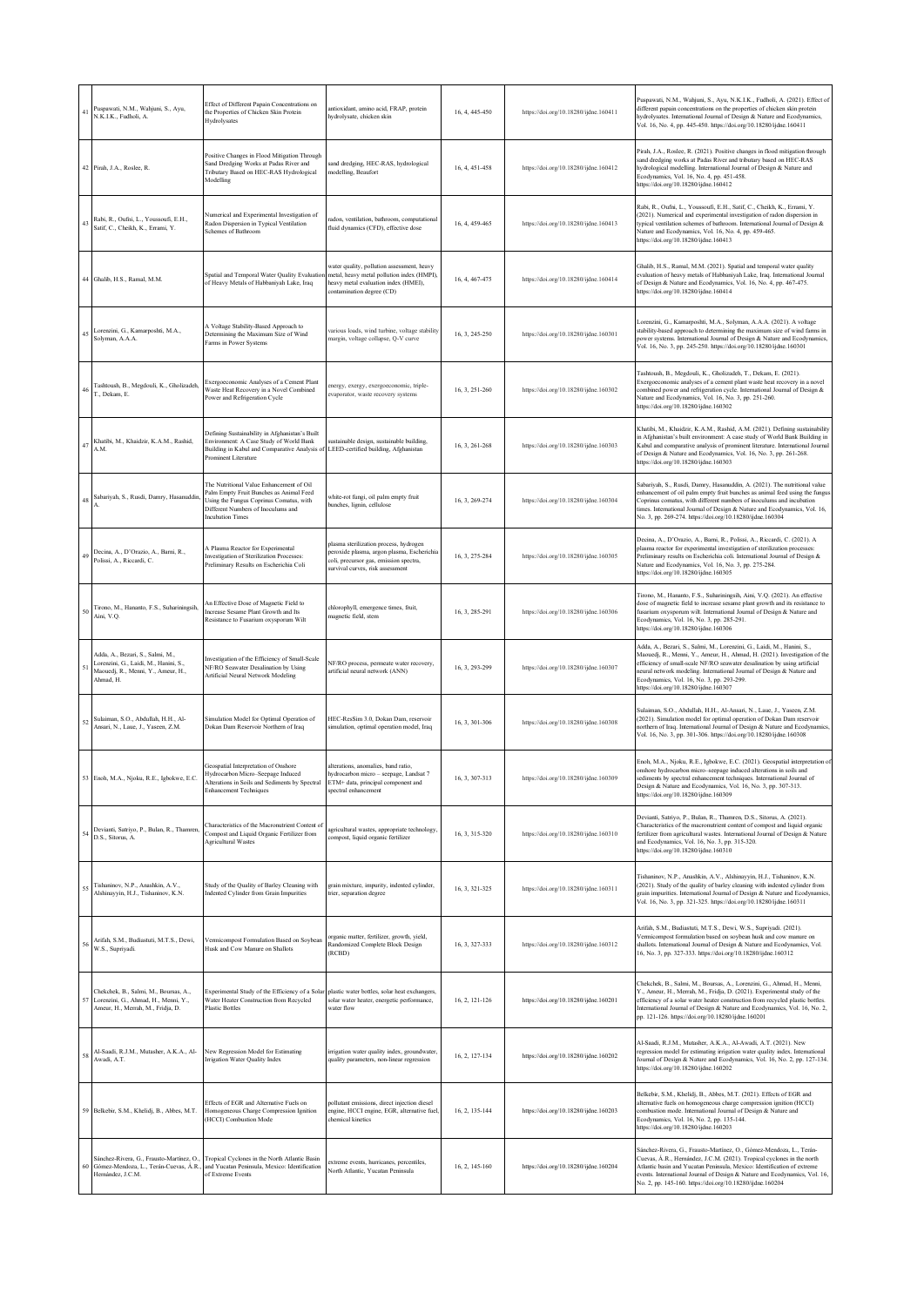| 41  | Puspawati, N.M., Wahjuni, S., Ayu,<br>N.K.I.K., Fudholi, A.                                                                  | Effect of Different Papain Concentrations on<br>the Properties of Chicken Skin Protein<br>Hydrolysates                                                                                                         | ntioxidant, amino acid, FRAP, protein<br>hydrolysate, chicken skin                                                                                                 | 16, 4, 445-450 | https://doi.org/10.18280/ijdne.160411 | Puspawati, N.M., Wahjuni, S., Ayu, N.K.I.K., Fudholi, A. (2021). Effect of<br>different papain concentrations on the properties of chicken skin protein<br>hydrolysates. International Journal of Design & Nature and Ecodynamics,<br>Vol. 16, No. 4, pp. 445-450. https://doi.org/10.18280/ijdne.160411                                                                                        |
|-----|------------------------------------------------------------------------------------------------------------------------------|----------------------------------------------------------------------------------------------------------------------------------------------------------------------------------------------------------------|--------------------------------------------------------------------------------------------------------------------------------------------------------------------|----------------|---------------------------------------|-------------------------------------------------------------------------------------------------------------------------------------------------------------------------------------------------------------------------------------------------------------------------------------------------------------------------------------------------------------------------------------------------|
|     | 42 Pirah, J.A., Roslee, R.                                                                                                   | Positive Changes in Flood Mitigation Through<br>Sand Dredging Works at Padas River and<br>Tributary Based on HEC-RAS Hydrological<br>Modelling                                                                 | and dredging, HEC-RAS, hydrological<br>modelling, Beaufort                                                                                                         | 16, 4, 451-458 | https://doi.org/10.18280/ijdne.160412 | Pirah, J.A., Roslee, R. (2021). Positive changes in flood mitigation through<br>sand dredging works at Padas River and tributary based on HEC-RAS<br>hydrological modelling. International Journal of Design & Nature and<br>Ecodynamics, Vol. 16, No. 4, pp. 451-458.<br>https://doi.org/10.18280/ijdne.160412                                                                                 |
| 43  | Rabi, R., Oufni, L., Youssoufi, E.H.,<br>Satif, C., Cheikh, K., Errami, Y.                                                   | Numerical and Experimental Investigation of<br>Radon Dispersion in Typical Ventilation<br>Schemes of Bathroom                                                                                                  | radon, ventilation, bathroom, computational<br>fluid dynamics (CFD), effective dose                                                                                | 16, 4, 459-465 | https://doi.org/10.18280/ijdne.160413 | Rabi, R., Oufni, L., Youssoufi, E.H., Satif, C., Cheikh, K., Errami, Y.<br>(2021). Numerical and experimental investigation of radon dispersion in<br>typical ventilation schemes of bathroom. International Journal of Design &<br>Nature and Ecodynamics, Vol. 16, No. 4, pp. 459-465.<br>https://doi.org/10.18280/ijdne.160413                                                               |
| 44  | Ghalib, H.S., Ramal, M.M.                                                                                                    | Spatial and Temporal Water Quality Evaluation<br>of Heavy Metals of Habbaniyah Lake, Iraq                                                                                                                      | vater quality, pollution assessment, heavy<br>metal, heavy metal pollution index (HMPI),<br>heavy metal evaluation index (HMEI),<br>ontamination degree (CD)       | 16, 4, 467-475 | https://doi.org/10.18280/ijdne.160414 | Ghalib, H.S., Ramal, M.M. (2021). Spatial and temporal water quality<br>valuation of heavy metals of Habbaniyah Lake, Iraq. International Journal<br>of Design & Nature and Ecodynamics, Vol. 16, No. 4, pp. 467-475.<br>https://doi.org/10.18280/ijdne.160414                                                                                                                                  |
| 4.5 | Lorenzini, G., Kamarposhti, M.A.,<br>Solyman, A.A.A.                                                                         | A Voltage Stability-Based Approach to<br>Determining the Maximum Size of Wind<br>Farms in Power Systems                                                                                                        | various loads, wind turbine, voltage stability<br>margin, voltage collapse, Q-V curve                                                                              | 16, 3, 245-250 | https://doi.org/10.18280/ijdne.160301 | orenzini, G., Kamarposhti, M.A., Solyman, A.A.A. (2021). A voltage<br>stability-based approach to determining the maximum size of wind farms in<br>power systems. International Journal of Design & Nature and Ecodynamics,<br>Vol. 16, No. 3, pp. 245-250. https://doi.org/10.18280/ijdne.160301                                                                                               |
|     | Tashtoush, B., Megdouli, K., Gholizadeh,<br>T., Dekam, E.                                                                    | Exergoeconomic Analyses of a Cement Plant<br>Waste Heat Recovery in a Novel Combined<br>Power and Refrigeration Cycle                                                                                          | nergy, exergy, exergoeconomic, triple-<br>evaporator, waste recovery systems                                                                                       | 16, 3, 251-260 | https://doi.org/10.18280/ijdne.160302 | Tashtoush, B., Megdouli, K., Gholizadeh, T., Dekam, E. (2021).<br>Exergoeconomic analyses of a cement plant waste heat recovery in a novel<br>combined power and refrigeration cycle. International Journal of Design &<br>Nature and Ecodynamics, Vol. 16, No. 3, pp. 251-260.<br>https://doi.org/10.18280/ijdne.160302                                                                        |
| 41  | Khatibi, M., Khaidzir, K.A.M., Rashid,<br>A.M.                                                                               | Defining Sustainability in Afghanistan's Built<br>Environment: A Case Study of World Bank<br>Building in Kabul and Comparative Analysis of LEED-certified building, Afghanistan<br><b>Prominent Literature</b> | sustainable design, sustainable building,                                                                                                                          | 16, 3, 261-268 | https://doi.org/10.18280/ijdne.160303 | Khatibi, M., Khaidzir, K.A.M., Rashid, A.M. (2021). Defining sustainability<br>in Afghanistan's built environment: A case study of World Bank Building in<br>Kabul and comparative analysis of prominent literature. International Journal<br>of Design & Nature and Ecodynamics, Vol. 16, No. 3, pp. 261-268.<br>https://doi.org/10.18280/ijdne.160303                                         |
| 48  | Sabariyah, S., Rusdi, Damry, Hasanuddin                                                                                      | The Nutritional Value Enhancement of Oil<br>Palm Empty Fruit Bunches as Animal Feed<br>Using the Fungus Coprinus Comatus, with<br>Different Numbers of Inoculums and<br>ncubation Times                        | white-rot fungi, oil palm empty fruit<br>bunches, lignin, cellulose                                                                                                | 16, 3, 269-274 | https://doi.org/10.18280/ijdne.160304 | Sabariyah, S., Rusdi, Damry, Hasanuddin, A. (2021). The nutritional value<br>enhancement of oil palm empty fruit bunches as animal feed using the fungus<br>Coprinus comatus, with different numbers of inoculums and incubation<br>imes. International Journal of Design & Nature and Ecodynamics, Vol. 16,<br>No. 3, pp. 269-274. https://doi.org/10.18280/ijdne.160304                       |
|     | Decina, A., D'Orazio, A., Barni, R.,<br>Polissi, A., Riccardi, C.                                                            | A Plasma Reactor for Experimental<br>Investigation of Sterilization Processes:<br>Preliminary Results on Escherichia Coli                                                                                      | plasma sterilization process, hydrogen<br>peroxide plasma, argon plasma, Escherichia<br>coli, precursor gas, emission spectra,<br>survival curves, risk assessment | 16, 3, 275-284 | https://doi.org/10.18280/ijdne.160305 | Decina, A., D'Orazio, A., Barni, R., Polissi, A., Riccardi, C. (2021). A<br>plasma reactor for experimental investigation of sterilization processes:<br>Preliminary results on Escherichia coli. International Journal of Design &<br>Vature and Ecodynamics, Vol. 16, No. 3, pp. 275-284.<br>https://doi.org/10.18280/ijdne.160305                                                            |
|     | Tirono, M., Hananto, F.S., Suhariningsih,<br>Aini, V.Q.                                                                      | An Effective Dose of Magnetic Field to<br>Increase Sesame Plant Growth and Its<br>Resistance to Fusarium oxysporum Wilt                                                                                        | chlorophyll, emergence times, fruit,<br>magnetic field, stem                                                                                                       | 16, 3, 285-291 | https://doi.org/10.18280/ijdne.160306 | Tirono, M., Hananto, F.S., Suhariningsih, Aini, V.Q. (2021). An effective<br>dose of magnetic field to increase sesame plant growth and its resistance to<br>fusarium oxysporum wilt. International Journal of Design & Nature and<br>Ecodynamics, Vol. 16, No. 3, pp. 285-291.<br>https://doi.org/10.18280/ijdne.160306                                                                        |
|     | Adda, A., Bezari, S., Salmi, M.,<br>Lorenzini, G., Laidi, M., Hanini, S.,<br>Maouedj, R., Menni, Y., Ameur, H.,<br>Ahmad, H. | Investigation of the Efficiency of Small-Scale<br>NF/RO Seawater Desalination by Using<br>Artificial Neural Network Modeling                                                                                   | NF/RO process, permeate water recovery,<br>artificial neural network (ANN)                                                                                         | 16, 3, 293-299 | https://doi.org/10.18280/ijdne.160307 | Adda, A., Bezari, S., Salmi, M., Lorenzini, G., Laidi, M., Hanini, S.,<br>Maouedj, R., Menni, Y., Ameur, H., Ahmad, H. (2021). Investigation of the<br>efficiency of small-scale NF/RO seawater desalination by using artificial<br>teural network modeling. International Journal of Design & Nature and<br>Ecodynamics, Vol. 16, No. 3, pp. 293-299.<br>https://doi.org/10.18280/ijdne.160307 |
| 52  | Sulaiman, S.O., Abdullah, H.H., Al-<br>Ansari, N., Laue, J., Yaseen, Z.M.                                                    | Simulation Model for Optimal Operation of<br>Dokan Dam Reservoir Northern of Iraq                                                                                                                              | HEC-ResSim 3.0, Dokan Dam, reservoir<br>simulation, optimal operation model, Iraq                                                                                  | 16, 3, 301-306 | https://doi.org/10.18280/ijdne.160308 | Sulaiman, S.O., Abdullah, H.H., Al-Ansari, N., Laue, J., Yaseen, Z.M.<br>(2021). Simulation model for optimal operation of Dokan Dam reservoir<br>northern of Iraq. International Journal of Design & Nature and Ecodynamics,<br>Vol. 16, No. 3, pp. 301-306. https://doi.org/10.18280/ijdne.160308                                                                                             |
|     | M.A., Nioku, R.E., Igbokwe, E.C.                                                                                             | Geospatial Interpretation of Onshore<br>Hydrocarbon Micro-Seepage Induced<br>Alterations in Soils and Sediments by Spectral<br><b>Enhancement Techniques</b>                                                   | alterations, anomalies, band ratio,<br>hydrocarbon micro - seepage. Landsat 7<br>ETM+ data, principal component and<br>spectral enhancement                        | 16, 3, 307-313 | https://doi.org/10.18280/jidne.160309 | Enoh, M.A., Njoku, R.E., Igbokwe, E.C. (2021). Geospatial interpretation of<br>onshore hydrocarbon micro-seepage induced alterations in soils and<br>diments by spectral enhancement techniques. International Journal of<br>Design & Nature and Ecodynamics, Vol. 16, No. 3, pp. 307-313.<br>https://doi.org/10.18280/ijdne.160309                                                             |
| 54  | Devianti, Satriyo, P., Bulan, R., Thamren,<br>D.S., Sitorus, A.                                                              | Characteristics of the Macronutrient Content of<br>Compost and Liquid Organic Fertilizer from<br><b>Agricultural Wastes</b>                                                                                    | agricultural wastes, appropriate technology,<br>compost, liquid organic fertilizer                                                                                 | 16, 3, 315-320 | https://doi.org/10.18280/ijdne.160310 | Devianti, Satriyo, P., Bulan, R., Thamren, D.S., Sitorus, A. (2021).<br>Characteristics of the macronutrient content of compost and liquid organic<br>fertilizer from agricultural wastes. International Journal of Design & Nature<br>and Ecodynamics, Vol. 16, No. 3, pp. 315-320.<br>https://doi.org/10.18280/ijdne.160310                                                                   |
| 55  | Tishaninov, N.P., Anashkin, A.V.,<br>Alshinayyin, H.J., Tishaninov, K.N.                                                     | Study of the Quality of Barley Cleaning with<br>Indented Cylinder from Grain Impurities                                                                                                                        | grain mixture, impurity, indented cylinder,<br>trier, separation degree                                                                                            | 16, 3, 321-325 | https://doi.org/10.18280/ijdne.160311 | Tishaninov, N.P., Anashkin, A.V., Alshinayyin, H.J., Tishaninov, K.N.<br>(2021). Study of the quality of barley cleaning with indented cylinder from<br>grain impurities. International Journal of Design & Nature and Ecodynamics,<br>Vol. 16, No. 3, pp. 321-325. https://doi.org/10.18280/ijdne.160311                                                                                       |
| 56  | Arifah, S.M., Budiastuti, M.T.S., Dewi,<br>W.S., Supriyadi.                                                                  | Vermicompost Formulation Based on Soybean<br>Husk and Cow Manure on Shallots                                                                                                                                   | organic matter, fertilizer, growth, yield,<br>Randomized Complete Block Design<br>(RCBD)                                                                           | 16, 3, 327-333 | https://doi.org/10.18280/ijdne.160312 | Arifah, S.M., Budiastuti, M.T.S., Dewi, W.S., Supriyadi. (2021).<br>Vermicompost formulation based on soybean husk and cow manure on<br>shallots. International Journal of Design & Nature and Ecodynamics, Vol.<br>16, No. 3, pp. 327-333. https://doi.org/10.18280/ijdne.160312                                                                                                               |
| 57  | Chekchek, B., Salmi, M., Boursas, A.,<br>Lorenzini, G., Ahmad, H., Menni, Y.,<br>Ameur, H., Merrah, M., Fridja, D.           | Experimental Study of the Efficiency of a Solar<br>Water Heater Construction from Recycled<br><b>Plastic Bottles</b>                                                                                           | plastic water bottles, solar heat exchangers,<br>solar water heater, energetic performance,<br>water flow                                                          | 16, 2, 121-126 | https://doi.org/10.18280/ijdne.160201 | Chekchek, B., Salmi, M., Boursas, A., Lorenzini, G., Ahmad, H., Menni,<br>Y., Ameur, H., Merrah, M., Fridja, D. (2021). Experimental study of the<br>efficiency of a solar water heater construction from recycled plastic bottles.<br>International Journal of Design & Nature and Ecodynamics, Vol. 16, No. 2,<br>pp. 121-126. https://doi.org/10.18280/ijdne.160201                          |
| 58  | Al-Saadi, R.J.M., Mutasher, A.K.A., Al-<br>Awadi, A.T.                                                                       | New Regression Model for Estimating<br>Irrigation Water Quality Index                                                                                                                                          | irrigation water quality index, groundwater,<br>quality parameters, non-linear regression                                                                          | 16, 2, 127-134 | https://doi.org/10.18280/ijdne.160202 | Al-Saadi, R.J.M., Mutasher, A.K.A., Al-Awadi, A.T. (2021). New<br>regression model for estimating irrigation water quality index. International<br>Journal of Design & Nature and Ecodynamics, Vol. 16, No. 2, pp. 127-134.<br>https://doi.org/10.18280/ijdne.160202                                                                                                                            |
| 59  | Belkebir, S.M., Khelidj, B., Abbes, M.T.                                                                                     | Effects of EGR and Alternative Fuels on<br>Homogeneous Charge Compression Ignition<br>(HCCI) Combustion Mode                                                                                                   | pollutant emissions, direct injection diesel<br>engine, HCCI engine, EGR, alternative fuel,<br>chemical kinetics                                                   | 16, 2, 135-144 | https://doi.org/10.18280/ijdne.160203 | Belkebir, S.M., Khelidj, B., Abbes, M.T. (2021). Effects of EGR and<br>alternative fuels on homogeneous charge compression ignition (HCCI)<br>combustion mode. International Journal of Design & Nature and<br>Ecodynamics, Vol. 16, No. 2, pp. 135-144.<br>https://doi.org/10.18280/ijdne.160203                                                                                               |
|     | Sánchez-Rivera, G., Frausto-Martínez, O.,<br>Gómez-Mendoza, L., Terán-Cuevas, Á.R.<br>Hernández, J.C.M.                      | Tropical Cyclones in the North Atlantic Basin<br>and Yucatan Peninsula, Mexico: Identification<br>of Extreme Events                                                                                            | extreme events, hurricanes, percentiles,<br>North Atlantic, Yucatan Peninsula                                                                                      | 16, 2, 145-160 | https://doi.org/10.18280/ijdne.160204 | Sánchez-Rivera, G., Frausto-Martínez, O., Gómez-Mendoza, L., Terán-<br>Cuevas, Á.R., Hernández, J.C.M. (2021). Tropical cyclones in the north<br>Atlantic basin and Yucatan Peninsula, Mexico: Identification of extreme<br>events. International Journal of Design & Nature and Ecodynamics, Vol. 16,<br>No. 2, pp. 145-160. https://doi.org/10.18280/ijdne.160204                             |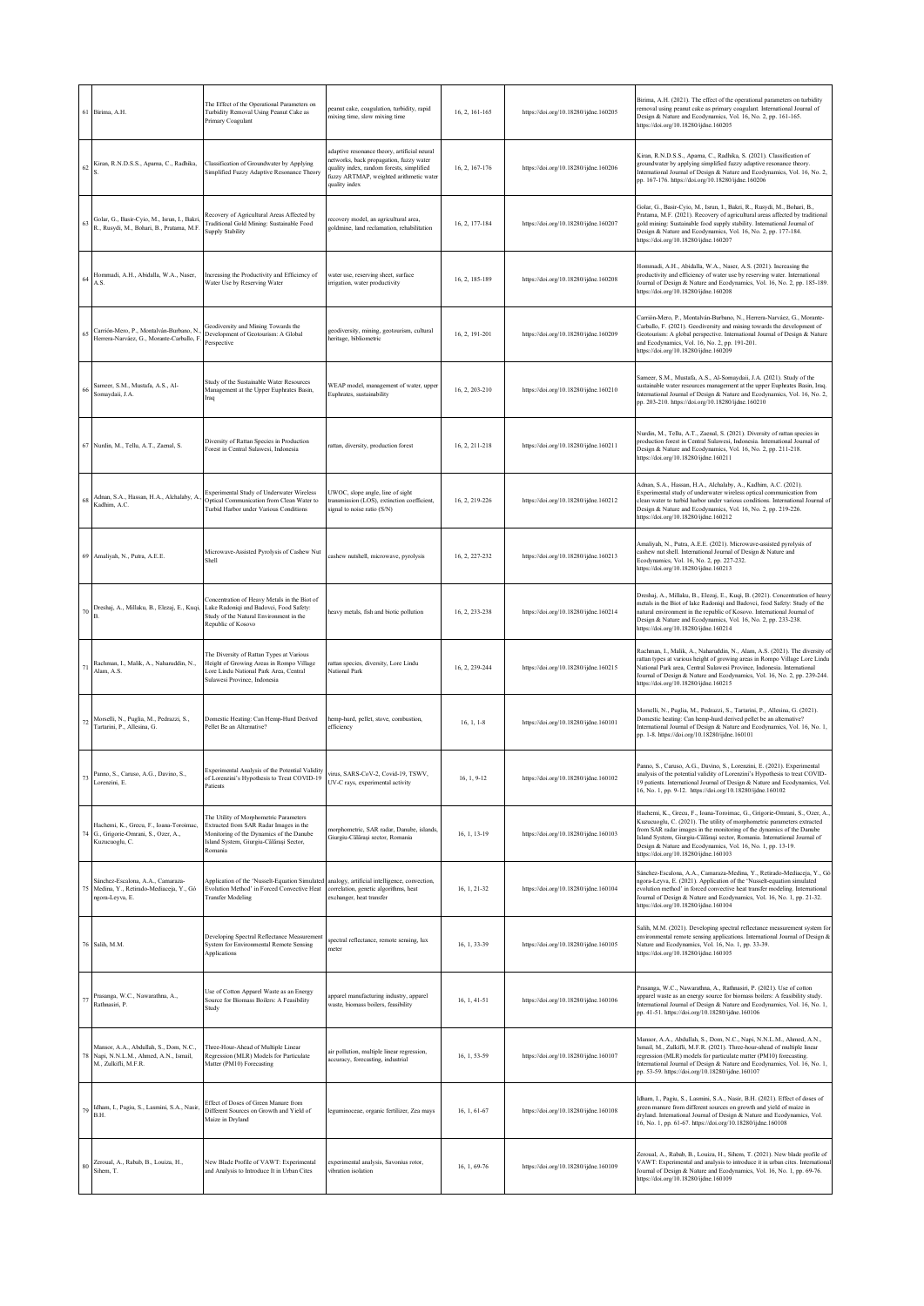| 61 | Birima, A.H.                                                                                           | The Effect of the Operational Parameters on<br>Turbidity Removal Using Peanut Cake as<br>Primary Coagulant                                                                         | eanut cake, coagulation, turbidity, rapid<br>mixing time, slow mixing time                                                                                                                       | 16, 2, 161-165 | https://doi.org/10.18280/ijdne.160205 | Birima, A.H. (2021). The effect of the operational parameters on turbidity<br>emoval using peanut cake as primary coagulant. International Journal of<br>Design & Nature and Ecodynamics, Vol. 16, No. 2, pp. 161-165.<br>https://doi.org/10.18280/ijdne.160205                                                                                                                                                     |
|----|--------------------------------------------------------------------------------------------------------|------------------------------------------------------------------------------------------------------------------------------------------------------------------------------------|--------------------------------------------------------------------------------------------------------------------------------------------------------------------------------------------------|----------------|---------------------------------------|---------------------------------------------------------------------------------------------------------------------------------------------------------------------------------------------------------------------------------------------------------------------------------------------------------------------------------------------------------------------------------------------------------------------|
|    | Kiran, R.N.D.S.S., Aparna, C., Radhika,                                                                | Classification of Groundwater by Applying<br>Simplified Fuzzy Adaptive Resonance Theory                                                                                            | adaptive resonance theory, artificial neural<br>networks, back propagation, fuzzy water<br>quality index, random forests, simplified<br>fuzzy ARTMAP, weighted arithmetic water<br>quality index | 16, 2, 167-176 | https://doi.org/10.18280/ijdne.160206 | Kiran, R.N.D.S.S., Aparna, C., Radhika, S. (2021). Classification of<br>groundwater by applying simplified fuzzy adaptive resonance theory.<br>International Journal of Design & Nature and Ecodynamics, Vol. 16, No. 2,<br>pp. 167-176. https://doi.org/10.18280/ijdne.160206                                                                                                                                      |
|    | Golar, G., Basir-Cyio, M., Isrun, I., Bakri,<br>R., Rusydi, M., Bohari, B., Pratama, M.F               | Recovery of Agricultural Areas Affected by<br>Traditional Gold Mining: Sustainable Food<br><b>Supply Stability</b>                                                                 | recovery model, an agricultural area,<br>goldmine, land reclamation, rehabilitation                                                                                                              | 16, 2, 177-184 | https://doi.org/10.18280/ijdne.160207 | Golar, G., Basir-Cyio, M., Isrun, I., Bakri, R., Rusydi, M., Bohari, B.,<br>Pratama, M.F. (2021). Recovery of agricultural areas affected by traditional<br>gold mining: Sustainable food supply stability. International Journal of<br>Design & Nature and Ecodynamics, Vol. 16, No. 2, pp. 177-184.<br>https://doi.org/10.18280/ijdne.160207                                                                      |
|    | Hommadi, A.H., Abidalla, W.A., Naser,<br>A.S.                                                          | Increasing the Productivity and Efficiency of<br>Water Use by Reserving Water                                                                                                      | water use, reserving sheet, surface<br>irrigation, water productivity                                                                                                                            | 16, 2, 185-189 | https://doi.org/10.18280/ijdne.160208 | Hommadi, A.H., Abidalla, W.A., Naser, A.S. (2021). Increasing the<br>productivity and efficiency of water use by reserving water. International<br>lournal of Design & Nature and Ecodynamics, Vol. 16, No. 2, pp. 185-189.<br>https://doi.org/10.18280/ijdne.160208                                                                                                                                                |
|    | Carrión-Mero, P., Montalván-Burbano, N.<br>Herrera-Narváez, G., Morante-Carballo, F                    | Geodiversity and Mining Towards the<br>Development of Geotourism: A Global<br>Perspective                                                                                          | geodiversity, mining, geotourism, cultural<br>heritage, bibliometric                                                                                                                             | 16, 2, 191-201 | https://doi.org/10.18280/ijdne.160209 | Carrión-Mero, P., Montalván-Burbano, N., Herrera-Narváez, G., Morante-<br>Carballo, F. (2021). Geodiversity and mining towards the development of<br>Geotourism: A global perspective. International Journal of Design & Nature<br>and Ecodynamics, Vol. 16, No. 2, pp. 191-201.<br>https://doi.org/10.18280/ijdne.160209                                                                                           |
|    | Sameer, S.M., Mustafa, A.S., Al-<br>Somaydaii, J.A.                                                    | Study of the Sustainable Water Resources<br>Management at the Upper Euphrates Basin,<br>Iraq                                                                                       | WEAP model, management of water, upper<br>Euphrates, sustainability                                                                                                                              | 16, 2, 203-210 | https://doi.org/10.18280/ijdne.160210 | Sameer, S.M., Mustafa, A.S., Al-Somaydaii, J.A. (2021). Study of the<br>sustainable water resources management at the upper Euphrates Basin, Iraq.<br>International Journal of Design & Nature and Ecodynamics, Vol. 16, No. 2,<br>pp. 203-210. https://doi.org/10.18280/ijdne.160210                                                                                                                               |
| 67 | Nurdin, M., Tellu, A.T., Zaenal, S.                                                                    | Diversity of Rattan Species in Production<br>Forest in Central Sulawesi, Indonesia                                                                                                 | rattan, diversity, production forest                                                                                                                                                             | 16, 2, 211-218 | https://doi.org/10.18280/ijdne.160211 | Nurdin, M., Tellu, A.T., Zaenal, S. (2021). Diversity of rattan species in<br>production forest in Central Sulawesi, Indonesia. International Journal of<br>Design & Nature and Ecodynamics, Vol. 16, No. 2, pp. 211-218.<br>https://doi.org/10.18280/ijdne.160211                                                                                                                                                  |
|    | Adnan, S.A., Hassan, H.A., Alchalaby, A.<br>Kadhim, A.C.                                               | Experimental Study of Underwater Wireless<br>Optical Communication from Clean Water to<br>Turbid Harbor under Various Conditions                                                   | UWOC, slope angle, line of sight<br>transmission (LOS), extinction coefficient,<br>signal to noise ratio (S/N)                                                                                   | 16, 2, 219-226 | https://doi.org/10.18280/ijdne.160212 | Adnan, S.A., Hassan, H.A., Alchalaby, A., Kadhim, A.C. (2021).<br>Experimental study of underwater wireless optical communication from<br>lean water to turbid harbor under various conditions. International Journal of<br>Design & Nature and Ecodynamics, Vol. 16, No. 2, pp. 219-226.<br>https://doi.org/10.18280/ijdne.160212                                                                                  |
| 69 | Amaliyah, N., Putra, A.E.E.                                                                            | Microwave-Assisted Pyrolysis of Cashew Nut<br>Shell                                                                                                                                | cashew nutshell, microwave, pyrolysis                                                                                                                                                            | 16, 2, 227-232 | https://doi.org/10.18280/ijdne.160213 | Amaliyah, N., Putra, A.E.E. (2021). Microwave-assisted pyrolysis of<br>cashew nut shell. International Journal of Design & Nature and<br>Ecodynamics, Vol. 16, No. 2, pp. 227-232.<br>https://doi.org/10.18280/ijdne.160213                                                                                                                                                                                         |
|    | Dreshaj, A., Millaku, B., Elezaj, E., Kuqi,                                                            | Concentration of Heavy Metals in the Biot of<br>Lake Radoniqi and Badovci, Food Safety:<br>Study of the Natural Environment in the<br>Republic of Kosovo                           | heavy metals, fish and biotic pollution                                                                                                                                                          | 16, 2, 233-238 | https://doi.org/10.18280/ijdne.160214 | Dreshaj, A., Millaku, B., Elezaj, E., Kuqi, B. (2021). Concentration of heavy<br>metals in the Biot of lake Radoniqi and Badovci, food Safety: Study of the<br>natural environment in the republic of Kosovo. International Journal of<br>Design & Nature and Ecodynamics, Vol. 16, No. 2, pp. 233-238.<br>https://doi.org/10.18280/ijdne.160214                                                                    |
|    | Rachman, I., Malik, A., Naharuddin, N.,<br>Alam, A.S.                                                  | The Diversity of Rattan Types at Various<br>Height of Growing Areas in Rompo Village<br>Lore Lindu National Park Area, Central<br>Sulawesi Province, Indonesia                     | rattan species, diversity, Lore Lindu<br><b>National Park</b>                                                                                                                                    | 16, 2, 239-244 | https://doi.org/10.18280/ijdne.160215 | Rachman, I., Malik, A., Naharuddin, N., Alam, A.S. (2021). The diversity of<br>rattan types at various height of growing areas in Rompo Village Lore Lindu<br>Vational Park area, Central Sulawesi Province, Indonesia. International<br>Journal of Design & Nature and Ecodynamics, Vol. 16, No. 2, pp. 239-244.<br>https://doi.org/10.18280/ijdne.160215                                                          |
| 72 | Morselli, N., Puglia, M., Pedrazzi, S.,<br>Tartarini, P., Allesina, G.                                 | Domestic Heating: Can Hemp-Hurd Derived<br>Pellet Be an Alternative?                                                                                                               | hemp-hurd, pellet, stove, combustion,<br>efficiency                                                                                                                                              | $16, 1, 1-8$   | https://doi.org/10.18280/ijdne.160101 | Morselli, N., Puglia, M., Pedrazzi, S., Tartarini, P., Allesina, G. (2021).<br>Domestic heating: Can hemp-hurd derived pellet be an alternative?<br>International Journal of Design & Nature and Ecodynamics, Vol. 16, No. 1,<br>pp. 1-8. https://doi.org/10.18280/ijdne.160101                                                                                                                                     |
|    | Panno, S., Caruso, A.G., Davino, S.,<br>Lorenzini, E.                                                  | Experimental Analysis of the Potential Validity<br>of Lorenzini's Hypothesis to Treat COVID-19<br>Patients                                                                         | virus, SARS-CoV-2, Covid-19, TSWV,<br>UV-C rays, experimental activity                                                                                                                           | $16, 1, 9-12$  | https://doi.org/10.18280/iidne.160102 | Panno, S., Caruso, A.G., Davino, S., Lorenzini, E. (2021). Experimental<br>analysis of the potential validity of Lorenzini's Hypothesis to treat COVID-<br>19 patients. International Journal of Design & Nature and Ecodynamics, Vol.<br>16, No. 1, pp. 9-12. https://doi.org/10.18280/ijdne.160102                                                                                                                |
|    | Hachemi, K., Grecu, F., Ioana-Toroimac,<br>G., Grigorie-Omrani, S., Ozer, A.,<br>Kuzucuoglu, C.        | The Utility of Morphometric Parameters<br>Extracted from SAR Radar Images in the<br>Monitoring of the Dynamics of the Danube<br>Island System, Giurgiu-Călărași Sector,<br>Romania | morphometric, SAR radar, Danube, islands,<br>Giurgiu-Călărași sector, Romania                                                                                                                    | 16, 1, 13-19   | https://doi.org/10.18280/ijdne.160103 | Hachemi, K., Grecu, F., Ioana-Toroimac, G., Grigorie-Omrani, S., Ozer, A.,<br>Kuzucuoglu, C. (2021). The utility of morphometric parameters extracted<br>from SAR radar images in the monitoring of the dynamics of the Danube<br>Island System, Giurgiu-Călărași sector, Romania. International Journal of<br>Design & Nature and Ecodynamics, Vol. 16, No. 1, pp. 13-19.<br>https://doi.org/10.18280/ijdne.160103 |
| 75 | Sánchez-Escalona, A.A., Camaraza-<br>Medina, Y., Retirado-Mediaceja, Y., Gó<br>ngora-Leyva, E.         | Application of the 'Nusselt-Equation Simulated<br>Evolution Method' in Forced Convective Heat<br><b>Transfer Modeling</b>                                                          | analogy, artificial intelligence, convection,<br>correlation, genetic algorithms, heat<br>exchanger, heat transfer                                                                               | 16, 1, 21-32   | https://doi.org/10.18280/ijdne.160104 | Sánchez-Escalona, A.A., Camaraza-Medina, Y., Retirado-Mediaceja, Y., Gó<br>ngora-Leyva, E. (2021). Application of the 'Nusselt-equation simulated<br>evolution method' in forced convective heat transfer modeling. International<br>Journal of Design & Nature and Ecodynamics, Vol. 16, No. 1, pp. 21-32.<br>https://doi.org/10.18280/ijdne.160104                                                                |
|    | 76 Salih, M.M.                                                                                         | Developing Spectral Reflectance Measurement<br>System for Environmental Remote Sensing<br>Applications                                                                             | spectral reflectance, remote sensing, lux<br>meter                                                                                                                                               | 16, 1, 33-39   | https://doi.org/10.18280/ijdne.160105 | Salih, M.M. (2021). Developing spectral reflectance measurement system for<br>environmental remote sensing applications. International Journal of Design &<br>Nature and Ecodynamics, Vol. 16, No. 1, pp. 33-39.<br>https://doi.org/10.18280/ijdne.160105                                                                                                                                                           |
| 77 | Prasanga, W.C., Nawarathna, A.,<br>Rathnasiri, P.                                                      | Use of Cotton Apparel Waste as an Energy<br>Source for Biomass Boilers: A Feasibility<br>Study                                                                                     | apparel manufacturing industry, apparel<br>waste, biomass boilers, feasibility                                                                                                                   | 16, 1, 41-51   | https://doi.org/10.18280/ijdne.160106 | Prasanga, W.C., Nawarathna, A., Rathnasiri, P. (2021). Use of cotton<br>apparel waste as an energy source for biomass boilers: A feasibility study.<br>International Journal of Design & Nature and Ecodynamics, Vol. 16, No. 1,<br>pp. 41-51. https://doi.org/10.18280/ijdne.160106                                                                                                                                |
| 78 | Mansor, A.A., Abdullah, S., Dom, N.C.,<br>Napi, N.N.L.M., Ahmed, A.N., Ismail,<br>M., Zulkifli, M.F.R. | Three-Hour-Ahead of Multiple Linear<br>Regression (MLR) Models for Particulate<br>Matter (PM10) Forecasting                                                                        | air pollution, multiple linear regression,<br>accuracy, forecasting, industrial                                                                                                                  | 16, 1, 53-59   | https://doi.org/10.18280/ijdne.160107 | Mansor, A.A., Abdullah, S., Dom, N.C., Napi, N.N.L.M., Ahmed, A.N.,<br>Ismail, M., Zulkifli, M.F.R. (2021). Three-hour-ahead of multiple linear<br>regression (MLR) models for particulate matter (PM10) forecasting.<br>International Journal of Design & Nature and Ecodynamics, Vol. 16, No. 1,<br>pp. 53-59. https://doi.org/10.18280/ijdne.160107                                                              |
| 79 | Idham, I., Pagiu, S., Lasmini, S.A., Nasir,<br>B.H.                                                    | Effect of Doses of Green Manure from<br>Different Sources on Growth and Yield of<br>Maize in Dryland                                                                               | leguminoceae, organic fertilizer, Zea mays                                                                                                                                                       | 16, 1, 61-67   | https://doi.org/10.18280/ijdne.160108 | Idham, I., Pagiu, S., Lasmini, S.A., Nasir, B.H. (2021). Effect of doses of<br>green manure from different sources on growth and yield of maize in<br>dryland. International Journal of Design & Nature and Ecodynamics, Vol.<br>16, No. 1, pp. 61-67. https://doi.org/10.18280/ijdne.160108                                                                                                                        |
| 80 | Zeroual, A., Rabab, B., Louiza, H.,<br>Sihem. T.                                                       | New Blade Profile of VAWT: Experimental<br>and Analysis to Introduce It in Urban Cites                                                                                             | experimental analysis, Savonius rotor,<br>vibration isolation                                                                                                                                    | 16, 1, 69-76   | https://doi.org/10.18280/ijdne.160109 | Zeroual, A., Rabab, B., Louiza, H., Sihem, T. (2021). New blade profile of<br>VAWT: Experimental and analysis to introduce it in urban cites. International<br>Journal of Design & Nature and Ecodynamics, Vol. 16, No. 1, pp. 69-76.<br>https://doi.org/10.18280/ijdne.160109                                                                                                                                      |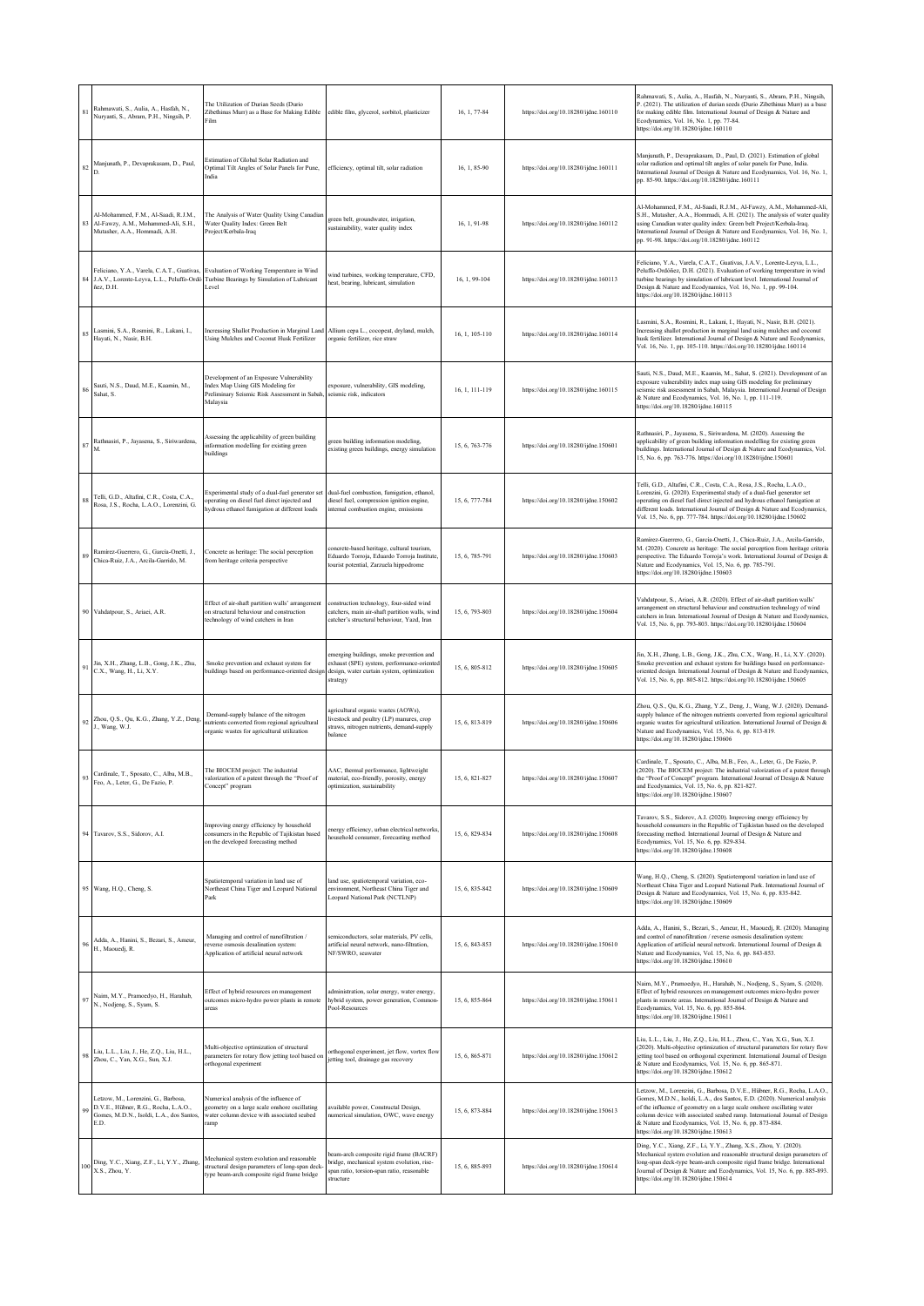| 81       | Rahmawati, S., Aulia, A., Hasfah, N.,<br>Nuryanti, S., Abram, P.H., Ningsih, P.                                                 | The Utilization of Durian Seeds (Durio<br>Zibethinus Murr) as a Base for Making Edible<br>Film                                                   | edible film, glycerol, sorbitol, plasticizer                                                                                                     | 16, 1, 77-84   | https://doi.org/10.18280/ijdne.160110 | Rahmawati, S., Aulia, A., Hasfah, N., Nuryanti, S., Abram, P.H., Ningsih,<br>P. (2021). The utilization of durian seeds (Durio Zibethinus Murr) as a base<br>for making edible film. International Journal of Design & Nature and<br>Ecodynamics, Vol. 16, No. 1, pp. 77-84.<br>https://doi.org/10.18280/ijdne.160110                                                                                            |
|----------|---------------------------------------------------------------------------------------------------------------------------------|--------------------------------------------------------------------------------------------------------------------------------------------------|--------------------------------------------------------------------------------------------------------------------------------------------------|----------------|---------------------------------------|------------------------------------------------------------------------------------------------------------------------------------------------------------------------------------------------------------------------------------------------------------------------------------------------------------------------------------------------------------------------------------------------------------------|
|          | Manjunath, P., Devaprakasam, D., Paul,                                                                                          | Estimation of Global Solar Radiation and<br>Optimal Tilt Angles of Solar Panels for Pune,<br>India                                               | efficiency, optimal tilt, solar radiation                                                                                                        | 16, 1, 85-90   | https://doi.org/10.18280/ijdne.160111 | Manjunath, P., Devaprakasam, D., Paul, D. (2021). Estimation of global<br>solar radiation and optimal tilt angles of solar panels for Pune, India.<br>International Journal of Design & Nature and Ecodynamics, Vol. 16, No. 1,<br>pp. 85-90. https://doi.org/10.18280/ijdne.160111                                                                                                                              |
|          | Al-Mohammed, F.M., Al-Saadi, R.J.M.,<br>Al-Fawzy, A.M., Mohammed-Ali, S.H.,<br>Mutasher, A.A., Hommadi, A.H.                    | The Analysis of Water Quality Using Canadian<br>Water Quality Index: Green Belt<br>Project/Kerbala-Iraq                                          | green belt, groundwater, irrigation,<br>sustainability, water quality index                                                                      | 16, 1, 91-98   | https://doi.org/10.18280/ijdne.160112 | Al-Mohammed, F.M., Al-Saadi, R.J.M., Al-Fawzy, A.M., Mohammed-Ali,<br>S.H., Mutasher, A.A., Hommadi, A.H. (2021). The analysis of water quality<br>using Canadian water quality index: Green belt Project/Kerbala-Iraq.<br>International Journal of Design & Nature and Ecodynamics, Vol. 16, No. 1,<br>pp. 91-98. https://doi.org/10.18280/ijdne.160112                                                         |
| 84       | Feliciano, Y.A., Varela, C.A.T., Guativas,<br>ñez. D.H.                                                                         | Evaluation of Working Temperature in Wind<br>J.A.V., Lorente-Leyva, L.L., Peluffo-Ordó Turbine Bearings by Simulation of Lubricant<br>Level      | vind turbines, working temperature, CFD,<br>heat, bearing, lubricant, simulation                                                                 | 16, 1, 99-104  | https://doi.org/10.18280/ijdne.160113 | Feliciano, Y.A., Varela, C.A.T., Guativas, J.A.V., Lorente-Leyva, L.L.,<br>Peluffo-Ordóñez, D.H. (2021). Evaluation of working temperature in wind<br>urbine bearings by simulation of lubricant level. International Journal of<br>Design & Nature and Ecodynamics, Vol. 16, No. 1, pp. 99-104.<br>https://doi.org/10.18280/ijdne.160113                                                                        |
|          | Lasmini, S.A., Rosmini, R., Lakani, I.,<br>Hayati, N., Nasir, B.H.                                                              | Increasing Shallot Production in Marginal Land<br>Using Mulches and Coconut Husk Fertilizer                                                      | Allium cepa L., cocopeat, dryland, mulch,<br>organic fertilizer, rice straw                                                                      | 16, 1, 105-110 | https://doi.org/10.18280/ijdne.160114 | Lasmini, S.A., Rosmini, R., Lakani, I., Hayati, N., Nasir, B.H. (2021).<br>Increasing shallot production in marginal land using mulches and coconut<br>husk fertilizer. International Journal of Design & Nature and Ecodynamics,<br>Vol. 16, No. 1, pp. 105-110. https://doi.org/10.18280/ijdne.160114                                                                                                          |
|          | Sauti, N.S., Daud, M.E., Kaamin, M.,<br>Sahat, S.                                                                               | Development of an Exposure Vulnerability<br>Index Map Using GIS Modeling for<br>Preliminary Seismic Risk Assessment in Sabah,<br>Malaysia        | exposure, vulnerability, GIS modeling,<br>seismic risk, indicators                                                                               | 16, 1, 111-119 | https://doi.org/10.18280/ijdne.160115 | Sauti, N.S., Daud, M.E., Kaamin, M., Sahat, S. (2021). Development of an<br>exposure vulnerability index map using GIS modeling for preliminary<br>seismic risk assessment in Sabah, Malaysia. International Journal of Design<br>& Nature and Ecodynamics, Vol. 16, No. 1, pp. 111-119.<br>https://doi.org/10.18280/ijdne.160115                                                                                |
| 87       | Rathnasiri, P., Jayasena, S., Siriwardena,                                                                                      | Assessing the applicability of green building<br>information modelling for existing green<br>puildings                                           | green building information modeling,<br>existing green buildings, energy simulation                                                              | 15, 6, 763-776 | https://doi.org/10.18280/ijdne.150601 | Rathnasiri, P., Jayasena, S., Siriwardena, M. (2020). Assessing the<br>applicability of green building information modelling for existing green<br>buildings. International Journal of Design & Nature and Ecodynamics, Vol.<br>15, No. 6, pp. 763-776. https://doi.org/10.18280/ijdne.150601                                                                                                                    |
|          | Telli, G.D., Altafini, C.R., Costa, C.A.,<br>Rosa, J.S., Rocha, L.A.O., Lorenzini, G.                                           | Experimental study of a dual-fuel generator set<br>operating on diesel fuel direct injected and<br>hydrous ethanol fumigation at different loads | dual-fuel combustion, fumigation, ethanol,<br>diesel fuel, compression ignition engine,<br>internal combustion engine, emissions                 | 15, 6, 777-784 | https://doi.org/10.18280/ijdne.150602 | Telli, G.D., Altafini, C.R., Costa, C.A., Rosa, J.S., Rocha, L.A.O.,<br>Lorenzini, G. (2020). Experimental study of a dual-fuel generator set<br>operating on diesel fuel direct injected and hydrous ethanol fumigation at<br>lifferent loads. International Journal of Design & Nature and Ecodynamics,<br>Vol. 15, No. 6, pp. 777-784. https://doi.org/10.18280/ijdne.150602                                  |
|          | Ramírez-Guerrero, G., García-Onetti, J.,<br>Chica-Ruiz, J.A., Arcila-Garrido, M.                                                | Concrete as heritage: The social perception<br>from heritage criteria perspective                                                                | oncrete-based heritage, cultural tourism,<br>Eduardo Torroja, Eduardo Torroja Institute<br>tourist potential, Zarzuela hippodrome                | 15, 6, 785-791 | https://doi.org/10.18280/ijdne.150603 | Ramírez-Guerrero, G., García-Onetti, J., Chica-Ruiz, J.A., Arcila-Garrido,<br>M. (2020). Concrete as heritage: The social perception from heritage criteria<br>perspective. The Eduardo Torroja's work. International Journal of Design &<br>Nature and Ecodynamics, Vol. 15, No. 6, pp. 785-791.<br>https://doi.org/10.18280/ijdne.150603                                                                       |
|          | Vahdatpour, S., Ariaei, A.R.                                                                                                    | Effect of air-shaft partition walls' arrangement<br>on structural behaviour and construction<br>echnology of wind catchers in Iran               | construction technology, four-sided wind<br>catchers, main air-shaft partition walls, wind<br>catcher's structural behaviour. Yazd, Iran         | 15, 6, 793-803 | https://doi.org/10.18280/ijdne.150604 | Vahdatpour, S., Ariaei, A.R. (2020). Effect of air-shaft partition walls'<br>arrangement on structural behaviour and construction technology of wind<br>catchers in Iran. International Journal of Design & Nature and Ecodynamics,<br>Vol. 15, No. 6, pp. 793-803. https://doi.org/10.18280/ijdne.150604                                                                                                        |
|          | Jin, X.H., Zhang, L.B., Gong, J.K., Zhu,<br>C.X., Wang, H., Li, X.Y.                                                            | Smoke prevention and exhaust system for<br>buildings based on performance-oriented design                                                        | emerging buildings, smoke prevention and<br>exhaust (SPE) system, performance-oriented<br>design, water curtain system, optimization<br>strategy | 15, 6, 805-812 | https://doi.org/10.18280/ijdne.150605 | Jin, X.H., Zhang, L.B., Gong, J.K., Zhu, C.X., Wang, H., Li, X.Y. (2020).<br>Smoke prevention and exhaust system for buildings based on performance-<br>oriented design. International Journal of Design & Nature and Ecodynamics,<br>Vol. 15, No. 6, pp. 805-812. https://doi.org/10.18280/ijdne.150605                                                                                                         |
| $\rm 92$ | Zhou, Q.S., Qu, K.G., Zhang, Y.Z., Deng,<br>J., Wang, W.J.                                                                      | Demand-supply balance of the nitrogen<br>nutrients converted from regional agricultural<br>organic wastes for agricultural utilization           | agricultural organic wastes (AOWs).<br>livestock and poultry (LP) manures, crop<br>straws, nitrogen nutrients, demand-supply<br>balance          | 15, 6, 813-819 | https://doi.org/10.18280/ijdne.150606 | Zhou, Q.S., Qu, K.G., Zhang, Y.Z., Deng, J., Wang, W.J. (2020). Demand-<br>supply balance of the nitrogen nutrients converted from regional agricultural<br>rganic wastes for agricultural utilization. International Journal of Design &<br>Nature and Ecodynamics, Vol. 15, No. 6, pp. 813-819.<br>https://doi.org/10.18280/ijdne.150606                                                                       |
|          | Cardinale, T., Sposato, C., Alba, M.B.,<br>Feo, A., Leter, G., De Fazio, P.                                                     | The BIOCEM project: The industrial<br>dorization of a natent through the "Proof of<br>Concept" program                                           | AAC, thermal performance, lightweight<br>material, eco-friendly, porosity, energy<br>optimization, sustainability                                | 15, 6, 821-827 | https://doi.org/10.18280/iidne.150607 | Cardinale, T., Sposato, C., Alba, M.B., Feo, A., Leter, G., De Fazio, P.<br>(2020). The BIOCEM project: The industrial valorization of a patent through<br>e "Proof of Concent" program. International Journal of Design & Nature<br>and Ecodynamics, Vol. 15, No. 6, pp. 821-827.<br>https://doi.org/10.18280/ijdne.150607                                                                                      |
| 94       | Tavarov, S.S., Sidorov, A.I.                                                                                                    | Improving energy efficiency by household<br>consumers in the Republic of Tajikistan based<br>on the developed forecasting method                 | energy efficiency, urban electrical networks,<br>household consumer, forecasting method                                                          | 15, 6, 829-834 | https://doi.org/10.18280/ijdne.150608 | Tavarov, S.S., Sidorov, A.I. (2020). Improving energy efficiency by<br>household consumers in the Republic of Tajikistan based on the developed<br>forecasting method. International Journal of Design & Nature and<br>Ecodynamics, Vol. 15, No. 6, pp. 829-834.<br>https://doi.org/10.18280/ijdne.150608                                                                                                        |
|          | 95 Wang, H.Q., Cheng, S.                                                                                                        | Spatiotemporal variation in land use of<br>Northeast China Tiger and Leopard National<br>Park                                                    | land use, spatiotemporal variation, eco-<br>environment, Northeast China Tiger and<br>Leopard National Park (NCTLNP)                             | 15, 6, 835-842 | https://doi.org/10.18280/ijdne.150609 | Wang, H.Q., Cheng, S. (2020). Spatiotemporal variation in land use of<br>Northeast China Tiger and Leopard National Park. International Journal of<br>Design & Nature and Ecodynamics, Vol. 15, No. 6, pp. 835-842.<br>https://doi.org/10.18280/ijdne.150609                                                                                                                                                     |
|          | Adda, A., Hanini, S., Bezari, S., Ameur,<br>H., Maouedj, R.                                                                     | Managing and control of nanofiltration /<br>reverse osmosis desalination system:<br>Application of artificial neural network                     | semiconductors, solar materials, PV cells,<br>artificial neural network, nano-filtration,<br>NF/SWRO, seawater                                   | 15, 6, 843-853 | https://doi.org/10.18280/ijdne.150610 | Adda, A., Hanini, S., Bezari, S., Ameur, H., Maouedj, R. (2020). Managing<br>and control of nanofiltration / reverse osmosis desalination system:<br>Application of artificial neural network. International Journal of Design &<br>Nature and Ecodynamics, Vol. 15, No. 6, pp. 843-853.<br>https://doi.org/10.18280/ijdne.150610                                                                                |
| 97       | Naim, M.Y., Pramoedyo, H., Harahab,<br>N., Nodjeng, S., Syam, S.                                                                | Effect of hybrid resources on management<br>outcomes micro-hydro power plants in remote<br>areas                                                 | administration, solar energy, water energy,<br>hybrid system, power generation, Common-<br>Pool-Resources                                        | 15, 6, 855-864 | https://doi.org/10.18280/ijdne.150611 | Naim, M.Y., Pramoedyo, H., Harahab, N., Nodjeng, S., Syam, S. (2020).<br>Effect of hybrid resources on management outcomes micro-hydro power<br>plants in remote areas. International Journal of Design & Nature and<br>Ecodynamics, Vol. 15, No. 6, pp. 855-864.<br>https://doi.org/10.18280/ijdne.150611                                                                                                       |
| 98       | Liu, L.L., Liu, J., He, Z.Q., Liu, H.L.,<br>Zhou, C., Yan, X.G., Sun, X.J.                                                      | Multi-objective optimization of structural<br>parameters for rotary flow jetting tool based on<br>orthogonal experiment                          | orthogonal experiment, jet flow, vortex flow<br>jetting tool, drainage gas recovery                                                              | 15, 6, 865-871 | https://doi.org/10.18280/ijdne.150612 | Liu, L.L., Liu, J., He, Z.Q., Liu, H.L., Zhou, C., Yan, X.G., Sun, X.J.<br>(2020). Multi-objective optimization of structural parameters for rotary flow<br>jetting tool based on orthogonal experiment. International Journal of Design<br>& Nature and Ecodynamics, Vol. 15, No. 6, pp. 865-871.<br>https://doi.org/10.18280/ijdne.150612                                                                      |
|          | Letzow, M., Lorenzini, G., Barbosa,<br>D.V.E., Hübner, R.G., Rocha, L.A.O.,<br>Gomes, M.D.N., Isoldi, L.A., dos Santos,<br>E.D. | Numerical analysis of the influence of<br>geometry on a large scale onshore oscillating<br>water column device with associated seabed<br>ramp    | available power, Constructal Design,<br>numerical simulation, OWC, wave energy                                                                   | 15, 6, 873-884 | https://doi.org/10.18280/ijdne.150613 | Letzow, M., Lorenzini, G., Barbosa, D.V.E., Hübner, R.G., Rocha, L.A.O.,<br>Gomes, M.D.N., Isoldi, L.A., dos Santos, E.D. (2020). Numerical analysis<br>of the influence of geometry on a large scale onshore oscillating water<br>column device with associated seabed ramp. International Journal of Design<br>& Nature and Ecodynamics, Vol. 15, No. 6, pp. 873-884.<br>https://doi.org/10.18280/ijdne.150613 |
| 10       | Ding, Y.C., Xiang, Z.F., Li, Y.Y., Zhang,<br>X.S., Zhou, Y.                                                                     | Mechanical system evolution and reasonable<br>structural design parameters of long-span deck-<br>type beam-arch composite rigid frame bridge     | beam-arch composite rigid frame (BACRF)<br>bridge, mechanical system evolution, rise-<br>span ratio, torsion-span ratio, reasonable<br>structure | 15, 6, 885-893 | https://doi.org/10.18280/ijdne.150614 | Ding, Y.C., Xiang, Z.F., Li, Y.Y., Zhang, X.S., Zhou, Y. (2020).<br>Mechanical system evolution and reasonable structural design parameters of<br>long-span deck-type beam-arch composite rigid frame bridge. International<br>lournal of Design & Nature and Ecodynamics, Vol. 15, No. 6, pp. 885-893.<br>https://doi.org/10.18280/ijdne.150614                                                                 |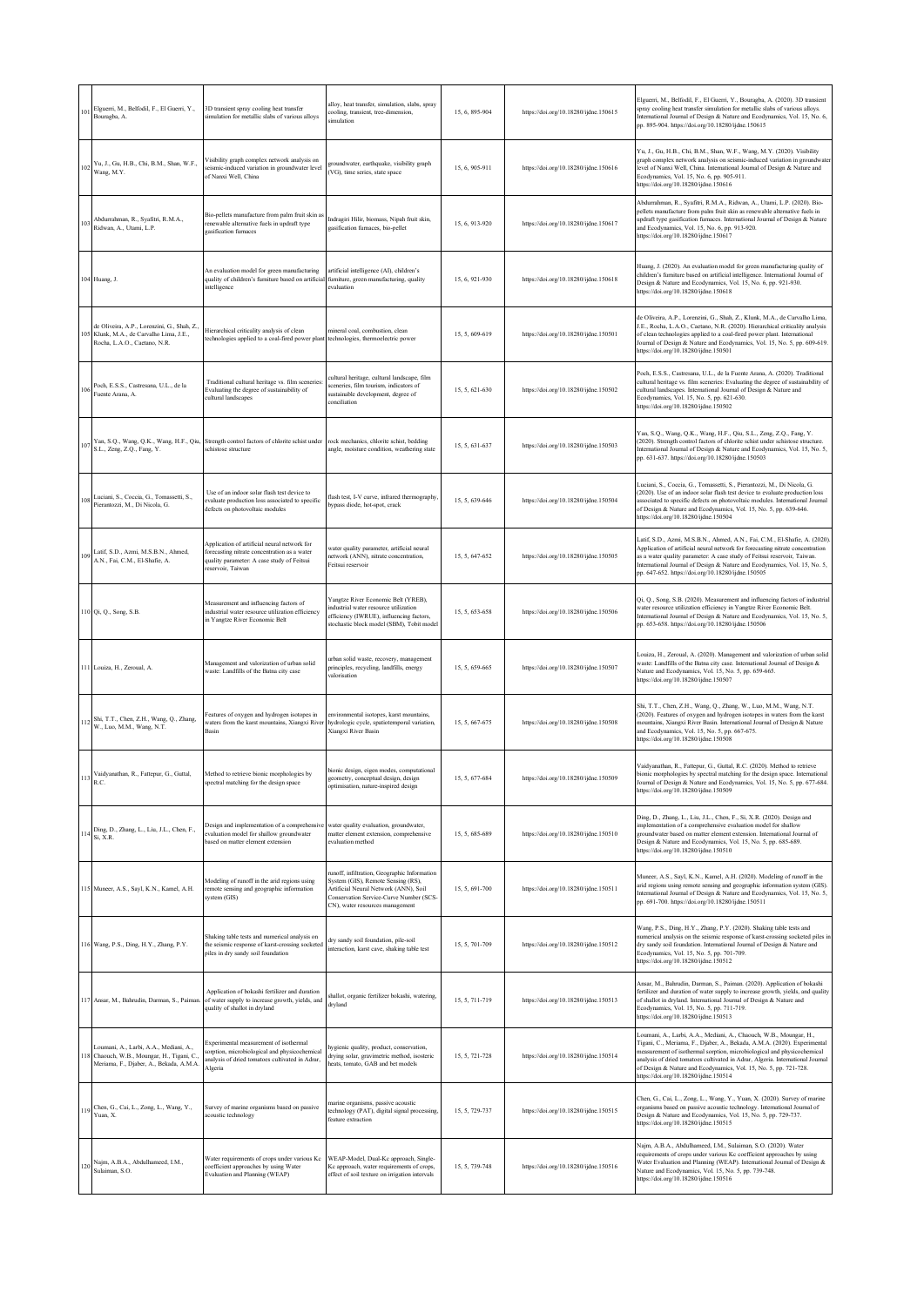| 101             | Elguerri, M., Belfodil, F., El Guerri, Y.,<br>Bouragba, A.                                                                                    | 3D transient spray cooling heat transfer<br>simulation for metallic slabs of various alloys                                                                    | alloy, heat transfer, simulation, slabs, spray<br>cooling, transient, tree-dimension,<br>simulation                                                                                                       | 15, 6, 895-904 | https://doi.org/10.18280/ijdne.150615 | Elguerri, M., Belfodil, F., El Guerri, Y., Bouragba, A. (2020). 3D transient<br>spray cooling heat transfer simulation for metallic slabs of various alloys.<br>International Journal of Design & Nature and Ecodynamics, Vol. 15, No. 6,<br>pp. 895-904. https://doi.org/10.18280/ijdne.150615                                                                                                                          |
|-----------------|-----------------------------------------------------------------------------------------------------------------------------------------------|----------------------------------------------------------------------------------------------------------------------------------------------------------------|-----------------------------------------------------------------------------------------------------------------------------------------------------------------------------------------------------------|----------------|---------------------------------------|--------------------------------------------------------------------------------------------------------------------------------------------------------------------------------------------------------------------------------------------------------------------------------------------------------------------------------------------------------------------------------------------------------------------------|
|                 | $102\begin{array}{l} \mathrm{Yu}, \mathrm{J.,~Gu}, \mathrm{H.B.,~Chi}, \mathrm{B.M.,~Shan,~W.F.,}\\ \mathrm{Wang}, \mathrm{M.Y.} \end{array}$ | Visibility graph complex network analysis on<br>eismic-induced variation in groundwater level<br>of Nanxi Well, China                                          | groundwater, earthquake, visibility graph<br>(VG), time series, state space                                                                                                                               | 15, 6, 905-911 | https://doi.org/10.18280/ijdne.150616 | Yu, J., Gu, H.B., Chi, B.M., Shan, W.F., Wang, M.Y. (2020). Visibility<br>graph complex network analysis on seismic-induced variation in groundwater<br>level of Nanxi Well, China. International Journal of Design & Nature and<br>Ecodynamics, Vol. 15, No. 6, pp. 905-911.<br>https://doi.org/10.18280/ijdne.150616                                                                                                   |
| $10^{\circ}$    | Abdurrahman, R., Syafitri, R.M.A.,<br>Ridwan, A., Utami, L.P.                                                                                 | Bio-pellets manufacture from palm fruit skin as<br>renewable alternative fuels in updraft type<br>asification furnaces                                         | Indragiri Hilir, biomass, Nipah fruit skin,<br>gasification furnaces, bio-pellet                                                                                                                          | 15, 6, 913-920 | https://doi.org/10.18280/ijdne.150617 | Abdurrahman, R., Syafitri, R.M.A., Ridwan, A., Utami, L.P. (2020). Bio-<br>pellets manufacture from palm fruit skin as renewable alternative fuels in<br>updraft type gasification furnaces. International Journal of Design & Nature<br>and Ecodynamics, Vol. 15, No. 6, pp. 913-920.<br>https://doi.org/10.18280/ijdne.150617                                                                                          |
|                 | 104 Huang, J.                                                                                                                                 | An evaluation model for green manufacturing<br>quality of children's furniture based on artificia<br>intelligence                                              | artificial intelligence (AI), children's<br>furniture, green manufacturing, quality<br>evaluation                                                                                                         | 15, 6, 921-930 | https://doi.org/10.18280/ijdne.150618 | Huang, J. (2020). An evaluation model for green manufacturing quality of<br>children's furniture based on artificial intelligence. International Journal of<br>Design & Nature and Ecodynamics, Vol. 15, No. 6, pp. 921-930.<br>https://doi.org/10.18280/ijdne.150618                                                                                                                                                    |
| 10 <sup>4</sup> | de Oliveira, A.P., Lorenzini, G., Shah, Z.,<br>Klunk, M.A., de Carvalho Lima, J.E.,<br>Rocha, L.A.O., Caetano, N.R.                           | Hierarchical criticality analysis of clean<br>technologies applied to a coal-fired power plan                                                                  | mineral coal, combustion, clean<br>technologies, thermoelectric power                                                                                                                                     | 15, 5, 609-619 | https://doi.org/10.18280/ijdne.150501 | de Oliveira, A.P., Lorenzini, G., Shah, Z., Klunk, M.A., de Carvalho Lima,<br>J.E., Rocha, L.A.O., Caetano, N.R. (2020). Hierarchical criticality analysis<br>of clean technologies applied to a coal-fired power plant. International<br>Journal of Design & Nature and Ecodynamics, Vol. 15, No. 5, pp. 609-619.<br>https://doi.org/10.18280/ijdne.150501                                                              |
|                 | Poch, E.S.S., Castresana, U.L., de la<br>Fuente Arana, A.                                                                                     | Traditional cultural heritage vs. film sceneries:<br>Evaluating the degree of sustainability of<br>cultural landscapes                                         | cultural heritage, cultural landscape, film<br>sceneries, film tourism, indicators of<br>sustainable development, degree of<br>conciliation                                                               | 15, 5, 621-630 | https://doi.org/10.18280/ijdne.150502 | Poch, E.S.S., Castresana, U.L., de la Fuente Arana, A. (2020). Traditional<br>cultural heritage vs. film sceneries: Evaluating the degree of sustainability of<br>cultural landscapes. International Journal of Design & Nature and<br>Ecodynamics, Vol. 15, No. 5, pp. 621-630.<br>https://doi.org/10.18280/ijdne.150502                                                                                                |
| 107             | S.L., Zeng, Z.Q., Fang, Y.                                                                                                                    | Yan, S.Q., Wang, Q.K., Wang, H.F., Qiu, Strength control factors of chlorite schist under<br>schistose structure                                               | rock mechanics, chlorite schist, bedding<br>angle, moisture condition, weathering state                                                                                                                   | 15, 5, 631-637 | https://doi.org/10.18280/ijdne.150503 | Yan, S.Q., Wang, Q.K., Wang, H.F., Qiu, S.L., Zeng, Z.Q., Fang, Y.<br>(2020). Strength control factors of chlorite schist under schistose structure.<br>International Journal of Design & Nature and Ecodynamics, Vol. 15, No. 5,<br>pp. 631-637. https://doi.org/10.18280/ijdne.150503                                                                                                                                  |
| 108             | Luciani, S., Coccia, G., Tomassetti, S.,<br>Pierantozzi, M., Di Nicola, G.                                                                    | Use of an indoor solar flash test device to<br>evaluate production loss associated to specific<br>defects on photovoltaic modules                              | flash test, I-V curve, infrared thermography.<br>bypass diode, hot-spot, crack                                                                                                                            | 15, 5, 639-646 | https://doi.org/10.18280/ijdne.150504 | Luciani, S., Coccia, G., Tomassetti, S., Pierantozzi, M., Di Nicola, G.<br>(2020). Use of an indoor solar flash test device to evaluate production loss<br>associated to specific defects on photovoltaic modules. International Journal<br>of Design & Nature and Ecodynamics, Vol. 15, No. 5, pp. 639-646.<br>https://doi.org/10.18280/ijdne.150504                                                                    |
| 109             | Latif, S.D., Azmi, M.S.B.N., Ahmed,<br>A.N., Fai, C.M., El-Shafie, A.                                                                         | Application of artificial neural network for<br>forecasting nitrate concentration as a water<br>quality parameter: A case study of Feitsui<br>eservoir, Taiwan | water quality parameter, artificial neural<br>network (ANN), nitrate concentration,<br>Feitsui reservoir                                                                                                  | 15, 5, 647-652 | https://doi.org/10.18280/ijdne.150505 | Latif, S.D., Azmi, M.S.B.N., Ahmed, A.N., Fai, C.M., El-Shafie, A. (2020).<br>Application of artificial neural network for forecasting nitrate concentration<br>as a water quality parameter: A case study of Feitsui reservoir, Taiwan.<br>International Journal of Design & Nature and Ecodynamics, Vol. 15, No. 5,<br>pp. 647-652. https://doi.org/10.18280/ijdne.150505                                              |
|                 | 110 Qi, Q., Song, S.B.                                                                                                                        | Measurement and influencing factors of<br>industrial water resource utilization efficiency<br>in Yangtze River Economic Belt                                   | Yangtze River Economic Belt (YREB),<br>industrial water resource utilization<br>efficiency (IWRUE), influencing factors,<br>stochastic block model (SBM), Tobit model                                     | 15, 5, 653-658 | https://doi.org/10.18280/ijdne.150506 | Qi, Q., Song, S.B. (2020). Measurement and influencing factors of industrial<br>water resource utilization efficiency in Yangtze River Economic Belt.<br>International Journal of Design & Nature and Ecodynamics, Vol. 15, No. 5,<br>pp. 653-658. https://doi.org/10.18280/ijdne.150506                                                                                                                                 |
|                 | 111 Louiza, H., Zeroual, A.                                                                                                                   | Management and valorization of urban solid<br>waste: Landfills of the Batna city case                                                                          | urban solid waste, recovery, management<br>principles, recycling, landfills, energy<br>valorisation                                                                                                       | 15, 5, 659-665 | https://doi.org/10.18280/ijdne.150507 | Louiza, H., Zeroual, A. (2020). Management and valorization of urban solid<br>waste: Landfills of the Batna city case. International Journal of Design &<br>Nature and Ecodynamics, Vol. 15, No. 5, pp. 659-665.<br>https://doi.org/10.18280/ijdne.150507                                                                                                                                                                |
|                 | Shi, T.T., Chen, Z.H., Wang, Q., Zhang, W., Luo, M.M., Wang, N.T.                                                                             | Features of oxygen and hydrogen isotopes in<br>waters from the karst mountains, Xiangxi River<br>Basin                                                         | environmental isotopes, karst mountains,<br>hydrologic cycle, spatiotemporal variation,<br>Xiangxi River Basin                                                                                            | 15, 5, 667-675 | https://doi.org/10.18280/ijdne.150508 | Shi, T.T., Chen, Z.H., Wang, Q., Zhang, W., Luo, M.M., Wang, N.T.<br>(2020). Features of oxygen and hydrogen isotopes in waters from the karst<br>mountains, Xiangxi River Basin. International Journal of Design & Nature<br>and Ecodynamics, Vol. 15, No. 5, pp. 667-675.<br>https://doi.org/10.18280/ijdne.150508                                                                                                     |
|                 | Vaidyanathan, R., Fattepur, G., Guttal,<br>R.C.                                                                                               | Method to retrieve bionic morphologies by<br>spectral matching for the design space                                                                            | bionic design, eigen modes, computational<br>cometry, conceptual design, design<br>optimisation, nature-inspired design                                                                                   | 15.5.677-684   | https://doi.org/10.18280/ijdne.150509 | Vaidyanathan, R., Fattepur, G., Guttal, R.C. (2020). Method to retrieve<br>bionic morphologies by spectral matching for the design space. International<br>Journal of Design & Nature and Ecodynamics, Vol. 15, No. 5, pp. 677-684.<br>https://doi.org/10.18280/ijdne.150509                                                                                                                                             |
|                 | 114 Ding, D., Zhang, L., Liu, J.L., Chen, F.,<br>Si, X.R.                                                                                     | Design and implementation of a comprehensive<br>evaluation model for shallow groundwater<br>based on matter element extension                                  | water quality evaluation, groundwater,<br>matter element extension, comprehensive<br>evaluation method                                                                                                    | 15, 5, 685-689 | https://doi.org/10.18280/ijdne.150510 | Ding, D., Zhang, L., Liu, J.L., Chen, F., Si, X.R. (2020). Design and<br>implementation of a comprehensive evaluation model for shallow<br>groundwater based on matter element extension. International Journal of<br>Design & Nature and Ecodynamics, Vol. 15, No. 5, pp. 685-689.<br>https://doi.org/10.18280/ijdne.150510                                                                                             |
|                 | 115 Muneer, A.S., Sayl, K.N., Kamel, A.H.                                                                                                     | Modeling of runoff in the arid regions using<br>remote sensing and geographic information<br>system (GIS)                                                      | runoff, infiltration, Geographic Information<br>System (GIS), Remote Sensing (RS),<br>Artificial Neural Network (ANN), Soil<br>Conservation Service-Curve Number (SCS-<br>CN), water resources management | 15, 5, 691-700 | https://doi.org/10.18280/ijdne.150511 | Muneer, A.S., Sayl, K.N., Kamel, A.H. (2020). Modeling of runoff in the<br>arid regions using remote sensing and geographic information system (GIS).<br>International Journal of Design & Nature and Ecodynamics, Vol. 15, No. 5,<br>pp. 691-700. https://doi.org/10.18280/ijdne.150511                                                                                                                                 |
|                 | 116 Wang, P.S., Ding, H.Y., Zhang, P.Y.                                                                                                       | Shaking table tests and numerical analysis on<br>the seismic response of karst-crossing socketed<br>piles in dry sandy soil foundation                         | dry sandy soil foundation, pile-soil<br>interaction, karst cave, shaking table test                                                                                                                       | 15, 5, 701-709 | https://doi.org/10.18280/ijdne.150512 | Wang, P.S., Ding, H.Y., Zhang, P.Y. (2020). Shaking table tests and<br>numerical analysis on the seismic response of karst-crossing socketed piles in<br>dry sandy soil foundation. International Journal of Design & Nature and<br>Ecodynamics, Vol. 15, No. 5, pp. 701-709.<br>https://doi.org/10.18280/ijdne.150512                                                                                                   |
|                 | 117 Ansar, M., Bahrudin, Darman, S., Paiman.                                                                                                  | Application of bokashi fertilizer and duration<br>of water supply to increase growth, yields, and<br>quality of shallot in dryland                             | shallot, organic fertilizer bokashi, watering,<br>dryland                                                                                                                                                 | 15, 5, 711-719 | https://doi.org/10.18280/ijdne.150513 | Ansar, M., Bahrudin, Darman, S., Paiman. (2020). Application of bokashi<br>fertilizer and duration of water supply to increase growth, yields, and quality<br>of shallot in dryland. International Journal of Design & Nature and<br>Ecodynamics, Vol. 15, No. 5, pp. 711-719.<br>https://doi.org/10.18280/ijdne.150513                                                                                                  |
|                 | Loumani, A., Larbi, A.A., Mediani, A.,<br>118 Chaouch, W.B., Moungar, H., Tigani, C.,<br>Meriama, F., Djaber, A., Bekada, A.M.A.              | Experimental measurement of isothermal<br>sorption, microbiological and physicochemical<br>analysis of dried tomatoes cultivated in Adrar,<br>Algeria          | hygienic quality, product, conservation,<br>drying solar, gravimetric method, isosteric<br>heats, tomato, GAB and bet models                                                                              | 15, 5, 721-728 | https://doi.org/10.18280/ijdne.150514 | Loumani, A., Larbi, A.A., Mediani, A., Chaouch, W.B., Moungar, H.,<br>Tigani, C., Meriama, F., Djaber, A., Bekada, A.M.A. (2020). Experimental<br>measurement of isothermal sorption, microbiological and physicochemical<br>analysis of dried tomatoes cultivated in Adrar, Algeria. International Journal<br>of Design & Nature and Ecodynamics, Vol. 15, No. 5, pp. 721-728.<br>https://doi.org/10.18280/ijdne.150514 |
| 119             | Chen, G., Cai, L., Zong, L., Wang, Y.,<br>Yuan, X.                                                                                            | Survey of marine organisms based on passive<br>acoustic technology                                                                                             | marine organisms, passive acoustic<br>technology (PAT), digital signal processing,<br>feature extraction                                                                                                  | 15, 5, 729-737 | https://doi.org/10.18280/ijdne.150515 | Chen, G., Cai, L., Zong, L., Wang, Y., Yuan, X. (2020). Survey of marine<br>organisms based on passive acoustic technology. International Journal of<br>Design & Nature and Ecodynamics, Vol. 15, No. 5, pp. 729-737.<br>https://doi.org/10.18280/ijdne.150515                                                                                                                                                           |
| 120             | Najm, A.B.A., Abdulhameed, I.M.,<br>Sulaiman, S.O.                                                                                            | Water requirements of crops under various Kc<br>oefficient approaches by using Water<br>Evaluation and Planning (WEAP)                                         | WEAP-Model, Dual-Kc approach, Single-<br>Kc approach, water requirements of crops,<br>effect of soil texture on irrigation intervals                                                                      | 15, 5, 739-748 | https://doi.org/10.18280/ijdne.150516 | Najm, A.B.A., Abdulhameed, I.M., Sulaiman, S.O. (2020). Water<br>requirements of crops under various Kc coefficient approaches by using<br>Water Evaluation and Planning (WEAP). International Journal of Design &<br>Nature and Ecodynamics, Vol. 15, No. 5, pp. 739-748.<br>https://doi.org/10.18280/ijdne.150516                                                                                                      |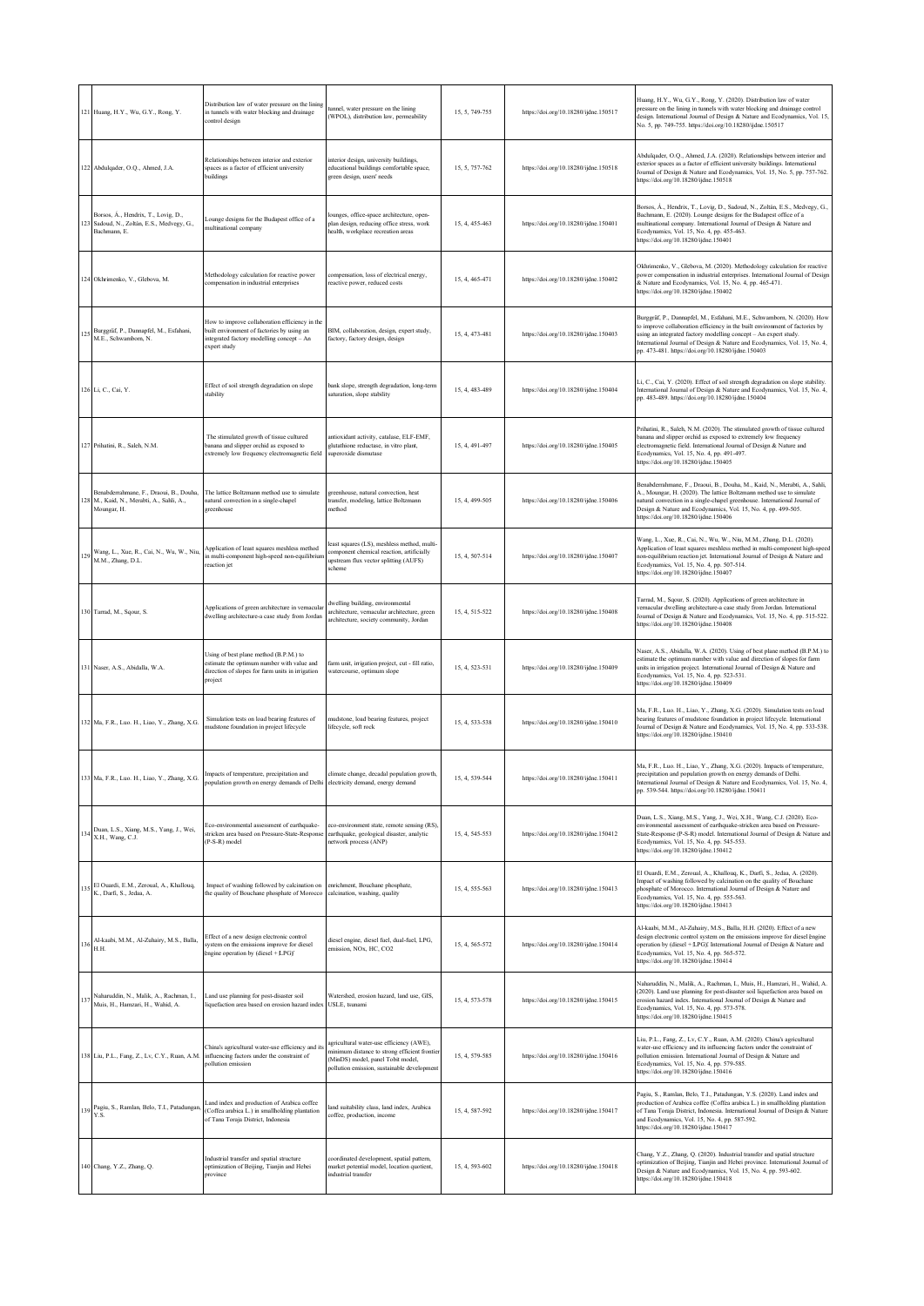|     | 121 Huang, H.Y., Wu, G.Y., Rong, Y.                                                             | Distribution law of water pressure on the lining<br>in tunnels with water blocking and drainage<br>control design                                         | unnel, water pressure on the lining<br>WPOL), distribution law, permeability                                                                                                  | 15, 5, 749-755 | https://doi.org/10.18280/ijdne.150517 | Huang, H.Y., Wu, G.Y., Rong, Y. (2020). Distribution law of water<br>pressure on the lining in tunnels with water blocking and drainage control<br>design. International Journal of Design & Nature and Ecodynamics, Vol. 15,<br>No. 5, pp. 749-755. https://doi.org/10.18280/ijdne.150517                                                                     |
|-----|-------------------------------------------------------------------------------------------------|-----------------------------------------------------------------------------------------------------------------------------------------------------------|-------------------------------------------------------------------------------------------------------------------------------------------------------------------------------|----------------|---------------------------------------|----------------------------------------------------------------------------------------------------------------------------------------------------------------------------------------------------------------------------------------------------------------------------------------------------------------------------------------------------------------|
|     | Abdulqader, O.Q., Ahmed, J.A.                                                                   | Relationships between interior and exterior<br>spaces as a factor of efficient university<br>buildings                                                    | interior design, university buildings,<br>educational buildings comfortable space,<br>green design, users' needs                                                              | 15, 5, 757-762 | https://doi.org/10.18280/ijdne.150518 | Abdulqader, O.Q., Ahmed, J.A. (2020). Relationships between interior and<br>exterior spaces as a factor of efficient university buildings. International<br>Journal of Design & Nature and Ecodynamics, Vol. 15, No. 5, pp. 757-762.<br>https://doi.org/10.18280/ijdne.150518                                                                                  |
|     | Borsos, Á., Hendrix, T., Lovig, D.,<br>Sadoud, N., Zoltán, E.S., Medvegy, G.,<br>Bachmann, E.   | Lounge designs for the Budapest office of a<br>multinational company                                                                                      | ounges, office-space architecture, open-<br>blan design, reducing office stress, work<br>tealth, workplace recreation areas                                                   | 15, 4, 455-463 | https://doi.org/10.18280/ijdne.150401 | Borsos, A., Hendrix, T., Lovig, D., Sadoud, N., Zoltán, E.S., Medvegy, G.<br>Bachmann, E. (2020). Lounge designs for the Budapest office of a<br>multinational company. International Journal of Design & Nature and<br>Ecodynamics, Vol. 15, No. 4, pp. 455-463.<br>https://doi.org/10.18280/ijdne.150401                                                     |
|     | Okhrimenko, V., Glebova, M.                                                                     | Methodology calculation for reactive power<br>compensation in industrial enterprises                                                                      | compensation, loss of electrical energy,<br>reactive power, reduced costs                                                                                                     | 15, 4, 465-471 | https://doi.org/10.18280/ijdne.150402 | Okhrimenko, V., Glebova, M. (2020). Methodology calculation for reactive<br>power compensation in industrial enterprises. International Journal of Design<br>& Nature and Ecodynamics, Vol. 15, No. 4, pp. 465-471.<br>https://doi.org/10.18280/ijdne.150402                                                                                                   |
|     | Burggräf, P., Dannapfel, M., Esfahani,<br>M.E., Schwamborn, N.                                  | How to improve collaboration efficiency in the<br>built environment of factories by using an<br>integrated factory modelling concept - An<br>expert study | BIM, collaboration, design, expert study,<br>factory, factory design, design                                                                                                  | 15, 4, 473-481 | https://doi.org/10.18280/ijdne.150403 | Burggräf, P., Dannapfel, M., Esfahani, M.E., Schwamborn, N. (2020). How<br>to improve collaboration efficiency in the built environment of factories by<br>using an integrated factory modelling concept - An expert study.<br>International Journal of Design & Nature and Ecodynamics, Vol. 15, No. 4,<br>pp. 473-481. https://doi.org/10.18280/ijdne.150403 |
|     | 126 Li, C., Cai, Y.                                                                             | Effect of soil strength degradation on slope<br>stability                                                                                                 | bank slope, strength degradation, long-term<br>aturation, slope stability                                                                                                     | 15, 4, 483-489 | https://doi.org/10.18280/ijdne.150404 | Li, C., Cai, Y. (2020). Effect of soil strength degradation on slope stability.<br>International Journal of Design & Nature and Ecodynamics, Vol. 15, No. 4,<br>pp. 483-489. https://doi.org/10.18280/ijdne.150404                                                                                                                                             |
|     | 127 Prihatini, R., Saleh, N.M.                                                                  | The stimulated growth of tissue cultured<br>banana and slipper orchid as exposed to<br>extremely low frequency electromagnetic field                      | intioxidant activity, catalase, ELF-EMF,<br>glutathione reductase, in vitro plant,<br>auperoxide dismutase                                                                    | 15, 4, 491-497 | https://doi.org/10.18280/ijdne.150405 | Prihatini, R., Saleh, N.M. (2020). The stimulated growth of tissue cultured<br>banana and slipper orchid as exposed to extremely low frequency<br>electromagnetic field. International Journal of Design & Nature and<br>Ecodynamics, Vol. 15, No. 4, pp. 491-497.<br>https://doi.org/10.18280/ijdne.150405                                                    |
|     | Benabderrahmane, F., Draoui, B., Douha,<br>M., Kaid, N., Merabti, A., Sahli, A.,<br>Moungar, H. | The lattice Boltzmann method use to simulate<br>tatural convection in a single-chapel<br>zreenhouse                                                       | greenhouse, natural convection. heat<br>ransfer, modeling, lattice Boltzmann<br>nethod                                                                                        | 15, 4, 499-505 | https://doi.org/10.18280/ijdne.150406 | Benabderrahmane, F., Draoui, B., Douha, M., Kaid, N., Merabti, A., Sahli,<br>A., Moungar, H. (2020). The lattice Boltzmann method use to simulate<br>natural convection in a single-chapel greenhouse. International Journal of<br>Design & Nature and Ecodynamics, Vol. 15, No. 4, pp. 499-505.<br>https://doi.org/10.18280/ijdne.150406                      |
|     | Wang, L., Xue, R., Cai, N., Wu, W., Niu,<br>M.M., Zhang, D.L.                                   | Application of least squares meshless method<br>n multi-component high-speed non-equilibriun<br>reaction iet                                              | east squares (LS), meshless method, multi-<br>component chemical reaction, artificially<br>apstream flux vector splitting (AUFS)<br>cheme                                     | 15, 4, 507-514 | https://doi.org/10.18280/ijdne.150407 | Wang, L., Xue, R., Cai, N., Wu, W., Niu, M.M., Zhang, D.L. (2020).<br>Application of least squares meshless method in multi-component high-speed<br>non-equilibrium reaction jet. International Journal of Design & Nature and<br>Ecodynamics, Vol. 15, No. 4, pp. 507-514.<br>https://doi.org/10.18280/ijdne.150407                                           |
|     | 130 Tarrad, M., Sqour, S.                                                                       | Applications of green architecture in vernacular<br>dwelling architecture-a case study from Jordan                                                        | dwelling building, environmental<br>rchitecture, vernacular architecture, green<br>architecture, society community, Jordan                                                    | 15, 4, 515-522 | https://doi.org/10.18280/ijdne.150408 | Tarrad, M., Sqour, S. (2020). Applications of green architecture in<br>vernacular dwelling architecture-a case study from Jordan. International<br>Journal of Design & Nature and Ecodynamics, Vol. 15, No. 4, pp. 515-522.<br>https://doi.org/10.18280/ijdne.150408                                                                                           |
|     | 131 Naser, A.S., Abidalla, W.A.                                                                 | Using of best plane method (B.P.M.) to<br>estimate the optimum number with value and<br>direction of slopes for farm units in irrigation<br>project       | farm unit, irrigation project, cut - fill ratio,<br>watercourse, optimum slope                                                                                                | 15, 4, 523-531 | https://doi.org/10.18280/ijdne.150409 | Naser, A.S., Abidalla, W.A. (2020). Using of best plane method (B.P.M.) to<br>estimate the optimum number with value and direction of slopes for farm<br>units in irrigation project. International Journal of Design & Nature and<br>Ecodynamics, Vol. 15, No. 4, pp. 523-531.<br>https://doi.org/10.18280/ijdne.150409                                       |
|     | 132 Ma, F.R., Luo. H., Liao, Y., Zhang, X.G.                                                    | Simulation tests on load bearing features of<br>mudstone foundation in project lifecycle                                                                  | mudstone, load bearing features, project<br>lifecycle, soft rock                                                                                                              | 15, 4, 533-538 | https://doi.org/10.18280/ijdne.150410 | Ma, F.R., Luo. H., Liao, Y., Zhang, X.G. (2020). Simulation tests on load<br>bearing features of mudstone foundation in project lifecycle. International<br>Journal of Design & Nature and Ecodynamics, Vol. 15, No. 4, pp. 533-538.<br>https://doi.org/10.18280/ijdne.150410                                                                                  |
|     | Ma, F.R., Luo. H., Liao, Y., Zhang, X.G. Impacts of temperature, precipitation and              | population growth on energy demands of Delhi electricity demand, energy demand                                                                            | climate change, decadal population growth,                                                                                                                                    | 15, 4, 539-544 | https://doi.org/10.18280/ijdne.150411 | Ma, F.R., Luo. H., Liao, Y., Zhang, X.G. (2020). Impacts of temperature,<br>precipitation and population growth on energy demands of Delhi.<br>International Journal of Design & Nature and Ecodynamics, Vol. 15, No. 4,<br>pp. 539-544. https://doi.org/10.18280/ijdne.150411                                                                                 |
| 134 | Duan, L.S., Xiang, M.S., Yang, J., Wei,<br>X.H., Wang, C.J.                                     | Eco-environmental assessment of earthquake-<br>stricken area based on Pressure-State-Response<br>(P-S-R) model                                            | co-environment state, remote sensing (RS),<br>earthquake, geological disaster, analytic<br>tetwork process (ANP)                                                              | 15, 4, 545-553 | https://doi.org/10.18280/ijdne.150412 | Duan, L.S., Xiang, M.S., Yang, J., Wei, X.H., Wang, C.J. (2020). Eco-<br>environmental assessment of earthquake-stricken area based on Pressure-<br>State-Response (P-S-R) model. International Journal of Design & Nature and<br>Ecodynamics, Vol. 15, No. 4, pp. 545-553.<br>https://doi.org/10.18280/ijdne.150412                                           |
|     | El Ouardi, E.M., Zeroual, A., Khallouq,<br>K., Darfi, S., Jedaa, A.                             | Impact of washing followed by calcination on<br>the quality of Bouchane phosphate of Morocco                                                              | enrichment, Bouchane phosphate,<br>calcination, washing, quality                                                                                                              | 15, 4, 555-563 | https://doi.org/10.18280/ijdne.150413 | El Ouardi, E.M., Zeroual, A., Khallouq, K., Darfi, S., Jedaa, A. (2020).<br>Impact of washing followed by calcination on the quality of Bouchane<br>phosphate of Morocco. International Journal of Design & Nature and<br>Ecodynamics, Vol. 15, No. 4, pp. 555-563.<br>https://doi.org/10.18280/ijdne.150413                                                   |
| 136 | Al-kaabi, M.M., Al-Zuhairy, M.S., Balla,<br>H.H.                                                | Effect of a new design electronic control<br>system on the emissions improve for diesel<br>engine operation by (diesel + LPG)'                            | diesel engine, diesel fuel, dual-fuel, LPG,<br>emission, NOx, HC, CO2                                                                                                         | 15, 4, 565-572 | https://doi.org/10.18280/ijdne.150414 | Al-kaabi, M.M., Al-Zuhairy, M.S., Balla, H.H. (2020). Effect of a new<br>design electronic control system on the emissions improve for diesel engine<br>operation by (diesel + [LPG)]. International Journal of Design & Nature and<br>Ecodynamics, Vol. 15, No. 4, pp. 565-572.<br>https://doi.org/10.18280/ijdne.150414                                      |
| 13  | Naharuddin, N., Malik, A., Rachman, I.,<br>Muis, H., Hamzari, H., Wahid, A.                     | Land use planning for post-disaster soil<br>liquefaction area based on erosion hazard index                                                               | Watershed, erosion hazard, land use, GIS,<br>USLE, tsunami                                                                                                                    | 15, 4, 573-578 | https://doi.org/10.18280/ijdne.150415 | Naharuddin, N., Malik, A., Rachman, I., Muis, H., Hamzari, H., Wahid, A.<br>(2020). Land use planning for post-disaster soil liquefaction area based on<br>erosion hazard index. International Journal of Design & Nature and<br>Ecodynamics, Vol. 15, No. 4, pp. 573-578.<br>https://doi.org/10.18280/ijdne.150415                                            |
|     | 138 Liu, P.L., Fang, Z., Lv, C.Y., Ruan, A.M.                                                   | China's agricultural water-use efficiency and its<br>influencing factors under the constraint of<br>pollution emission                                    | agricultural water-use efficiency (AWE),<br>minimum distance to strong efficient frontier<br>(MinDS) model, panel Tobit model,<br>pollution emission, sustainable development | 15, 4, 579-585 | https://doi.org/10.18280/ijdne.150416 | Liu, P.L., Fang, Z., Lv, C.Y., Ruan, A.M. (2020). China's agricultural<br>water-use efficiency and its influencing factors under the constraint of<br>pollution emission. International Journal of Design & Nature and<br>Ecodynamics, Vol. 15, No. 4, pp. 579-585.<br>https://doi.org/10.18280/ijdne.150416                                                   |
| 139 | Pagiu, S., Ramlan, Belo, T.I., Patadungan<br>Y.S.                                               | Land index and production of Arabica coffee<br>(Coffea arabica L.) in smallholding plantation<br>of Tana Toraja District, Indonesia                       | land suitability class, land index, Arabica<br>coffee, production, income                                                                                                     | 15, 4, 587-592 | https://doi.org/10.18280/ijdne.150417 | Pagiu, S., Ramlan, Belo, T.I., Patadungan, Y.S. (2020). Land index and<br>production of Arabica coffee (Coffea arabica L.) in smallholding plantation<br>of Tana Toraja District, Indonesia. International Journal of Design & Nature<br>and Ecodynamics, Vol. 15, No. 4, pp. 587-592.<br>https://doi.org/10.18280/ijdne.150417                                |
|     | 140 Chang, Y.Z., Zhang, Q.                                                                      | Industrial transfer and spatial structure<br>optimization of Beijing, Tianjin and Hebei<br>province                                                       | oordinated development, spatial pattern,<br>narket potential model, location quotient,<br>ndustrial transfer                                                                  | 15, 4, 593-602 | https://doi.org/10.18280/ijdne.150418 | Chang, Y.Z., Zhang, Q. (2020). Industrial transfer and spatial structure<br>optimization of Beijing, Tianjin and Hebei province. International Journal of<br>Design & Nature and Ecodynamics, Vol. 15, No. 4, pp. 593-602.<br>https://doi.org/10.18280/ijdne.150418                                                                                            |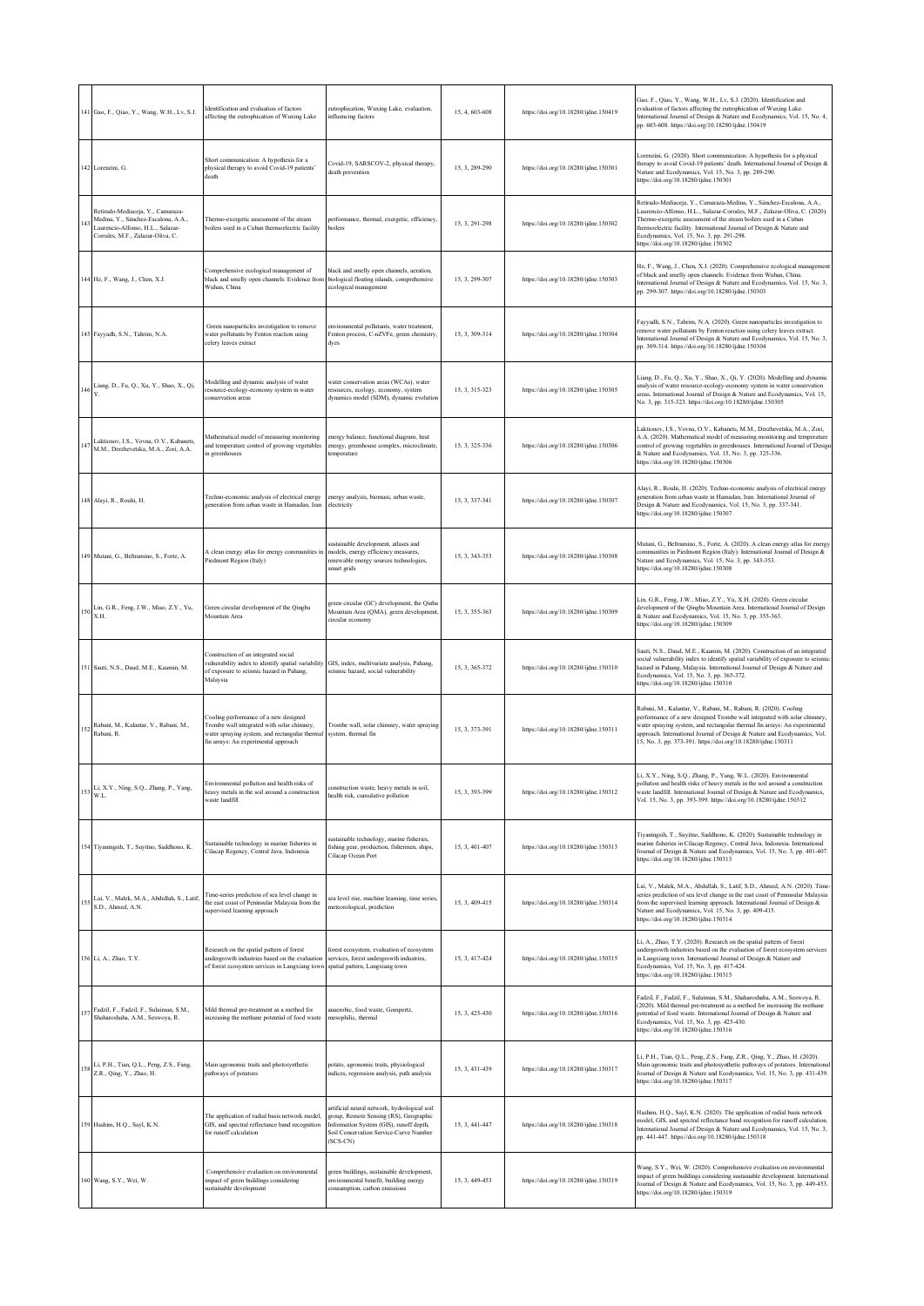|     | 141 Gao, F., Qiao, Y., Wang, W.H., Lv, S.J.                                                                                                        | dentification and evaluation of factors.<br>affecting the eutrophication of Wuxing Lake                                                                                       | eutrophication, Wuxing Lake, evaluation,<br>influencing factors                                                                                                                           | 15, 4, 603-608 | https://doi.org/10.18280/ijdne.150419 | Gao, F., Qiao, Y., Wang, W.H., Lv, S.J. (2020). Identification and<br>evaluation of factors affecting the eutrophication of Wuxing Lake.<br>International Journal of Design & Nature and Ecodynamics, Vol. 15, No. 4,<br>pp. 603-608. https://doi.org/10.18280/ijdne.150419                                                                                                           |
|-----|----------------------------------------------------------------------------------------------------------------------------------------------------|-------------------------------------------------------------------------------------------------------------------------------------------------------------------------------|-------------------------------------------------------------------------------------------------------------------------------------------------------------------------------------------|----------------|---------------------------------------|---------------------------------------------------------------------------------------------------------------------------------------------------------------------------------------------------------------------------------------------------------------------------------------------------------------------------------------------------------------------------------------|
|     | 142 Lorenzini, G.                                                                                                                                  | Short communication: A hypothesis for a<br>physical therapy to avoid Covid-19 patients'<br>death                                                                              | Covid-19, SARSCOV-2, physical therapy,<br>death prevention                                                                                                                                | 15.3.289-290   | https://doi.org/10.18280/ijdne.150301 | Lorenzini, G. (2020). Short communication: A hypothesis for a physical<br>therapy to avoid Covid-19 patients' death. International Journal of Design &<br>Nature and Ecodynamics, Vol. 15, No. 3, pp. 289-290.<br>https://doi.org/10.18280/ijdne.150301                                                                                                                               |
| (4) | Retirado-Mediaceja, Y., Camaraza-<br>Medina, Y., Sánchez-Escalona, A.A.,<br>Laurencio-Alfonso, H.L., Salazar-<br>Corrales, M.F., Zalazar-Oliva, C. | Thermo-exergetic assessment of the steam<br>boilers used in a Cuban thermoelectric facility                                                                                   | performance, thermal, exergetic, efficiency,<br>boilers                                                                                                                                   | 15, 3, 291-298 | https://doi.org/10.18280/ijdne.150302 | Retirado-Mediaceja, Y., Camaraza-Medina, Y., Sánchez-Escalona, A.A.,<br>Laurencio-Alfonso, H.L., Salazar-Corrales, M.F., Zalazar-Oliva, C. (2020).<br>Thermo-exergetic assessment of the steam boilers used in a Cuban<br>thermoelectric facility. International Journal of Design & Nature and<br>Ecodynamics, Vol. 15, No. 3, pp. 291-298.<br>https://doi.org/10.18280/ijdne.150302 |
|     | 144 He, F., Wang, J., Chen, X.J.                                                                                                                   | Comprehensive ecological management of<br>black and smelly open channels: Evidence from<br>Wuhan, China                                                                       | black and smelly open channels, aeration,<br>biological floating islands, comprehensive<br>ecological management                                                                          | 15, 3, 299-307 | https://doi.org/10.18280/ijdne.150303 | He, F., Wang, J., Chen, X.J. (2020). Comprehensive ecological management<br>of black and smelly open channels: Evidence from Wuhan, China.<br>International Journal of Design & Nature and Ecodynamics, Vol. 15, No. 3,<br>pp. 299-307. https://doi.org/10.18280/ijdne.150303                                                                                                         |
|     | 145 Fayyadh, S.N., Tahrim, N.A.                                                                                                                    | Green nanoparticles investigation to remove<br>water pollutants by Fenton reaction using<br>celery leaves extract                                                             | environmental pollutants, water treatment,<br>Fenton process, C-nZVFe, green chemistry,<br>dyes                                                                                           | 15, 3, 309-314 | https://doi.org/10.18280/ijdne.150304 | Fayyadh, S.N., Tahrim, N.A. (2020). Green nanoparticles investigation to<br>remove water pollutants by Fenton reaction using celery leaves extract.<br>International Journal of Design & Nature and Ecodynamics, Vol. 15, No. 3,<br>pp. 309-314. https://doi.org/10.18280/ijdne.150304                                                                                                |
| 146 | Liang, D., Fu, Q., Xu, Y., Shao, X., Qi,                                                                                                           | Modelling and dynamic analysis of water<br>resource-ecology-economy system in water<br>onservation areas                                                                      | water conservation areas (WCAs), water<br>resources, ecology, economy, system<br>dynamics model (SDM), dynamic evolution                                                                  | 15, 3, 315-323 | https://doi.org/10.18280/ijdne.150305 | Liang, D., Fu, Q., Xu, Y., Shao, X., Qi, Y. (2020). Modelling and dynamic<br>analysis of water resource-ecology-economy system in water conservation<br>areas. International Journal of Design & Nature and Ecodynamics, Vol. 15,<br>No. 3, pp. 315-323. https://doi.org/10.18280/ijdne.150305                                                                                        |
|     | Laktionov, I.S., Vovna, O.V., Kabanets,<br>M.M., Derzhevetska, M.A., Zori, A.A.                                                                    | Aathematical model of measuring monitoring<br>and temperature control of growing vegetables<br>n greenhouses                                                                  | nergy balance, functional diagram, heat<br>energy, greenhouse complex, microclimate,<br>emperature                                                                                        | 15, 3, 325-336 | https://doi.org/10.18280/ijdne.150306 | Laktionov, I.S., Vovna, O.V., Kabanets, M.M., Derzhevetska, M.A., Zori,<br>A.A. (2020). Mathematical model of measuring monitoring and temperature<br>control of growing vegetables in greenhouses. International Journal of Design<br>& Nature and Ecodynamics, Vol. 15, No. 3, pp. 325-336.<br>https://doi.org/10.18280/ijdne.150306                                                |
|     | 148 Alayi, R., Rouhi, H.                                                                                                                           | l'echno-economic analysis of electrical energy<br>generation from urban waste in Hamadan, Iran                                                                                | energy analysis, biomass, urban waste,<br>electricity                                                                                                                                     | 15, 3, 337-341 | https://doi.org/10.18280/ijdne.150307 | Alayi, R., Rouhi, H. (2020). Techno-economic analysis of electrical energy<br>generation from urban waste in Hamadan, Iran. International Journal of<br>Design & Nature and Ecodynamics, Vol. 15, No. 3, pp. 337-341.<br>https://doi.org/10.18280/ijdne.150307                                                                                                                        |
|     | 149 Mutani, G., Beltramino, S., Forte, A.                                                                                                          | A clean energy atlas for energy communities in<br>Piedmont Region (Italy)                                                                                                     | sustainable development, atlases and<br>models, energy efficiency measures,<br>renewable energy sources technologies,<br>smart grids                                                      | 15, 3, 343-353 | https://doi.org/10.18280/ijdne.150308 | Mutani, G., Beltramino, S., Forte, A. (2020). A clean energy atlas for energy<br>communities in Piedmont Region (Italy). International Journal of Design &<br>Nature and Ecodynamics, Vol. 15, No. 3, pp. 343-353.<br>https://doi.org/10.18280/ijdne.150308                                                                                                                           |
|     | $150\begin{array}{l} \text{Lin, G.R., Feng, J.W., Miao, Z.Y., Yu,}\\ \text{X.H.} \end{array}$                                                      | Green circular development of the Qingba<br>Mountain Area                                                                                                                     | green circular (GC) development, the Qinba<br>Mountain Area (QMA), green development,<br>circular economy                                                                                 | 15, 3, 355-363 | https://doi.org/10.18280/ijdne.150309 | Lin, G.R., Feng, J.W., Miao, Z.Y., Yu, X.H. (2020). Green circular<br>development of the Qingba Mountain Area. International Journal of Design<br>& Nature and Ecodynamics, Vol. 15, No. 3, pp. 355-363.<br>https://doi.org/10.18280/ijdne.150309                                                                                                                                     |
|     | 151 Sauti, N.S., Daud, M.E., Kaamin, M.                                                                                                            | Construction of an integrated social<br>ulnerability index to identify spatial variability<br>of exposure to seismic hazard in Pahang,<br>Malaysia                            | GIS, index, multivariate analysis, Pahang,<br>seismic hazard, social vulnerability                                                                                                        | 15, 3, 365-372 | https://doi.org/10.18280/ijdne.150310 | Sauti, N.S., Daud, M.E., Kaamin, M. (2020). Construction of an integrated<br>social vulnerability index to identify spatial variability of exposure to seismi-<br>hazard in Pahang, Malaysia. International Journal of Design & Nature and<br>Ecodynamics, Vol. 15, No. 3, pp. 365-372.<br>https://doi.org/10.18280/ijdne.150310                                                      |
| 152 | Rabani, M., Kalantar, V., Rabani, M.,<br>Rabani, R.                                                                                                | Cooling performance of a new designed<br>Trombe wall integrated with solar chimney,<br>water spraying system, and rectangular thermal<br>fin arrays: An experimental approach | Trombe wall, solar chimney, water spraying<br>system, thermal fin                                                                                                                         | 15, 3, 373-391 | https://doi.org/10.18280/ijdne.150311 | Rabani, M., Kalantar, V., Rabani, M., Rabani, R. (2020). Cooling<br>performance of a new designed Trombe wall integrated with solar chimney,<br>water spraying system, and rectangular thermal fin arrays: An experimental<br>approach. International Journal of Design & Nature and Ecodynamics, Vol.<br>15, No. 3, pp. 373-391. https://doi.org/10.18280/ijdne.150311               |
|     | 153 Li, X.Y., Ning, S.Q., Zhang, P., Yang, W.L.                                                                                                    | Environmental pollution and health risks of<br>heavy metals in the soil around a construction<br>waste landfill                                                               | onstruction waste, heavy metals in soil,<br>health risk, cumulative pollution                                                                                                             | 15, 3, 393-399 | https://doi.org/10.18280/ijdne.150312 | Li, X.Y., Ning, S.Q., Zhang, P., Yang, W.L. (2020). Environmental<br>pollution and health risks of heavy metals in the soil around a construction<br>waste landfill. International Journal of Design & Nature and Ecodynamics,<br>Vol. 15, No. 3, pp. 393-399. https://doi.org/10.18280/ijdne.150312                                                                                  |
|     | 154 Tiyaningsih, T., Suyitno, Saddhono, K.                                                                                                         | Sustainable technology in marine fisheries in<br>Cilacap Regency, Central Java, Indonesia                                                                                     | sustainable technology, marine fisheries,<br>fishing gear, production, fishermen, ships,<br>Cilacap Ocean Port                                                                            | 15, 3, 401-407 | https://doi.org/10.18280/ijdne.150313 | Tiyaningsih, T., Suyitno, Saddhono, K. (2020). Sustainable technology in<br>marine fisheries in Cilacap Regency, Central Java, Indonesia. International<br>Journal of Design & Nature and Ecodynamics, Vol. 15, No. 3, pp. 401-407.<br>https://doi.org/10.18280/ijdne.150313                                                                                                          |
|     | Lai, V., Malek, M.A., Abdullah, S., Latif,<br>$155$ S.D., Ahmed, A.N.                                                                              | Time-series prediction of sea level change in<br>the east coast of Peninsular Malaysia from the<br>supervised learning approach                                               | sea level rise, machine learning, time series,<br>meteorological, prediction                                                                                                              | 15, 3, 409-415 | https://doi.org/10.18280/ijdne.150314 | Lai, V., Malek, M.A., Abdullah, S., Latif, S.D., Ahmed, A.N. (2020). Time-<br>series prediction of sea level change in the east coast of Peninsular Malaysia<br>from the supervised learning approach. International Journal of Design &<br>Nature and Ecodynamics, Vol. 15, No. 3, pp. 409-415.<br>https://doi.org/10.18280/ijdne.150314                                             |
|     | 156 Li, A., Zhao, T.Y.                                                                                                                             | Research on the spatial pattern of forest<br>undergrowth industries based on the evaluation<br>of forest ecosystem services in Langxiang town                                 | forest ecosystem, evaluation of ecosystem<br>services, forest undergrowth industries,<br>spatial pattern, Langxiang town                                                                  | 15, 3, 417-424 | https://doi.org/10.18280/ijdne.150315 | Li, A., Zhao, T.Y. (2020). Research on the spatial pattern of forest<br>undergrowth industries based on the evaluation of forest ecosystem services<br>in Langxiang town. International Journal of Design & Nature and<br>Ecodynamics, Vol. 15, No. 3, pp. 417-424.<br>https://doi.org/10.18280/ijdne.150315                                                                          |
| 157 | Fadzil, F., Fadzil, F., Sulaiman, S.M.,<br>Shaharoshaha, A.M., Seswoya, R.                                                                         | Mild thermal pre-treatment as a method for<br>increasing the methane potential of food waste                                                                                  | anaerobic, food waste, Gompertz,<br>mesophilic, thermal                                                                                                                                   | 15, 3, 425-430 | https://doi.org/10.18280/ijdne.150316 | Fadzil, F., Fadzil, F., Sulaiman, S.M., Shaharoshaha, A.M., Seswoya, R.<br>(2020). Mild thermal pre-treatment as a method for increasing the methane<br>potential of food waste. International Journal of Design & Nature and<br>Ecodynamics, Vol. 15, No. 3, pp. 425-430.<br>https://doi.org/10.18280/ijdne.150316                                                                   |
|     | 158 Li, P.H., Tian, Q.L., Peng, Z.S., Fang, Z.R., Qing, Y., Zhao, H.                                                                               | Main agronomic traits and photosynthetic<br>pathways of potatoes                                                                                                              | potato, agronomic traits, physiological<br>indices, regression analysis, path analysis                                                                                                    | 15, 3, 431-439 | https://doi.org/10.18280/ijdne.150317 | Li, P.H., Tian, Q.L., Peng, Z.S., Fang, Z.R., Qing, Y., Zhao, H. (2020).<br>Main agronomic traits and photosynthetic pathways of potatoes. International<br>Journal of Design & Nature and Ecodynamics, Vol. 15, No. 3, pp. 431-439.<br>https://doi.org/10.18280/ijdne.150317                                                                                                         |
|     | 159 Hashim, H.Q., Sayl, K.N.                                                                                                                       | The application of radial basis network model,<br>GIS, and spectral reflectance band recognition<br>for runoff calculation                                                    | artificial neural network, hydrological soil<br>group, Remote Sensing (RS), Geographic<br>Information System (GIS), runoff depth,<br>Soil Conservation Service-Curve Number<br>$(SCS-CN)$ | 15, 3, 441-447 | https://doi.org/10.18280/ijdne.150318 | Hashim, H.Q., Sayl, K.N. (2020). The application of radial basis network<br>model, GIS, and spectral reflectance band recognition for runoff calculation.<br>International Journal of Design & Nature and Ecodynamics, Vol. 15, No. 3,<br>pp. 441-447. https://doi.org/10.18280/ijdne.150318                                                                                          |
|     | 160 Wang, S.Y., Wei, W.                                                                                                                            | Comprehensive evaluation on environmental<br>mpact of green buildings considering<br>ustainable development                                                                   | green buildings, sustainable development,<br>environmental benefit, building energy<br>consumption, carbon emissions                                                                      | 15, 3, 449-453 | https://doi.org/10.18280/ijdne.150319 | Wang, S.Y., Wei, W. (2020). Comprehensive evaluation on environmental<br>impact of green buildings considering sustainable development. International<br>Journal of Design & Nature and Ecodynamics, Vol. 15, No. 3, pp. 449-453.<br>https://doi.org/10.18280/ijdne.150319                                                                                                            |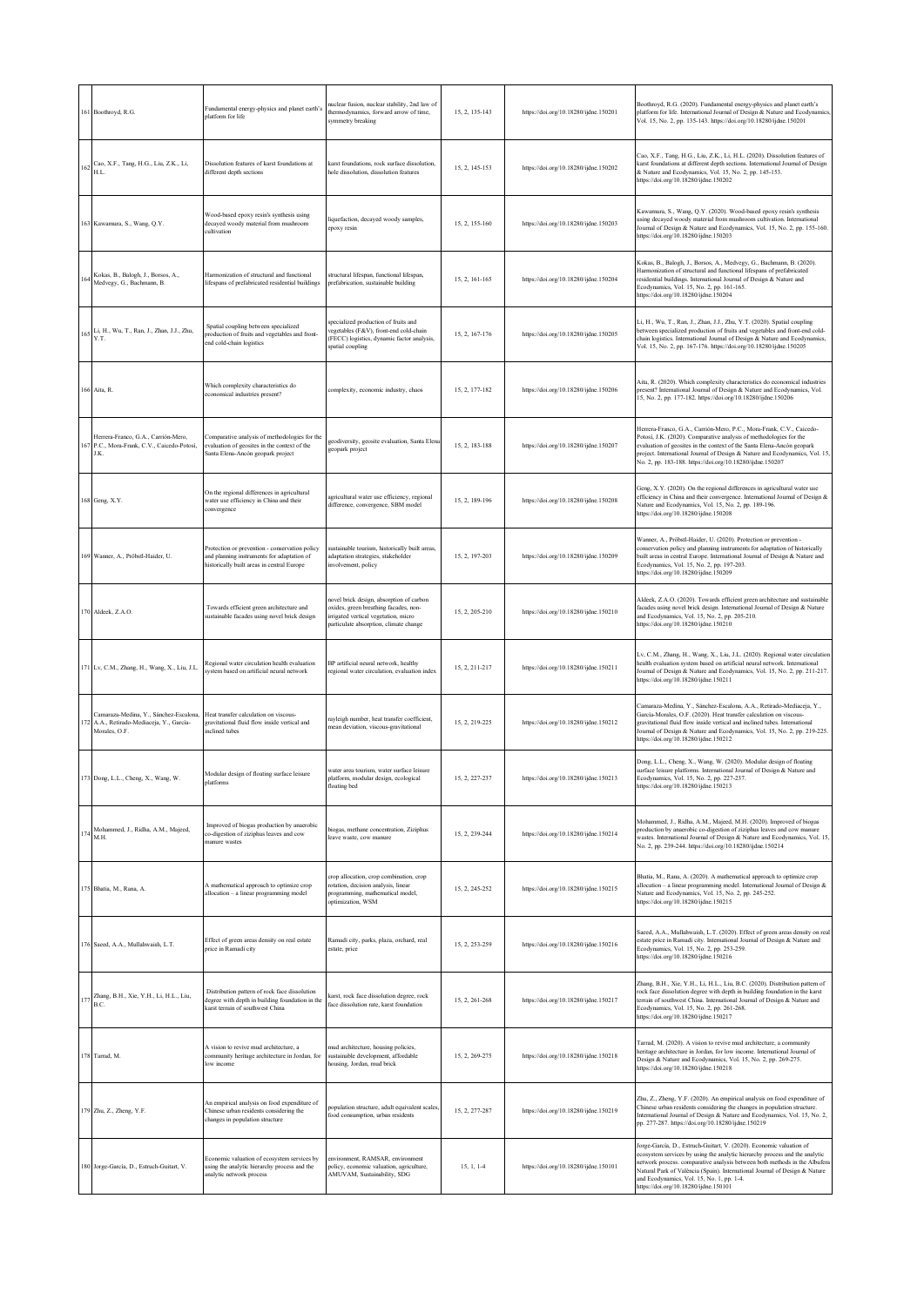|     | 161 Boothroyd, R.G.                                                                              | Fundamental energy-physics and planet earth's<br>platform for life                                                                        | nuclear fusion, nuclear stability, 2nd law of<br>thermodynamics, forward arrow of time,<br>symmetry breaking                                                        | 15, 2, 135-143 | https://doi.org/10.18280/ijdne.150201 | Boothroyd, R.G. (2020). Fundamental energy-physics and planet earth's<br>platform for life. International Journal of Design & Nature and Ecodynamics,<br>Vol. 15, No. 2, pp. 135-143. https://doi.org/10.18280/ijdne.150201                                                                                                                                                                          |
|-----|--------------------------------------------------------------------------------------------------|-------------------------------------------------------------------------------------------------------------------------------------------|---------------------------------------------------------------------------------------------------------------------------------------------------------------------|----------------|---------------------------------------|------------------------------------------------------------------------------------------------------------------------------------------------------------------------------------------------------------------------------------------------------------------------------------------------------------------------------------------------------------------------------------------------------|
| 16. | Cao, X.F., Tang, H.G., Liu, Z.K., Li,<br>H.L.                                                    | Dissolution features of karst foundations at<br>different depth sections                                                                  | karst foundations, rock surface dissolution,<br>hole dissolution, dissolution features                                                                              | 15, 2, 145-153 | https://doi.org/10.18280/ijdne.150202 | Cao, X.F., Tang, H.G., Liu, Z.K., Li, H.L. (2020). Dissolution features of<br>karst foundations at different depth sections. International Journal of Design<br>& Nature and Ecodynamics, Vol. 15, No. 2, pp. 145-153.<br>https://doi.org/10.18280/ijdne.150202                                                                                                                                      |
|     | 163 Kawamura, S., Wang, Q.Y.                                                                     | Wood-based epoxy resin's synthesis using<br>decayed woody material from mushroom<br>cultivation                                           | liquefaction, decayed woody samples,<br>epoxy resin                                                                                                                 | 15, 2, 155-160 | https://doi.org/10.18280/ijdne.150203 | Kawamura, S., Wang, Q.Y. (2020). Wood-based epoxy resin's synthesis<br>using decayed woody material from mushroom cultivation. International<br>Journal of Design & Nature and Ecodynamics, Vol. 15, No. 2, pp. 155-160.<br>https://doi.org/10.18280/ijdne.150203                                                                                                                                    |
|     | Kokas, B., Balogh, J., Borsos, A.,<br>Medvegy, G., Bachmann, B.                                  | Harmonization of structural and functional<br>lifespans of prefabricated residential buildings                                            | structural lifespan, functional lifespan,<br>prefabrication, sustainable building                                                                                   | 15.2.161-165   | https://doi.org/10.18280/ijdne.150204 | Kokas, B., Balogh, J., Borsos, A., Medvegy, G., Bachmann, B. (2020).<br>Harmonization of structural and functional lifespans of prefabricated<br>residential buildings. International Journal of Design & Nature and<br>Ecodynamics, Vol. 15, No. 2, pp. 161-165.<br>https://doi.org/10.18280/ijdne.150204                                                                                           |
| 165 | Li, H., Wu, T., Ran, J., Zhan, J.J., Zhu,<br>Y.T.                                                | Spatial coupling between specialized<br>production of fruits and vegetables and front-<br>end cold-chain logistics                        | specialized production of fruits and<br>vegetables (F&V), front-end cold-chain<br>(FECC) logistics, dynamic factor analysis,<br>spatial coupling                    | 15, 2, 167-176 | https://doi.org/10.18280/ijdne.150205 | Li, H., Wu, T., Ran, J., Zhan, J.J., Zhu, Y.T. (2020). Spatial coupling<br>between specialized production of fruits and vegetables and front-end cold-<br>chain logistics. International Journal of Design & Nature and Ecodynamics,<br>Vol. 15, No. 2, pp. 167-176. https://doi.org/10.18280/ijdne.150205                                                                                           |
|     | 166 Aita, R.                                                                                     | Which complexity characteristics do<br>economical industries present?                                                                     | complexity, economic industry, chaos                                                                                                                                | 15, 2, 177-182 | https://doi.org/10.18280/ijdne.150206 | Aita, R. (2020). Which complexity characteristics do economical industries<br>present? International Journal of Design & Nature and Ecodynamics, Vol.<br>15, No. 2, pp. 177-182. https://doi.org/10.18280/ijdne.150206                                                                                                                                                                               |
|     | Herrera-Franco, G.A., Carrión-Mero,<br>P.C., Mora-Frank, C.V., Caicedo-Potosí,<br>J.K.           | Comparative analysis of methodologies for the<br>evaluation of geosites in the context of the<br>Santa Elena-Ancón geopark project        | geodiversity, geosite evaluation, Santa Elena<br>geopark project                                                                                                    | 15, 2, 183-188 | https://doi.org/10.18280/ijdne.150207 | Herrera-Franco, G.A., Carrión-Mero, P.C., Mora-Frank, C.V., Caicedo-<br>Potosí, J.K. (2020). Comparative analysis of methodologies for the<br>evaluation of geosites in the context of the Santa Elena-Ancón geopark<br>project. International Journal of Design & Nature and Ecodynamics, Vol. 15,<br>No. 2, pp. 183-188. https://doi.org/10.18280/ijdne.150207                                     |
|     | 168 Geng, X.Y.                                                                                   | On the regional differences in agricultural<br>water use efficiency in China and their<br>convergence                                     | agricultural water use efficiency, regional<br>difference, convergence, SBM model                                                                                   | 15, 2, 189-196 | https://doi.org/10.18280/ijdne.150208 | Geng, X.Y. (2020). On the regional differences in agricultural water use<br>efficiency in China and their convergence. International Journal of Design &<br>Nature and Ecodynamics, Vol. 15, No. 2, pp. 189-196.<br>https://doi.org/10.18280/ijdne.150208                                                                                                                                            |
|     | 169 Wanner, A., Pröbstl-Haider, U.                                                               | Protection or prevention - conservation policy<br>and planning instruments for adaptation of<br>istorically built areas in central Europe | sustainable tourism, historically built areas,<br>adaptation strategies, stakeholder<br>involvement, policy                                                         | 15, 2, 197-203 | https://doi.org/10.18280/ijdne.150209 | Wanner, A., Pröbstl-Haider, U. (2020). Protection or prevention -<br>conservation policy and planning instruments for adaptation of historically<br>built areas in central Europe. International Journal of Design & Nature and<br>Ecodynamics, Vol. 15, No. 2, pp. 197-203.<br>https://doi.org/10.18280/ijdne.150209                                                                                |
|     | 170 Aldeek, Z.A.O.                                                                               | Towards efficient green architecture and<br>sustainable facades using novel brick design                                                  | novel brick design, absorption of carbon<br>oxides, green breathing facades, non-<br>irrigated vertical vegetation, micro<br>particulate absorption, climate change | 15.2.205-210   | https://doi.org/10.18280/ijdne.150210 | Aldeek, Z.A.O. (2020). Towards efficient green architecture and sustainable<br>facades using novel brick design. International Journal of Design & Nature<br>and Ecodynamics, Vol. 15, No. 2, pp. 205-210.<br>https://doi.org/10.18280/ijdne.150210                                                                                                                                                  |
|     | 171 Lv, C.M., Zhang, H., Wang, X., Liu, J.L.                                                     | Regional water circulation health evaluation<br>system based on artificial neural network                                                 | BP artificial neural network, healthy<br>regional water circulation, evaluation index                                                                               | 15.2.211-217   | https://doi.org/10.18280/ijdne.150211 | Lv, C.M., Zhang, H., Wang, X., Liu, J.L. (2020). Regional water circulation<br>health evaluation system based on artificial neural network. International<br>Journal of Design & Nature and Ecodynamics, Vol. 15, No. 2, pp. 211-217.<br>https://doi.org/10.18280/ijdne.150211                                                                                                                       |
|     | Camaraza-Medina, Y., Sánchez-Escalona,<br>A.A., Retirado-Mediaceja, Y., García-<br>Morales, O.F. | Heat transfer calculation on viscous-<br>gravitational fluid flow inside vertical and<br>inclined tubes                                   | rayleigh number, heat transfer coefficient,<br>mean deviation, viscous-gravitational                                                                                | 15, 2, 219-225 | https://doi.org/10.18280/ijdne.150212 | Camaraza-Medina, Y., Sánchez-Escalona, A.A., Retirado-Mediaceja, Y.,<br>García-Morales, O.F. (2020). Heat transfer calculation on viscous-<br>gravitational fluid flow inside vertical and inclined tubes. International<br>Journal of Design & Nature and Ecodynamics, Vol. 15, No. 2, pp. 219-225.<br>https://doi.org/10.18280/ijdne.150212                                                        |
|     | 173 Dong, L.L., Cheng, X., Wang, W.                                                              | Modular design of floating surface leisure<br>platforms                                                                                   | water area tourism, water surface leisure<br>olatform, modular design, ecological<br>floating bed                                                                   | 15, 2, 227-237 | https://doi.org/10.18280/ijdne.150213 | Dong, L.L., Cheng, X., Wang, W. (2020). Modular design of floating<br>surface leisure platforms. International Journal of Design & Nature and<br>Ecodynamics, Vol. 15, No. 2, pp. 227-237.<br>https://doi.org/10.18280/ijdne.150213                                                                                                                                                                  |
|     | Mohammed, J., Ridha, A.M., Majeed,<br>M.H.                                                       | Improved of biogas production by anaerobic<br>co-digestion of ziziphus leaves and cow<br>manure wastes                                    | biogas, methane concentration, Ziziphus<br>leave waste, cow manure                                                                                                  | 15, 2, 239-244 | https://doi.org/10.18280/ijdne.150214 | Mohammed, J., Ridha, A.M., Majeed, M.H. (2020). Improved of biogas<br>production by anaerobic co-digestion of ziziphus leaves and cow manure<br>wastes. International Journal of Design & Nature and Ecodynamics, Vol. 15,<br>No. 2, pp. 239-244. https://doi.org/10.18280/ijdne.150214                                                                                                              |
|     | 175 Bhatia, M., Rana, A.                                                                         | A mathematical approach to optimize crop<br>allocation - a linear programming model                                                       | crop allocation, crop combination, crop<br>rotation, decision analysis, linear<br>programming, mathematical model,<br>optimization, WSM                             | 15.2.245-252   | https://doi.org/10.18280/ijdne.150215 | Bhatia, M., Rana, A. (2020). A mathematical approach to optimize crop<br>allocation -- a linear programming model. International Journal of Design &<br>Nature and Ecodynamics, Vol. 15, No. 2, pp. 245-252.<br>https://doi.org/10.18280/ijdne.150215                                                                                                                                                |
|     | 176 Saeed, A.A., Mullahwaish, L.T.                                                               | Effect of green areas density on real estate<br>price in Ramadi city                                                                      | Ramadi city, parks, plaza, orchard, real<br>estate, price                                                                                                           | 15.2.253-259   | https://doi.org/10.18280/ijdne.150216 | Saeed, A.A., Mullahwaish, L.T. (2020). Effect of green areas density on real<br>estate price in Ramadi city. International Journal of Design & Nature and<br>Ecodynamics, Vol. 15, No. 2, pp. 253-259.<br>https://doi.org/10.18280/ijdne.150216                                                                                                                                                      |
| 177 | Zhang, B.H., Xie, Y.H., Li, H.L., Liu,<br>B.C.                                                   | Distribution pattern of rock face dissolution<br>degree with depth in building foundation in the<br>karst terrain of southwest China      | karst, rock face dissolution degree, rock<br>face dissolution rate, karst foundation                                                                                | 15.2.261-268   | https://doi.org/10.18280/ijdne.150217 | Zhang, B.H., Xie, Y.H., Li, H.L., Liu, B.C. (2020). Distribution pattern of<br>rock face dissolution degree with depth in building foundation in the karst<br>terrain of southwest China. International Journal of Design & Nature and<br>Ecodynamics, Vol. 15, No. 2, pp. 261-268.<br>https://doi.org/10.18280/ijdne.150217                                                                         |
|     | 178 Tarrad, M.                                                                                   | A vision to revive mud architecture, a<br>community heritage architecture in Jordan, for<br>low income                                    | mud architecture, housing policies,<br>sustainable development, affordable<br>housing, Jordan, mud brick                                                            | 15, 2, 269-275 | https://doi.org/10.18280/ijdne.150218 | Tarrad, M. (2020). A vision to revive mud architecture, a community<br>heritage architecture in Jordan, for low income. International Journal of<br>Design & Nature and Ecodynamics, Vol. 15, No. 2, pp. 269-275.<br>https://doi.org/10.18280/ijdne.150218                                                                                                                                           |
|     | 179 Zhu, Z., Zheng, Y.F.                                                                         | An empirical analysis on food expenditure of<br>Chinese urban residents considering the<br>changes in population structure                | opulation structure, adult equivalent scales,<br>food consumption, urban residents                                                                                  | 15, 2, 277-287 | https://doi.org/10.18280/ijdne.150219 | Zhu, Z., Zheng, Y.F. (2020). An empirical analysis on food expenditure of<br>Chinese urban residents considering the changes in population structure.<br>International Journal of Design & Nature and Ecodynamics, Vol. 15, No. 2,<br>pp. 277-287. https://doi.org/10.18280/ijdne.150219                                                                                                             |
|     | 180 Jorge-García, D., Estruch-Guitart, V.                                                        | Economic valuation of ecosystem services by<br>using the analytic hierarchy process and the<br>analytic network process                   | environment, RAMSAR, environment<br>policy, economic valuation, agriculture,<br>AMUVAM, Sustainability, SDG                                                         | 15, 1, 1-4     | https://doi.org/10.18280/ijdne.150101 | Jorge-García, D., Estruch-Guitart, V. (2020). Economic valuation of<br>ecosystem services by using the analytic hierarchy process and the analytic<br>network process. comparative analysis between both methods in the Albufera<br>Natural Park of València (Spain). International Journal of Design & Nature<br>and Ecodynamics, Vol. 15, No. 1, pp. 1-4.<br>https://doi.org/10.18280/ijdne.150101 |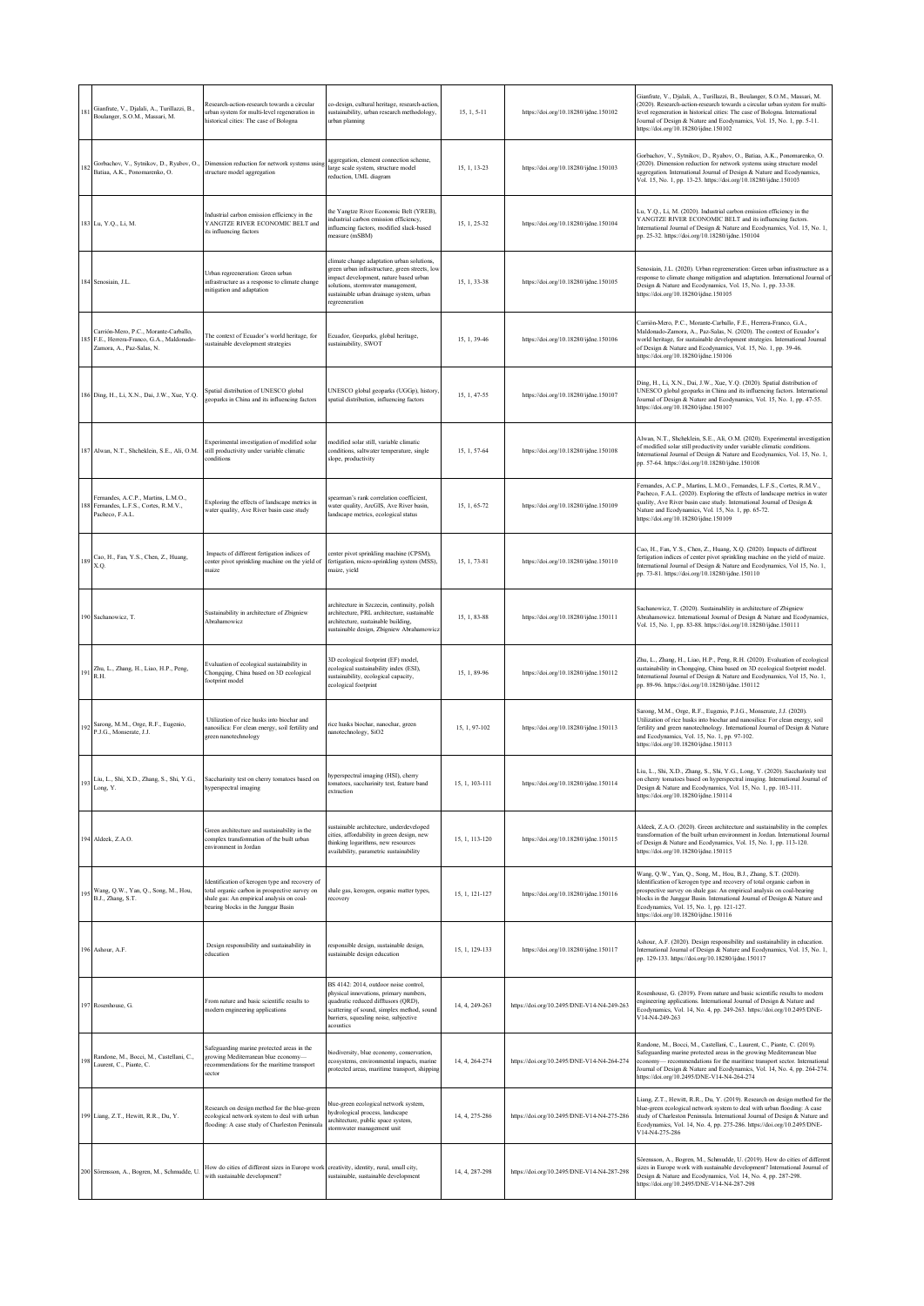| 18  | Gianfrate, V., Djalali, A., Turillazzi, B.,<br>Boulanger, S.O.M., Massari, M.                                    | Research-action-research towards a circular<br>urban system for multi-level regeneration in<br>historical cities: The case of Bologna                                             | o-design, cultural heritage, research-action,<br>ustainability, urban research methodology,<br>urban planning                                                                                                                          | 15, 1, 5-11    | https://doi.org/10.18280/ijdne.150102      | Gianfrate, V., Djalali, A., Turillazzi, B., Boulanger, S.O.M., Massari, M.<br>(2020). Research-action-research towards a circular urban system for multi-<br>level regeneration in historical cities: The case of Bologna. International<br>Journal of Design & Nature and Ecodynamics, Vol. 15, No. 1, pp. 5-11.<br>https://doi.org/10.18280/ijdne.150102                           |
|-----|------------------------------------------------------------------------------------------------------------------|-----------------------------------------------------------------------------------------------------------------------------------------------------------------------------------|----------------------------------------------------------------------------------------------------------------------------------------------------------------------------------------------------------------------------------------|----------------|--------------------------------------------|--------------------------------------------------------------------------------------------------------------------------------------------------------------------------------------------------------------------------------------------------------------------------------------------------------------------------------------------------------------------------------------|
| 182 | Gorbachov, V., Sytnikov, D., Ryabov, O.,<br>Batiaa, A.K., Ponomarenko, O.                                        | Dimension reduction for network systems using<br>structure model aggregation                                                                                                      | aggregation, element connection scheme,<br>large scale system, structure model<br>reduction, UML diagram                                                                                                                               | 15, 1, 13-23   | https://doi.org/10.18280/ijdne.150103      | Gorbachov, V., Sytnikov, D., Ryabov, O., Batiaa, A.K., Ponomarenko, O.<br>(2020). Dimension reduction for network systems using structure model<br>aggregation. International Journal of Design & Nature and Ecodynamics,<br>Vol. 15, No. 1, pp. 13-23. https://doi.org/10.18280/ijdne.150103                                                                                        |
|     | 183 Lu, Y.Q., Li, M.                                                                                             | Industrial carbon emission efficiency in the<br>YANGTZE RIVER ECONOMIC BELT and<br>its influencing factors                                                                        | he Yangtze River Economic Belt (YREB),<br>ndustrial carbon emission efficiency.<br>nfluencing factors, modified slack-based<br>neasure (mSBM)                                                                                          | 15, 1, 25-32   | https://doi.org/10.18280/ijdne.150104      | Lu, Y.Q., Li, M. (2020). Industrial carbon emission efficiency in the<br>YANGTZE RIVER ECONOMIC BELT and its influencing factors.<br>International Journal of Design & Nature and Ecodynamics, Vol. 15, No. 1,<br>pp. 25-32. https://doi.org/10.18280/ijdne.150104                                                                                                                   |
|     | 184 Senosiain, J.L.                                                                                              | Urban regreeneration: Green urban<br>infrastructure as a response to climate change<br>mitigation and adaptation                                                                  | climate change adaptation urban solutions,<br>green urban infrastructure, green streets, low<br>mpact development, nature based urban<br>olutions, stormwater management,<br>sustainable urban drainage system, urban<br>egreeneration | 15, 1, 33-38   | https://doi.org/10.18280/ijdne.150105      | Senosiain, J.L. (2020). Urban regreeneration: Green urban infrastructure as a<br>response to climate change mitigation and adaptation. International Journal of<br>Design & Nature and Ecodynamics, Vol. 15, No. 1, pp. 33-38.<br>https://doi.org/10.18280/ijdne.150105                                                                                                              |
|     | Carrión-Mero, P.C., Morante-Carballo,<br>185 F.E., Herrera-Franco, G.A., Maldonado-<br>Zamora, A., Paz-Salas, N. | The context of Ecuador's world heritage, for<br>sustainable development strategies                                                                                                | Ecuador, Geoparks, global heritage,<br>austainability, SWOT                                                                                                                                                                            | 15, 1, 39-46   | https://doi.org/10.18280/ijdne.150106      | Carrión-Mero, P.C., Morante-Carballo, F.E., Herrera-Franco, G.A.,<br>Maldonado-Zamora, A., Paz-Salas, N. (2020). The context of Ecuador's<br>world heritage, for sustainable development strategies. International Journal<br>of Design & Nature and Ecodynamics, Vol. 15, No. 1, pp. 39-46.<br>https://doi.org/10.18280/ijdne.150106                                                |
|     | 186 Ding, H., Li, X.N., Dai, J.W., Xue, Y.Q.                                                                     | Spatial distribution of UNESCO global<br>geoparks in China and its influencing factors                                                                                            | UNESCO global geoparks (UGGp), history,<br>spatial distribution, influencing factors                                                                                                                                                   | 15.1.47-55     | https://doi.org/10.18280/ijdne.150107      | Ding, H., Li, X.N., Dai, J.W., Xue, Y.Q. (2020). Spatial distribution of<br>UNESCO global geoparks in China and its influencing factors. International<br>Journal of Design & Nature and Ecodynamics, Vol. 15, No. 1, pp. 47-55.<br>https://doi.org/10.18280/ijdne.150107                                                                                                            |
|     | 187 Alwan, N.T., Shcheklein, S.E., Ali, O.M.                                                                     | Experimental investigation of modified solar<br>still productivity under variable climatic<br>conditions                                                                          | nodified solar still, variable climatic<br>onditions, saltwater temperature, single<br>lope, productivity                                                                                                                              | 15, 1, 57-64   | https://doi.org/10.18280/ijdne.150108      | Alwan, N.T., Shcheklein, S.E., Ali, O.M. (2020). Experimental investigation<br>of modified solar still productivity under variable climatic conditions.<br>International Journal of Design & Nature and Ecodynamics, Vol. 15, No. 1,<br>pp. 57-64. https://doi.org/10.18280/ijdne.150108                                                                                             |
|     | Fernandes, A.C.P., Martins, L.M.O.,<br>Fernandes, L.F.S., Cortes, R.M.V.,<br>Pacheco, F.A.L.                     | Exploring the effects of landscape metrics in<br>water quality, Ave River basin case study                                                                                        | spearman's rank correlation coefficient,<br>water quality, ArcGIS, Ave River basin,<br>landscape metrics, ecological status                                                                                                            | 15, 1, 65-72   | https://doi.org/10.18280/ijdne.150109      | Fernandes, A.C.P., Martins, L.M.O., Fernandes, L.F.S., Cortes, R.M.V.,<br>Pacheco, F.A.L. (2020). Exploring the effects of landscape metrics in water<br>quality, Ave River basin case study. International Journal of Design &<br>Nature and Ecodynamics, Vol. 15, No. 1, pp. 65-72.<br>https://doi.org/10.18280/ijdne.150109                                                       |
| 189 | Cao, H., Fan, Y.S., Chen, Z., Huang,<br>X.O.                                                                     | Impacts of different fertigation indices of<br>center pivot sprinkling machine on the yield of<br>maize                                                                           | center pivot sprinkling machine (CPSM),<br>fertigation, micro-sprinkling system (MSS),<br>maize, vield                                                                                                                                 | 15, 1, 73-81   | https://doi.org/10.18280/ijdne.150110      | Cao, H., Fan, Y.S., Chen, Z., Huang, X.Q. (2020). Impacts of different<br>fertigation indices of center pivot sprinkling machine on the yield of maize.<br>International Journal of Design & Nature and Ecodynamics, Vol 15, No. 1,<br>pp. 73-81. https://doi.org/10.18280/ijdne.150110                                                                                              |
|     | 190 Sachanowicz, T.                                                                                              | Sustainability in architecture of Zbigniew<br>Abrahamowicz                                                                                                                        | architecture in Szczecin, continuity, polish<br>architecture, PRL architecture, sustainable<br>architecture, sustainable building,<br>sustainable design, Zbigniew Abrahamowicz                                                        | 15, 1, 83-88   | https://doi.org/10.18280/ijdne.150111      | Sachanowicz, T. (2020). Sustainability in architecture of Zbigniew<br>Abrahamowicz. International Journal of Design & Nature and Ecodynamics,<br>Vol. 15, No. 1, pp. 83-88. https://doi.org/10.18280/ijdne.150111                                                                                                                                                                    |
| 19  | Zhu, L., Zhang, H., Liao, H.P., Peng,<br>R.H.                                                                    | Evaluation of ecological sustainability in<br>Chongqing, China based on 3D ecological<br>footprint model                                                                          | 3D ecological footprint (EF) model,<br>ecological sustainability index (ESI),<br>sustainability, ecological capacity,<br>cological footprint                                                                                           | 15, 1, 89-96   | https://doi.org/10.18280/ijdne.150112      | Zhu, L., Zhang, H., Liao, H.P., Peng, R.H. (2020). Evaluation of ecological<br>sustainability in Chongqing, China based on 3D ecological footprint model.<br>International Journal of Design & Nature and Ecodynamics, Vol 15, No. 1,<br>pp. 89-96. https://doi.org/10.18280/ijdne.150112                                                                                            |
| 192 | Sarong, M.M., Orge, R.F., Eugenio,<br>P.J.G., Monserate, J.J.                                                    | Utilization of rice husks into biochar and<br>nanosilica: For clean energy, soil fertility and<br>green nanotechnology                                                            | ice husks biochar, nanochar, green<br>nanotechnology, SiO2                                                                                                                                                                             | 15, 1, 97-102  | https://doi.org/10.18280/ijdne.150113      | Sarong, M.M., Orge, R.F., Eugenio, P.J.G., Monserate, J.J. (2020).<br>Utilization of rice husks into biochar and nanosilica: For clean energy, soil<br>fertility and green nanotechnology. International Journal of Design & Nature<br>and Ecodynamics, Vol. 15, No. 1, pp. 97-102.<br>https://doi.org/10.18280/ijdne.150113                                                         |
| 193 | Liu, L., Shi, X.D., Zhang, S., Shi, Y.G.,<br>Long, Y.                                                            | Saccharinity test on cherry tomatoes based on<br>hyperspectral imaging                                                                                                            | hyperspectral imaging (HSI), cherry<br>tomatoes, saccharinity test, feature band<br>extraction                                                                                                                                         | 15, 1, 103-111 | https://doi.org/10.18280/ijdne.150114      | Liu, L., Shi, X.D., Zhang, S., Shi, Y.G., Long, Y. (2020). Saccharinity test<br>on cherry tomatoes based on hyperspectral imaging. International Journal of<br>Design & Nature and Ecodynamics, Vol. 15, No. 1, pp. 103-111.<br>https://doi.org/10.18280/ijdne.150114                                                                                                                |
|     | 194 Aldeek, Z.A.O.                                                                                               | Green architecture and sustainability in the<br>complex transformation of the built urban<br>environment in Jordan                                                                | sustainable architecture, underdeveloped<br>cities, affordability in green design, new<br>thinking logarithms, new resources<br>availability, parametric sustainability                                                                | 15, 1, 113-120 | https://doi.org/10.18280/ijdne.150115      | Aldeek, Z.A.O. (2020). Green architecture and sustainability in the complex<br>transformation of the built urban environment in Jordan. International Journal<br>of Design & Nature and Ecodynamics, Vol. 15, No. 1, pp. 113-120.<br>https://doi.org/10.18280/ijdne.150115                                                                                                           |
| 195 | Wang, Q.W., Yan, Q., Song, M., Hou,<br>B.J., Zhang, S.T.                                                         | dentification of kerogen type and recovery of<br>otal organic carbon in prospective survey on<br>shale gas: An empirical analysis on coal-<br>bearing blocks in the Junggar Basin | shale gas, kerogen, organic matter types,<br>ecovery                                                                                                                                                                                   | 15, 1, 121-127 | https://doi.org/10.18280/ijdne.150116      | Wang, Q.W., Yan, Q., Song, M., Hou, B.J., Zhang, S.T. (2020).<br>Identification of kerogen type and recovery of total organic carbon in<br>prospective survey on shale gas: An empirical analysis on coal-bearing<br>blocks in the Junggar Basin. International Journal of Design & Nature and<br>Ecodynamics, Vol. 15, No. 1, pp. 121-127.<br>https://doi.org/10.18280/ijdne.150116 |
|     | 196 Ashour, A.F                                                                                                  | Design responsibility and sustainability in<br>education                                                                                                                          | esponsible design, sustainable design,<br>sustainable design education                                                                                                                                                                 | 15, 1, 129-133 | https://doi.org/10.18280/ijdne.150117      | Ashour, A.F. (2020). Design responsibility and sustainability in education.<br>International Journal of Design & Nature and Ecodynamics, Vol. 15, No. 1,<br>pp. 129-133. https://doi.org/10.18280/ijdne.150117                                                                                                                                                                       |
|     | 197 Rosenhouse, G.                                                                                               | From nature and basic scientific results to<br>modern engineering applications                                                                                                    | BS 4142: 2014, outdoor noise control,<br>physical innovations, primary numbers,<br>quadratic reduced difftusors (QRD),<br>cattering of sound, simplex method, sound<br>parriers, squealing noise, subjective<br>ecoustics              | 14, 4, 249-263 | https://doi.org/10.2495/DNE-V14-N4-249-263 | Rosenhouse, G. (2019). From nature and basic scientific results to modern<br>engineering applications. International Journal of Design & Nature and<br>Ecodynamics, Vol. 14, No. 4, pp. 249-263. https://doi.org/10.2495/DNE-<br>V14-N4-249-263                                                                                                                                      |
| 198 | Randone, M., Bocci, M., Castellani, C.,<br>Laurent, C., Piante, C.                                               | Safeguarding marine protected areas in the<br>growing Mediterranean blue economy-<br>recommendations for the maritime transport<br>sector                                         | piodiversity, blue economy, conservation,<br>ecosystems, environmental impacts, marine<br>protected areas, maritime transport, shipping                                                                                                | 14, 4, 264-274 | https://doi.org/10.2495/DNE-V14-N4-264-274 | Randone, M., Bocci, M., Castellani, C., Laurent, C., Piante, C. (2019).<br>Safeguarding marine protected areas in the growing Mediterranean blue<br>economy-recommendations for the maritime transport sector. International<br>Journal of Design & Nature and Ecodynamics, Vol. 14, No. 4, pp. 264-274.<br>https://doi.org/10.2495/DNE-V14-N4-264-274                               |
|     | 199 Liang, Z.T., Hewitt, R.R., Du, Y.                                                                            | Research on design method for the blue-green<br>ecological network system to deal with urban<br>flooding: A case study of Charleston Peninsula                                    | lue-green ecological network system,<br>tydrological process, landscape<br>architecture, public space system,<br>stormwater management unit                                                                                            | 14, 4, 275-286 | https://doi.org/10.2495/DNE-V14-N4-275-286 | Liang, Z.T., Hewitt, R.R., Du, Y. (2019). Research on design method for the<br>blue-green ecological network system to deal with urban flooding: A case<br>study of Charleston Peninsula. International Journal of Design & Nature and<br>Ecodynamics, Vol. 14, No. 4, pp. 275-286. https://doi.org/10.2495/DNE-<br>V14-N4-275-286                                                   |
|     | 200 Sörensson, A., Bogren, M., Schmudde, U.                                                                      | How do cities of different sizes in Europe work creativity, identity, rural, small city,<br>with sustainable development?                                                         | sustainable, sustainable development                                                                                                                                                                                                   | 14, 4, 287-298 | https://doi.org/10.2495/DNE-V14-N4-287-298 | Sörensson, A., Bogren, M., Schmudde, U. (2019). How do cities of different<br>sizes in Europe work with sustainable development? International Journal of<br>Design & Nature and Ecodynamics, Vol. 14, No. 4, pp. 287-298.<br>https://doi.org/10.2495/DNE-V14-N4-287-298                                                                                                             |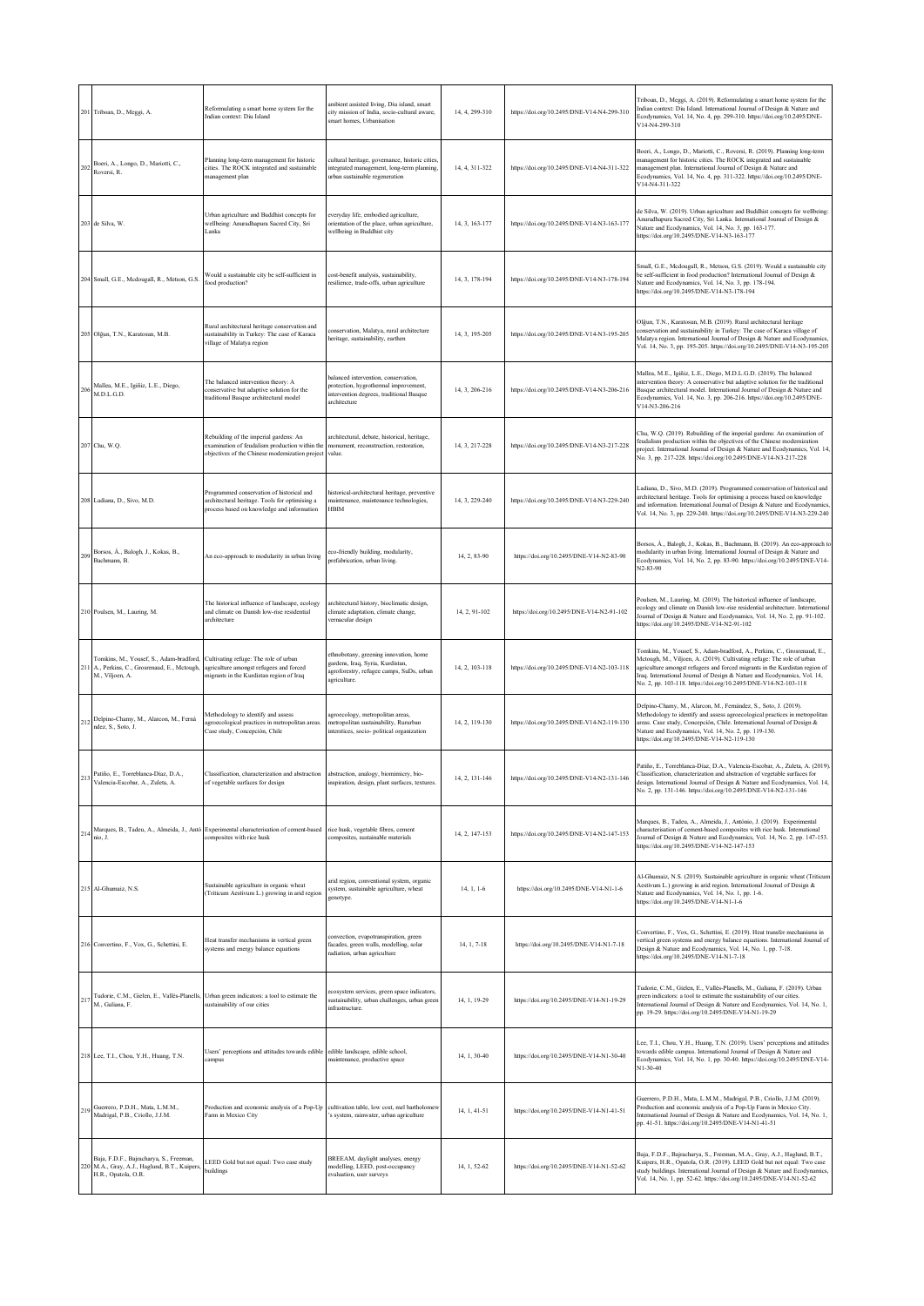|                 | 201 Triboan, D., Meggi, A.                                                                                 | Reformulating a smart home system for the<br>Indian context: Diu Island                                                                     | ambient assisted living, Diu island, smart<br>city mission of India, socio-cultural aware,<br>smart homes, Urbanisation                   | 14, 4, 299-310 | https://doi.org/10.2495/DNE-V14-N4-299-310 | Triboan, D., Meggi, A. (2019). Reformulating a smart home system for the<br>Indian context: Diu Island. International Journal of Design & Nature and<br>Ecodynamics, Vol. 14, No. 4, pp. 299-310. https://doi.org/10.2495/DNE-<br>V14-N4-299-310                                                                                                                                |
|-----------------|------------------------------------------------------------------------------------------------------------|---------------------------------------------------------------------------------------------------------------------------------------------|-------------------------------------------------------------------------------------------------------------------------------------------|----------------|--------------------------------------------|---------------------------------------------------------------------------------------------------------------------------------------------------------------------------------------------------------------------------------------------------------------------------------------------------------------------------------------------------------------------------------|
| 202             | Boeri, A., Longo, D., Mariotti, C.,<br>Roversi, R.                                                         | Planning long-term management for historic<br>cities. The ROCK integrated and sustainable<br>management plan                                | cultural heritage, governance, historic cities,<br>integrated management, long-term planning,<br>urban sustainable regeneration           | 14, 4, 311-322 | https://doi.org/10.2495/DNE-V14-N4-311-322 | Boeri, A., Longo, D., Mariotti, C., Roversi, R. (2019). Planning long-term<br>management for historic cities. The ROCK integrated and sustainable<br>management plan. International Journal of Design & Nature and<br>Ecodynamics, Vol. 14, No. 4, pp. 311-322. https://doi.org/10.2495/DNE-<br>V14-N4-311-322                                                                  |
|                 | 203 de Silva, W.                                                                                           | Urban agriculture and Buddhist concepts for<br>wellbeing: Anuradhapura Sacred City, Sri<br>Lanka                                            | everyday life, embodied agriculture,<br>prientation of the place, urban agriculture,<br>wellbeing in Buddhist city                        | 14, 3, 163-177 | https://doi.org/10.2495/DNE-V14-N3-163-177 | de Silva, W. (2019). Urban agriculture and Buddhist concepts for wellbeing:<br>Anuradhapura Sacred City, Sri Lanka. International Journal of Design &<br>Nature and Ecodynamics, Vol. 14, No. 3, pp. 163-177.<br>https://doi.org/10.2495/DNE-V14-N3-163-177                                                                                                                     |
|                 | 204 Small, G.E., Mcdougall, R., Metson, G.S.                                                               | Would a sustainable city be self-sufficient in<br>food production?                                                                          | cost-benefit analysis, sustainability,<br>resilience, trade-offs, urban agriculture                                                       | 14, 3, 178-194 | https://doi.org/10.2495/DNE-V14-N3-178-194 | Small, G.E., Mcdougall, R., Metson, G.S. (2019). Would a sustainable city<br>be self-sufficient in food production? International Journal of Design &<br>Nature and Ecodynamics, Vol. 14, No. 3, pp. 178-194.<br>https://doi.org/10.2495/DNE-V14-N3-178-194                                                                                                                     |
|                 | 205 Olğun, T.N., Karatosun, M.B.                                                                           | Rural architectural heritage conservation and<br>sustainability in Turkey: The case of Karaca<br>village of Malatya region                  | conservation, Malatya, rural architecture<br>heritage, sustainability, earthen                                                            | 14, 3, 195-205 | https://doi.org/10.2495/DNE-V14-N3-195-205 | Olğun, T.N., Karatosun, M.B. (2019). Rural architectural heritage<br>conservation and sustainability in Turkey: The case of Karaca village of<br>Malatya region. International Journal of Design & Nature and Ecodynamics,<br>Vol. 14, No. 3, pp. 195-205. https://doi.org/10.2495/DNE-V14-N3-195-205                                                                           |
| 20 <sub>0</sub> | Mallea, M.E., Igiñiz, L.E., Diego,<br>M.D.L.G.D.                                                           | The balanced intervention theory: A<br>conservative but adaptive solution for the<br>raditional Basque architectural model                  | balanced intervention, conservation,<br>protection, hygrothermal improvement,<br>intervention degrees, traditional Basque<br>architecture | 14, 3, 206-216 | https://doi.org/10.2495/DNE-V14-N3-206-216 | Mallea, M.E., Igiñiz, L.E., Diego, M.D.L.G.D. (2019). The balanced<br>intervention theory: A conservative but adaptive solution for the traditional<br>Basque architectural model. International Journal of Design & Nature and<br>Ecodynamics, Vol. 14, No. 3, pp. 206-216. https://doi.org/10.2495/DNE-<br>V14-N3-206-216                                                     |
|                 | 207 Chu, W.Q.                                                                                              | Rebuilding of the imperial gardens: An<br>examination of feudalism production within the<br>objectives of the Chinese modernization project | architectural, debate, historical, heritage,<br>monument, reconstruction, restoration,<br>value.                                          | 14.3.217-228   | https://doi.org/10.2495/DNE-V14-N3-217-228 | Chu, W.Q. (2019). Rebuilding of the imperial gardens: An examination of<br>feudalism production within the objectives of the Chinese modernization<br>project. International Journal of Design & Nature and Ecodynamics, Vol. 14,<br>No. 3, pp. 217-228. https://doi.org/10.2495/DNE-V14-N3-217-228                                                                             |
|                 | 208 Ladiana, D., Sivo, M.D.                                                                                | Programmed conservation of historical and<br>architectural heritage. Tools for optimising a<br>process based on knowledge and information   | historical-architectural heritage, preventive<br>maintenance, maintenance technologies,<br><b>HBIM</b>                                    | 14, 3, 229-240 | https://doi.org/10.2495/DNE-V14-N3-229-240 | Ladiana, D., Sivo, M.D. (2019). Programmed conservation of historical and<br>architectural heritage. Tools for optimising a process based on knowledge<br>and information. International Journal of Design & Nature and Ecodynamics<br>Vol. 14, No. 3, pp. 229-240. https://doi.org/10.2495/DNE-V14-N3-229-240                                                                  |
| 209             | Borsos, Á., Balogh, J., Kokas, B.,<br>Bachmann, B.                                                         | An eco-approach to modularity in urban living                                                                                               | eco-friendly building, modularity,<br>prefabrication, urban living                                                                        | 14, 2, 83-90   | https://doi.org/10.2495/DNE-V14-N2-83-90   | Borsos, Á., Balogh, J., Kokas, B., Bachmann, B. (2019). An eco-approach to<br>modularity in urban living. International Journal of Design & Nature and<br>Ecodynamics, Vol. 14, No. 2, pp. 83-90. https://doi.org/10.2495/DNE-V14-<br>N2-83-90                                                                                                                                  |
|                 | 210 Poulsen, M., Lauring, M.                                                                               | The historical influence of landscape, ecology<br>and climate on Danish low-rise residential<br>architecture                                | architectural history, bioclimatic design,<br>climate adaptation, climate change,<br>vernacular design                                    | 14, 2, 91-102  | https://doi.org/10.2495/DNE-V14-N2-91-102  | Poulsen, M., Lauring, M. (2019). The historical influence of landscape,<br>ecology and climate on Danish low-rise residential architecture. International<br>Journal of Design & Nature and Ecodynamics, Vol. 14, No. 2, pp. 91-102.<br>https://doi.org/10.2495/DNE-V14-N2-91-102                                                                                               |
|                 | Tomkins, M., Yousef, S., Adam-bradford,<br>A., Perkins, C., Grosrenaud, E., Mctough,<br>M., Viljoen, A.    | Cultivating refuge: The role of urban<br>agriculture amongst refugees and forced<br>nigrants in the Kurdistan region of Iraq                | ethnobotany, greening innovation, home<br>gardens, Iraq, Syria, Kurdistan,<br>agroforestry, refugee camps, SuDs, urban<br>agriculture.    | 14, 2, 103-118 | https://doi.org/10.2495/DNE-V14-N2-103-118 | Tomkins, M., Yousef, S., Adam-bradford, A., Perkins, C., Grosrenaud, E.,<br>Mctough, M., Viljoen, A. (2019). Cultivating refuge: The role of urban<br>agriculture amongst refugees and forced migrants in the Kurdistan region of<br>Iraq. International Journal of Design & Nature and Ecodynamics, Vol. 14,<br>No. 2, pp. 103-118. https://doi.org/10.2495/DNE-V14-N2-103-118 |
| 212             | Delpino-Chamy, M., Alarcon, M., Ferná<br>ndez, S., Soto, J.                                                | Methodology to identify and assess<br>agroecological practices in metropolitan areas.<br>Case study, Concepción, Chile                      | agroecology, metropolitan areas.<br>metropolitan sustainability, Rururban<br>interstices, socio- political organization                   | 14, 2, 119-130 | https://doi.org/10.2495/DNE-V14-N2-119-130 | Delpino-Chamy, M., Alarcon, M., Fernández, S., Soto, J. (2019).<br>Methodology to identify and assess agroecological practices in metropolitan<br>areas. Case study, Concepción, Chile. International Journal of Design &<br>Nature and Ecodynamics, Vol. 14, No. 2, pp. 119-130.<br>https://doi.org/10.2495/DNE-V14-N2-119-130                                                 |
|                 | Patiño, E., Torreblanca-Díaz, D.A.,<br>Valencia-Escobar, A., Zuleta, A.                                    | Classification, characterization and abstraction abstraction, analogy, biomimicry, bio-<br>of vegetable surfaces for design                 | inspiration, design, plant surfaces, textures.                                                                                            | 14 2 131-146   | https://doi.org/10.2495/DNE-V14-N2-131-146 | Patiño, E., Torreblanca-Díaz, D.A., Valencia-Escobar, A., Zuleta, A. (2019).<br>Classification, characterization and abstraction of vegetable surfaces for<br>design. International Journal of Design & Nature and Ecodynamics, Vol. 14,<br>No. 2, pp. 131-146. https://doi.org/10.2495/DNE-V14-N2-131-146                                                                      |
| 214             | nio, J.                                                                                                    | Marques, B., Tadeu, A., Almeida, J., Antó Experimental characterisation of cement-based<br>composites with rice husk                        | rice husk, vegetable fibres, cement<br>composites, sustainable materials                                                                  | 14, 2, 147-153 | https://doi.org/10.2495/DNE-V14-N2-147-153 | Marques, B., Tadeu, A., Almeida, J., António, J. (2019). Experimental<br>characterisation of cement-based composites with rice husk. International<br>Journal of Design & Nature and Ecodynamics, Vol. 14, No. 2, pp. 147-153.<br>https://doi.org/10.2495/DNE-V14-N2-147-153                                                                                                    |
|                 | 215 Al-Ghumaiz, N.S.                                                                                       | Sustainable agriculture in organic wheat<br>(Triticum Aestivum L.) growing in arid region                                                   | arid region, conventional system, organic<br>system, sustainable agriculture, wheat<br>genotype.                                          | $14, 1, 1-6$   | https://doi.org/10.2495/DNE-V14-N1-1-6     | Al-Ghumaiz, N.S. (2019). Sustainable agriculture in organic wheat (Triticum<br>Aestivum L.) growing in arid region. International Journal of Design &<br>Nature and Ecodynamics, Vol. 14, No. 1, pp. 1-6.<br>https://doi.org/10.2495/DNE-V14-N1-1-6                                                                                                                             |
|                 | 216 Convertino, F., Vox, G., Schettini, E.                                                                 | Heat transfer mechanisms in vertical green<br>systems and energy balance equations                                                          | convection, evapotranspiration, green<br>facades, green walls, modelling, solar<br>radiation, urban agriculture                           | 14, 1, 7-18    | https://doi.org/10.2495/DNE-V14-N1-7-18    | Convertino, F., Vox, G., Schettini, E. (2019). Heat transfer mechanisms in<br>vertical green systems and energy balance equations. International Journal of<br>Design & Nature and Ecodynamics, Vol. 14, No. 1, pp. 7-18.<br>https://doi.org/10.2495/DNE-V14-N1-7-18                                                                                                            |
| 217             | M., Galiana, F.                                                                                            | Tudorie, C.M., Gielen, E., Vallés-Planells, Urban green indicators: a tool to estimate the<br>sustainability of our cities                  | ecosystem services, green space indicators,<br>sustainability, urban challenges, urban green<br>infrastructure.                           | 14, 1, 19-29   | https://doi.org/10.2495/DNE-V14-N1-19-29   | Tudorie, C.M., Gielen, E., Vallés-Planells, M., Galiana, F. (2019). Urban<br>green indicators: a tool to estimate the sustainability of our cities.<br>International Journal of Design & Nature and Ecodynamics, Vol. 14, No. 1,<br>pp. 19-29. https://doi.org/10.2495/DNE-V14-N1-19-29                                                                                         |
|                 | 218 Lee, T.I., Chou, Y.H., Huang, T.N.                                                                     | Users' perceptions and attitudes towards edible<br>campus                                                                                   | edible landscape, edible school,<br>maintenance, productive space                                                                         | 14, 1, 30-40   | https://doi.org/10.2495/DNE-V14-N1-30-40   | Lee, T.I., Chou, Y.H., Huang, T.N. (2019). Users' perceptions and attitudes<br>towards edible campus. International Journal of Design & Nature and<br>Ecodynamics, Vol. 14, No. 1, pp. 30-40. https://doi.org/10.2495/DNE-V14-<br>N1-30-40                                                                                                                                      |
| 219             | Guerrero, P.D.H., Mata, L.M.M.,<br>Madrigal, P.B., Criollo, J.J.M.                                         | Production and economic analysis of a Pop-Up<br>Farm in Mexico City                                                                         | cultivation table, low cost, mel bartholomew<br>'s system, rainwater, urban agriculture                                                   | 14, 1, 41-51   | https://doi.org/10.2495/DNE-V14-N1-41-51   | Guerrero, P.D.H., Mata, L.M.M., Madrigal, P.B., Criollo, J.J.M. (2019).<br>Production and economic analysis of a Pop-Up Farm in Mexico City.<br>International Journal of Design & Nature and Ecodynamics, Vol. 14, No. 1,<br>pp. 41-51. https://doi.org/10.2495/DNE-V14-N1-41-51                                                                                                |
| $^{22}$         | Baja, F.D.F., Bajracharya, S., Freeman,<br>M.A., Gray, A.J., Haglund, B.T., Kuipers<br>H.R., Opatola, O.R. | LEED Gold but not equal: Two case study<br>buildings                                                                                        | BREEAM, daylight analyses, energy<br>modelling, LEED, post-occupancy<br>evaluation, user surveys                                          | 14, 1, 52-62   | https://doi.org/10.2495/DNE-V14-N1-52-62   | Baja, F.D.F., Bajracharya, S., Freeman, M.A., Gray, A.J., Haglund, B.T.,<br>Kuipers, H.R., Opatola, O.R. (2019). LEED Gold but not equal: Two case<br>study buildings. International Journal of Design & Nature and Ecodynamics,<br>Vol. 14, No. 1, pp. 52-62. https://doi.org/10.2495/DNE-V14-N1-52-62                                                                         |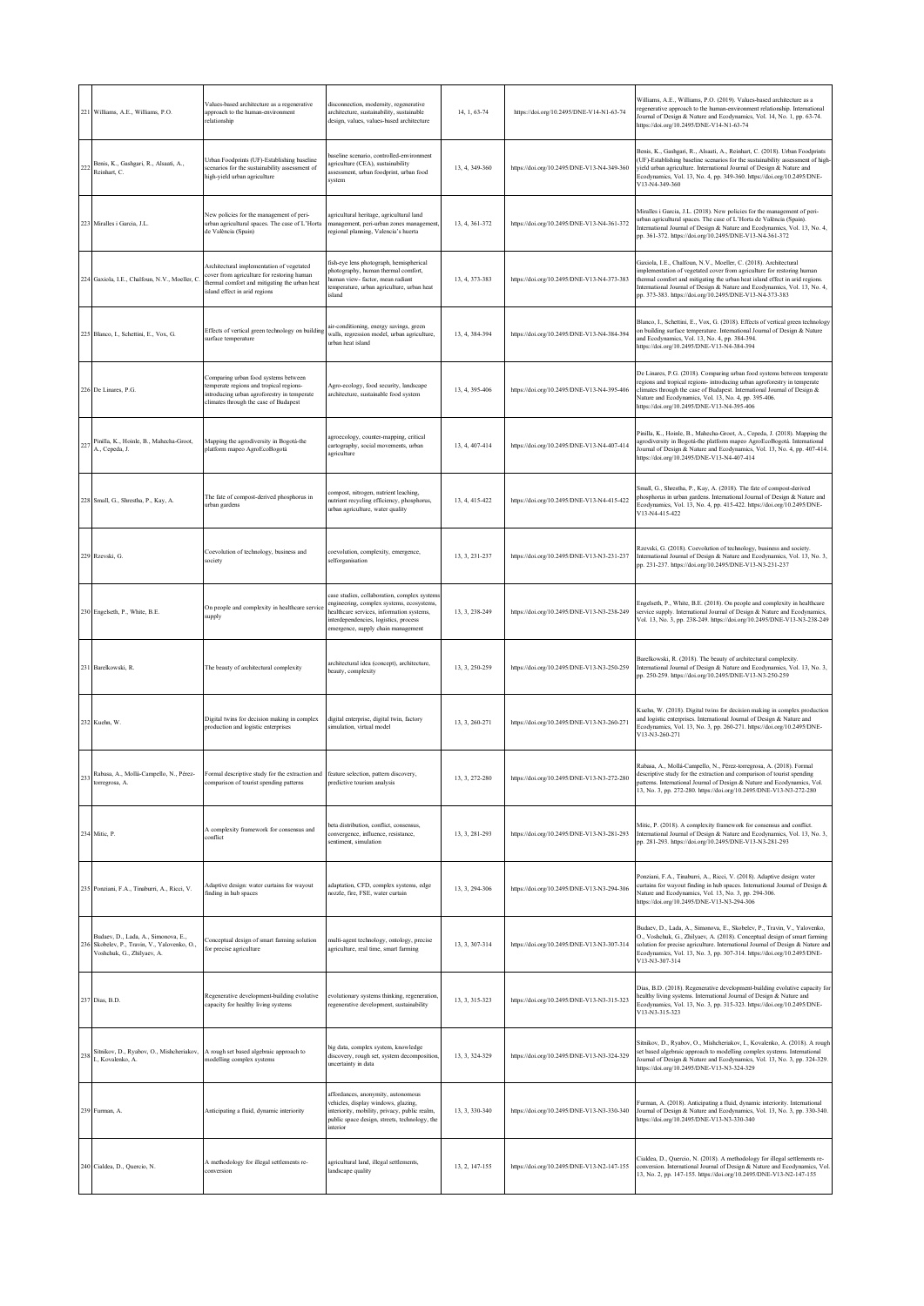| 221 | Williams, A.E., Williams, P.O.                                                                                    | Values-based architecture as a regenerative<br>approach to the human-environment<br>relationship                                                                          | disconnection, modernity, regenerative<br>architecture, sustainability, sustainable<br>design, values, values-based architecture                                                                                      | 14, 1, 63-74   | https://doi.org/10.2495/DNE-V14-N1-63-74   | Williams, A.E., Williams, P.O. (2019). Values-based architecture as a<br>regenerative approach to the human-environment relationship. International<br>Journal of Design & Nature and Ecodynamics, Vol. 14, No. 1, pp. 63-74.<br>https://doi.org/10.2495/DNE-V14-N1-63-74                                                                                          |
|-----|-------------------------------------------------------------------------------------------------------------------|---------------------------------------------------------------------------------------------------------------------------------------------------------------------------|-----------------------------------------------------------------------------------------------------------------------------------------------------------------------------------------------------------------------|----------------|--------------------------------------------|--------------------------------------------------------------------------------------------------------------------------------------------------------------------------------------------------------------------------------------------------------------------------------------------------------------------------------------------------------------------|
| 22  | Benis, K., Gashgari, R., Alsaati, A.,<br>Reinhart, C.                                                             | Urban Foodprints (UF)-Establishing baseline<br>scenarios for the sustainability assessment of<br>high-yield urban agriculture                                             | baseline scenario, controlled-environment<br>agriculture (CEA), sustainability<br>assessment, urban foodprint, urban food<br>system                                                                                   | 13, 4, 349-360 | https://doi.org/10.2495/DNE-V13-N4-349-360 | Benis, K., Gashgari, R., Alsaati, A., Reinhart, C. (2018). Urban Foodprints<br>(UF)-Establishing baseline scenarios for the sustainability assessment of high-<br>yield urban agriculture. International Journal of Design & Nature and<br>Ecodynamics, Vol. 13, No. 4, pp. 349-360. https://doi.org/10.2495/DNE-<br>V13-N4-349-360                                |
|     | 223 Miralles i Garcia, J.L.                                                                                       | New policies for the management of peri-<br>urban agricultural spaces. The case of L'Horta<br>de València (Spain)                                                         | agricultural heritage, agricultural land<br>management, peri-urban zones management,<br>regional planning, Valencia's huerta                                                                                          | 13, 4, 361-372 | https://doi.org/10.2495/DNE-V13-N4-361-372 | Miralles i Garcia, J.L. (2018). New policies for the management of peri-<br>urban agricultural spaces. The case of L'Horta de València (Spain).<br>International Journal of Design & Nature and Ecodynamics, Vol. 13, No. 4,<br>pp. 361-372. https://doi.org/10.2495/DNE-V13-N4-361-372                                                                            |
|     | 224 Gaxiola, I.E., Chalfoun, N.V., Moeller, C.                                                                    | Architectural implementation of vegetated<br>cover from agriculture for restoring human<br>thermal comfort and mitigating the urban heat<br>island effect in arid regions | fish-eye lens photograph, hemispherical<br>photography, human thermal comfort,<br>human view- factor, mean radiant<br>temperature, urban agriculture, urban heat<br>island                                            | 13, 4, 373-383 | https://doi.org/10.2495/DNE-V13-N4-373-383 | Gaxiola, I.E., Chalfoun, N.V., Moeller, C. (2018). Architectural<br>implementation of vegetated cover from agriculture for restoring human<br>thermal comfort and mitigating the urban heat island effect in arid regions.<br>International Journal of Design & Nature and Ecodynamics, Vol. 13, No. 4,<br>pp. 373-383. https://doi.org/10.2495/DNE-V13-N4-373-383 |
| 225 | Blanco, I., Schettini, E., Vox, G.                                                                                | Effects of vertical green technology on building<br>surface temperature                                                                                                   | air-conditioning, energy savings, green<br>walls, regression model, urban agriculture,<br>urban heat island                                                                                                           | 13, 4, 384-394 | https://doi.org/10.2495/DNE-V13-N4-384-394 | Blanco, I., Schettini, E., Vox, G. (2018). Effects of vertical green technology<br>on building surface temperature. International Journal of Design & Nature<br>and Ecodynamics, Vol. 13, No. 4, pp. 384-394.<br>https://doi.org/10.2495/DNE-V13-N4-384-394                                                                                                        |
|     | 226 De Linares, P.G.                                                                                              | Comparing urban food systems between<br>temperate regions and tropical regions-<br>introducing urban agroforestry in temperate<br>climates through the case of Budapest   | Agro-ecology, food security, landscape<br>architecture, sustainable food system                                                                                                                                       | 13, 4, 395-406 | https://doi.org/10.2495/DNE-V13-N4-395-406 | De Linares, P.G. (2018). Comparing urban food systems between temperate<br>regions and tropical regions- introducing urban agroforestry in temperate<br>climates through the case of Budapest. International Journal of Design &<br>Nature and Ecodynamics, Vol. 13, No. 4, pp. 395-406.<br>https://doi.org/10.2495/DNE-V13-N4-395-406                             |
|     | Pinilla, K., Hoinle, B., Mahecha-Groot,<br>A., Cepeda, J.                                                         | Mapping the agrodiversity in Bogotá-the<br>platform mapeo AgroEcoBogotá                                                                                                   | agroecology, counter-mapping, critical<br>cartography, social movements, urban<br>agriculture                                                                                                                         | 13, 4, 407-414 | https://doi.org/10.2495/DNE-V13-N4-407-414 | Pinilla, K., Hoinle, B., Mahecha-Groot, A., Cepeda, J. (2018). Mapping the<br>agrodiversity in Bogotá-the platform mapeo AgroEcoBogotá. International<br>Journal of Design & Nature and Ecodynamics, Vol. 13, No. 4, pp. 407-414.<br>https://doi.org/10.2495/DNE-V13-N4-407-414                                                                                    |
|     | 228 Small, G., Shrestha, P., Kay, A.                                                                              | The fate of compost-derived phosphorus in<br>urban gardens                                                                                                                | compost, nitrogen, nutrient leaching,<br>nutrient recycling efficiency, phosphorus,<br>urban agriculture, water quality                                                                                               | 13.4.415-422   | https://doi.org/10.2495/DNE-V13-N4-415-422 | Small, G., Shrestha, P., Kay, A. (2018). The fate of compost-derived<br>phosphorus in urban gardens. International Journal of Design & Nature and<br>Ecodynamics, Vol. 13, No. 4, pp. 415-422. https://doi.org/10.2495/DNE-<br>V13-N4-415-422                                                                                                                      |
|     | 229 Rzevski, G.                                                                                                   | Coevolution of technology, business and<br>society                                                                                                                        | coevolution, complexity, emergence,<br>selforganisation                                                                                                                                                               | 13. 3. 231-237 | https://doi.org/10.2495/DNE-V13-N3-231-237 | Rzevski, G. (2018). Coevolution of technology, business and society.<br>International Journal of Design & Nature and Ecodynamics, Vol. 13, No. 3,<br>pp. 231-237. https://doi.org/10.2495/DNE-V13-N3-231-237                                                                                                                                                       |
|     | 230 Engelseth, P., White, B.E.                                                                                    | On people and complexity in healthcare service<br>supply                                                                                                                  | case studies, collaboration, complex systems<br>engineering, complex systems, ecosystems,<br>healthcare services, information systems,<br>interdependencies, logistics, process<br>emergence, supply chain management | 13, 3, 238-249 | https://doi.org/10.2495/DNE-V13-N3-238-249 | Engelseth, P., White, B.E. (2018). On people and complexity in healthcare<br>service supply. International Journal of Design & Nature and Ecodynamics,<br>Vol. 13, No. 3, pp. 238-249. https://doi.org/10.2495/DNE-V13-N3-238-249                                                                                                                                  |
| 231 | Barelkowski, R.                                                                                                   | The beauty of architectural complexity                                                                                                                                    | architectural idea (concept), architecture,<br>beauty, complexity                                                                                                                                                     | 13, 3, 250-259 | https://doi.org/10.2495/DNE-V13-N3-250-259 | Barelkowski, R. (2018). The beauty of architectural complexity.<br>International Journal of Design & Nature and Ecodynamics, Vol. 13, No. 3,<br>pp. 250-259. https://doi.org/10.2495/DNE-V13-N3-250-259                                                                                                                                                            |
|     | 232 Kuehn, W.                                                                                                     | Digital twins for decision making in complex<br>production and logistic enterprises                                                                                       | digital enterprise, digital twin, factory<br>simulation, virtual model                                                                                                                                                | 13, 3, 260-271 | https://doi.org/10.2495/DNE-V13-N3-260-271 | Kuehn, W. (2018). Digital twins for decision making in complex production<br>and logistic enterprises. International Journal of Design & Nature and<br>Ecodynamics, Vol. 13, No. 3, pp. 260-271. https://doi.org/10.2495/DNE-<br>V13-N3-260-271                                                                                                                    |
|     | Rabasa, A., Mollá-Campello, N., Pérez-<br>torregrosa, A.                                                          | Formal descriptive study for the extraction and feature selection, pattern discovery,<br>comparison of tourist spending patterns                                          | predictive tourism analysis                                                                                                                                                                                           |                | /10.2495/DNF-V13-N3-272-280                | Rabasa, A., Mollá-Campello, N., Pérez-torregrosa, A. (2018). Formal<br>descriptive study for the extraction and comparison of tourist spending<br>patterns. International Journal of Design & Nature and Ecodynamics, Vol.<br>13, No. 3, pp. 272-280. https://doi.org/10.2495/DNE-V13-N3-272-280                                                                   |
|     | 234 Mitic, P.                                                                                                     | A complexity framework for consensus and<br>conflict                                                                                                                      | beta distribution, conflict, consensus,<br>convergence, influence, resistance,<br>sentiment, simulation                                                                                                               | 13, 3, 281-293 | https://doi.org/10.2495/DNE-V13-N3-281-293 | Mitic, P. (2018). A complexity framework for consensus and conflict.<br>International Journal of Design & Nature and Ecodynamics, Vol. 13, No. 3,<br>pp. 281-293. https://doi.org/10.2495/DNE-V13-N3-281-293                                                                                                                                                       |
|     | 235 Ponziani, F.A., Tinaburri, A., Ricci, V.                                                                      | Adaptive design: water curtains for wayout<br>finding in hub spaces                                                                                                       | adaptation, CFD, complex systems, edge<br>nozzle, fire, FSE, water curtain                                                                                                                                            | 13.3.294-306   | https://doi.org/10.2495/DNE-V13-N3-294-306 | Ponziani, F.A., Tinaburri, A., Ricci, V. (2018). Adaptive design: water<br>curtains for wayout finding in hub spaces. International Journal of Design &<br>Nature and Ecodynamics, Vol. 13, No. 3, pp. 294-306.<br>https://doi.org/10.2495/DNE-V13-N3-294-306                                                                                                      |
|     | Budaev, D., Lada, A., Simonova, E.,<br>236 Skobelev, P., Travin, V., Yalovenko, O.,<br>Voshchuk, G., Zhilyaev, A. | Conceptual design of smart farming solution<br>for precise agriculture                                                                                                    | multi-agent technology, ontology, precise<br>agriculture, real time, smart farming                                                                                                                                    | 13. 3. 307-314 | https://doi.org/10.2495/DNE-V13-N3-307-314 | Budaev, D., Lada, A., Simonova, E., Skobelev, P., Travin, V., Yalovenko,<br>O., Voshchuk, G., Zhilyaev, A. (2018). Conceptual design of smart farming<br>solution for precise agriculture. International Journal of Design & Nature and<br>Ecodynamics, Vol. 13, No. 3, pp. 307-314. https://doi.org/10.2495/DNE-<br>V13-N3-307-314                                |
|     | 237 Dias, B.D.                                                                                                    | Regenerative development-building evolutive<br>capacity for healthy living systems                                                                                        | evolutionary systems thinking, regeneration,<br>regenerative development, sustainability                                                                                                                              | 13, 3, 315-323 | https://doi.org/10.2495/DNE-V13-N3-315-323 | Dias, B.D. (2018). Regenerative development-building evolutive capacity for<br>healthy living systems. International Journal of Design & Nature and<br>Ecodynamics, Vol. 13, No. 3, pp. 315-323. https://doi.org/10.2495/DNE-<br>V13-N3-315-323                                                                                                                    |
| 238 | Sitnikov, D., Ryabov, O., Mishcheriakov,<br>I., Kovalenko, A.                                                     | A rough set based algebraic approach to<br>modelling complex systems                                                                                                      | big data, complex system, knowledge<br>discovery, rough set, system decomposition,<br>uncertainty in data                                                                                                             | 13, 3, 324-329 | https://doi.org/10.2495/DNE-V13-N3-324-329 | Sitnikov, D., Ryabov, O., Mishcheriakov, I., Kovalenko, A. (2018). A rough<br>set based algebraic approach to modelling complex systems. International<br>Journal of Design & Nature and Ecodynamics, Vol. 13, No. 3, pp. 324-329.<br>https://doi.org/10.2495/DNE-V13-N3-324-329                                                                                   |
|     | 239 Furman, A.                                                                                                    | Anticipating a fluid, dynamic interiority                                                                                                                                 | affordances, anonymity, autonomous<br>vehicles, display windows, glazing,<br>interiority, mobility, privacy, public realm,<br>public space design, streets, technology, the<br>interior                               | 13, 3, 330-340 | https://doi.org/10.2495/DNE-V13-N3-330-340 | Furman, A. (2018). Anticipating a fluid, dynamic interiority. International<br>Journal of Design & Nature and Ecodynamics, Vol. 13, No. 3, pp. 330-340.<br>https://doi.org/10.2495/DNE-V13-N3-330-340                                                                                                                                                              |
|     | 240 Cialdea, D., Quercio, N.                                                                                      | A methodology for illegal settlements re-<br>conversion                                                                                                                   | agricultural land, illegal settlements,<br>landscape quality                                                                                                                                                          | 13, 2, 147-155 | https://doi.org/10.2495/DNE-V13-N2-147-155 | Cialdea, D., Quercio, N. (2018). A methodology for illegal settlements re-<br>conversion. International Journal of Design & Nature and Ecodynamics, Vol.<br>13, No. 2, pp. 147-155. https://doi.org/10.2495/DNE-V13-N2-147-155                                                                                                                                     |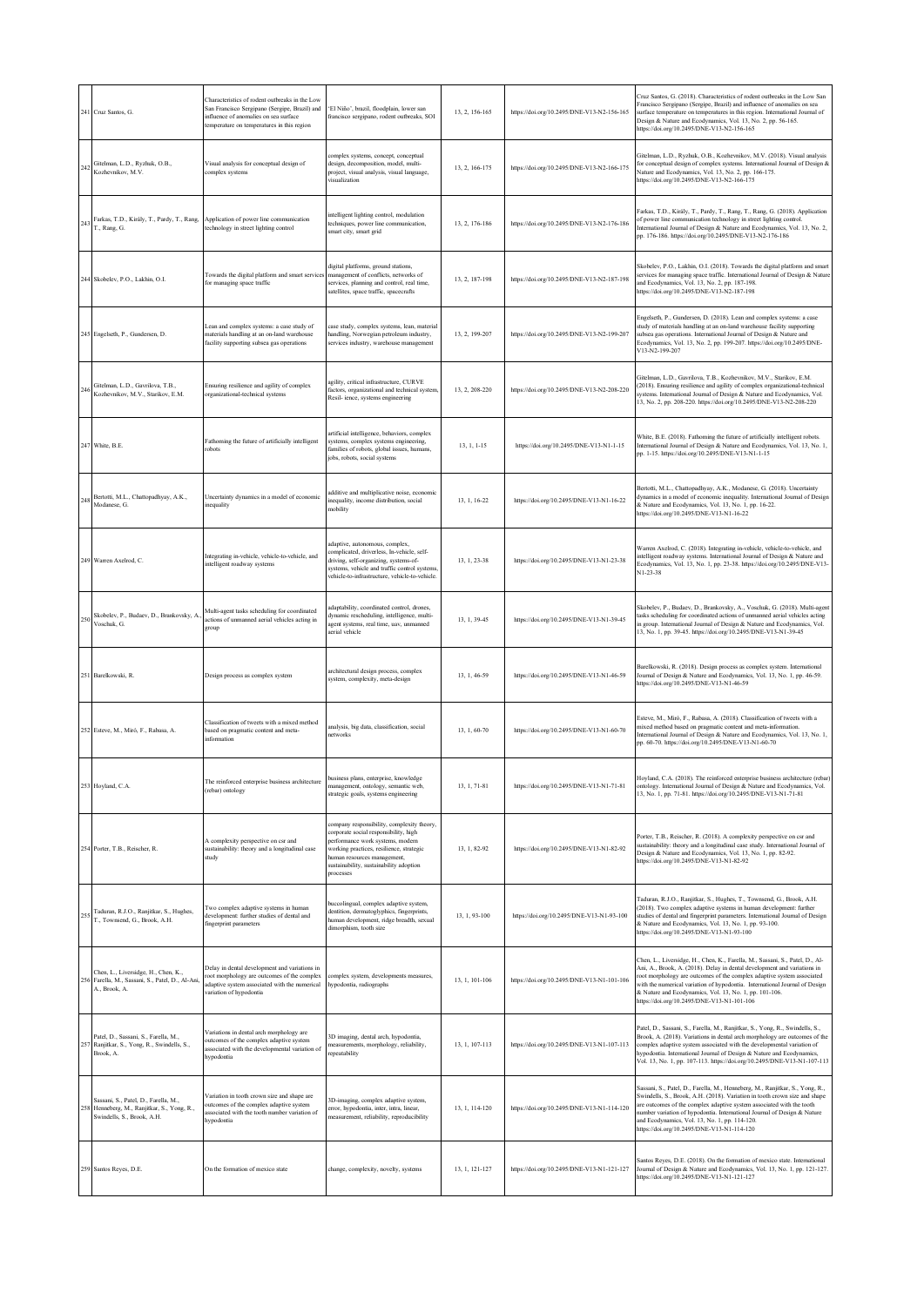|     | 241 Cruz Santos, G.                                                                                               | Characteristics of rodent outbreaks in the Low<br>San Francisco Sergipano (Sergipe, Brazil) and<br>nfluence of anomalies on sea surface<br>emperature on temperatures in this region | 'El Niño', brazil, floodplain, lower san<br>francisco sergipano, rodent outbreaks, SOI                                                                                                                                                                     | 13, 2, 156-165 | https://doi.org/10.2495/DNE-V13-N2-156-165 | Cruz Santos, G. (2018). Characteristics of rodent outbreaks in the Low San<br>Francisco Sergipano (Sergipe, Brazil) and influence of anomalies on sea<br>surface temperature on temperatures in this region. International Journal of<br>Design & Nature and Ecodynamics, Vol. 13, No. 2, pp. 56-165.<br>https://doi.org/10.2495/DNE-V13-N2-156-165                                                                       |
|-----|-------------------------------------------------------------------------------------------------------------------|--------------------------------------------------------------------------------------------------------------------------------------------------------------------------------------|------------------------------------------------------------------------------------------------------------------------------------------------------------------------------------------------------------------------------------------------------------|----------------|--------------------------------------------|---------------------------------------------------------------------------------------------------------------------------------------------------------------------------------------------------------------------------------------------------------------------------------------------------------------------------------------------------------------------------------------------------------------------------|
| 242 | Gitelman, L.D., Ryzhuk, O.B.,<br>Kozhevnikov, M.V.                                                                | Visual analysis for conceptual design of<br>omplex systems                                                                                                                           | complex systems, concept, conceptual<br>design, decomposition, model, multi-<br>project, visual analysis, visual language,<br>disualization                                                                                                                | 13, 2, 166-175 | https://doi.org/10.2495/DNE-V13-N2-166-175 | Gitelman, L.D., Ryzhuk, O.B., Kozhevnikov, M.V. (2018). Visual analysis<br>for conceptual design of complex systems. International Journal of Design &<br>Nature and Ecodynamics, Vol. 13, No. 2, pp. 166-175.<br>https://doi.org/10.2495/DNE-V13-N2-166-175                                                                                                                                                              |
| 243 | Farkas, T.D., Király, T., Pardy, T., Rang,<br>T., Rang, G.                                                        | Application of power line communication<br>echnology in street lighting control                                                                                                      | intelligent lighting control, modulation<br>techniques, power line communication,<br>smart city, smart grid                                                                                                                                                | 13, 2, 176-186 | https://doi.org/10.2495/DNE-V13-N2-176-186 | Farkas, T.D., Király, T., Pardy, T., Rang, T., Rang, G. (2018). Application<br>of power line communication technology in street lighting control.<br>International Journal of Design & Nature and Ecodynamics, Vol. 13, No. 2,<br>pp. 176-186. https://doi.org/10.2495/DNE-V13-N2-176-186                                                                                                                                 |
|     | 244 Skobelev, P.O., Lakhin, O.I.                                                                                  | Towards the digital platform and smart services<br>for managing space traffic                                                                                                        | digital platforms, ground stations,<br>management of conflicts, networks of<br>services, planning and control, real time,<br>satellites, space traffic, spacecrafts                                                                                        | 13, 2, 187-198 | https://doi.org/10.2495/DNE-V13-N2-187-198 | Skobelev, P.O., Lakhin, O.I. (2018). Towards the digital platform and smart<br>services for managing space traffic. International Journal of Design & Nature<br>and Ecodynamics, Vol. 13, No. 2, pp. 187-198.<br>https://doi.org/10.2495/DNE-V13-N2-187-198                                                                                                                                                               |
|     | 245 Engelseth, P., Gundersen, D.                                                                                  | Lean and complex systems: a case study of<br>materials handling at an on-land warehouse<br>facility supporting subsea gas operations                                                 | case study, complex systems, lean, material<br>handling, Norwegian petroleum industry,<br>services industry, warehouse management                                                                                                                          | 13, 2, 199-207 | https://doi.org/10.2495/DNE-V13-N2-199-207 | Engelseth, P., Gundersen, D. (2018). Lean and complex systems: a case<br>study of materials handling at an on-land warehouse facility supporting<br>subsea gas operations. International Journal of Design & Nature and<br>Ecodynamics, Vol. 13, No. 2, pp. 199-207. https://doi.org/10.2495/DNE-<br>V13-N2-199-207                                                                                                       |
| 246 | Gitelman L.D. Gavrilova, T.B.<br>Kozhevnikov, M.V., Starikov, E.M.                                                | Ensuring resilience and agility of complex<br>organizational-technical systems                                                                                                       | agility, critical infrastructure, CURVE<br>factors, organizational and technical system,<br>Resil- ience, systems engineering                                                                                                                              | 13. 2. 208-220 | https://doi.org/10.2495/DNE-V13-N2-208-220 | Gitelman, L.D., Gavrilova, T.B., Kozhevnikov, M.V., Starikov, E.M.<br>(2018). Ensuring resilience and agility of complex organizational-technical<br>systems. International Journal of Design & Nature and Ecodynamics, Vol.<br>13, No. 2, pp. 208-220. https://doi.org/10.2495/DNE-V13-N2-208-220                                                                                                                        |
|     | 247 White, B.E.                                                                                                   | Fathoming the future of artificially intelligent<br>robots                                                                                                                           | artificial intelligence, behaviors, complex<br>systems, complex systems engineering,<br>families of robots, global issues, humans,<br>jobs, robots, social systems                                                                                         | 13, 1, 1-15    | https://doi.org/10.2495/DNE-V13-N1-1-15    | White, B.E. (2018). Fathoming the future of artificially intelligent robots.<br>International Journal of Design & Nature and Ecodynamics, Vol. 13, No. 1,<br>pp. 1-15. https://doi.org/10.2495/DNE-V13-N1-1-15                                                                                                                                                                                                            |
|     | Bertotti, M.L., Chattopadhyay, A.K.,<br>Modanese, G.                                                              | Uncertainty dynamics in a model of economic<br>nequality                                                                                                                             | additive and multiplicative noise, economic<br>inequality, income distribution, social<br>mobility                                                                                                                                                         | 13.1.16-22     | https://doi.org/10.2495/DNE-V13-N1-16-22   | Bertotti, M.L., Chattopadhyay, A.K., Modanese, G. (2018). Uncertainty<br>dynamics in a model of economic inequality. International Journal of Design<br>& Nature and Ecodynamics, Vol. 13, No. 1, pp. 16-22.<br>https://doi.org/10.2495/DNE-V13-N1-16-22                                                                                                                                                                  |
|     | 249 Warren Axelrod, C.                                                                                            | Integrating in-vehicle, vehicle-to-vehicle, and<br>ntelligent roadway systems                                                                                                        | adaptive, autonomous, complex,<br>complicated, driverless, In-vehicle, self-<br>driving, self-organizing, systems-of-<br>systems, vehicle and traffic control systems<br>vehicle-to-infrastructure, vehicle-to-vehicle.                                    | 13, 1, 23-38   | https://doi.org/10.2495/DNE-V13-N1-23-38   | Warren Axelrod, C. (2018). Integrating in-vehicle, vehicle-to-vehicle, and<br>intelligent roadway systems. International Journal of Design & Nature and<br>Ecodynamics, Vol. 13, No. 1, pp. 23-38. https://doi.org/10.2495/DNE-V13-<br>N1-23-38                                                                                                                                                                           |
| 250 | Skobelev, P., Budaev, D., Brankovsky, A.<br>Voschuk, G.                                                           | Multi-agent tasks scheduling for coordinated<br>actions of unmanned aerial vehicles acting in<br>group                                                                               | adaptability, coordinated control, drones,<br>dynamic rescheduling, intelligence, multi-<br>agent systems, real time, uav, unmanned<br>aerial vehicle                                                                                                      | 13, 1, 39-45   | https://doi.org/10.2495/DNE-V13-N1-39-45   | Skobelev, P., Budaev, D., Brankovsky, A., Voschuk, G. (2018). Multi-agent<br>tasks scheduling for coordinated actions of unmanned aerial vehicles acting<br>in group. International Journal of Design & Nature and Ecodynamics, Vol.<br>13, No. 1, pp. 39-45. https://doi.org/10.2495/DNE-V13-N1-39-45                                                                                                                    |
|     | 251 Barelkowski, R.                                                                                               | Design process as complex system                                                                                                                                                     | architectural design process, complex<br>system, complexity, meta-design                                                                                                                                                                                   | 13, 1, 46-59   | https://doi.org/10.2495/DNE-V13-N1-46-59   | Barelkowski, R. (2018). Design process as complex system. International<br>Journal of Design & Nature and Ecodynamics, Vol. 13, No. 1, pp. 46-59.<br>https://doi.org/10.2495/DNE-V13-N1-46-59                                                                                                                                                                                                                             |
|     | 252 Esteve, M., Miró, F., Rabasa, A.                                                                              | Classification of tweets with a mixed method<br>pased on pragmatic content and meta-<br>nformation                                                                                   | analysis, big data, classification, social<br>networks                                                                                                                                                                                                     | 13, 1, 60-70   | https://doi.org/10.2495/DNE-V13-N1-60-70   | Esteve, M., Miró, F., Rabasa, A. (2018). Classification of tweets with a<br>mixed method based on pragmatic content and meta-information.<br>International Journal of Design & Nature and Ecodynamics, Vol. 13, No. 1,<br>pp. 60-70. https://doi.org/10.2495/DNE-V13-N1-60-70                                                                                                                                             |
|     | 253 Hoyland, C.A.                                                                                                 | The reinforced enterprise business architecture<br>(rebar) ontology                                                                                                                  | usiness plans, enterprise, knowledge<br>management, ontology, semantic web,<br>strategic goals, systems engineering                                                                                                                                        | 13, 1, 71-81   | https://doi.org/10.2495/DNE-V13-N1-71-81   | Toyland, C.A. (2018). The reinforced enterprise business are intecture (reba<br>ontology. International Journal of Design & Nature and Ecodynamics, Vol.<br>13, No. 1, pp. 71-81. https://doi.org/10.2495/DNE-V13-N1-71-81                                                                                                                                                                                                |
|     | 254 Porter, T.B., Reischer, R.                                                                                    | A complexity perspective on csr and<br>sustainability: theory and a longitudinal case<br>tudy                                                                                        | company responsibility, complexity theory,<br>corporate social responsibility, high<br>performance work systems, modern<br>working practices, resilience, strategic<br>human resources management,<br>sustainability, sustainability adoption<br>processes | 13, 1, 82-92   | https://doi.org/10.2495/DNE-V13-N1-82-92   | Porter, T.B., Reischer, R. (2018). A complexity perspective on csr and<br>sustainability: theory and a longitudinal case study. International Journal of<br>Design & Nature and Ecodynamics, Vol. 13, No. 1, pp. 82-92.<br>https://doi.org/10.2495/DNE-V13-N1-82-92                                                                                                                                                       |
|     | Taduran, R.J.O., Ranjitkar, S., Hughes,<br>T., Townsend, G., Brook, A.H.                                          | I'wo complex adaptive systems in human<br>development: further studies of dental and<br>fingerprint parameters                                                                       | buccolingual, complex adaptive system,<br>dentition, dermatoglyphics, fingerprints,<br>human development, ridge breadth, sexual<br>dimorphism, tooth size                                                                                                  | 13, 1, 93-100  | https://doi.org/10.2495/DNE-V13-N1-93-100  | Taduran, R.J.O., Ranjitkar, S., Hughes, T., Townsend, G., Brook, A.H.<br>(2018). Two complex adaptive systems in human development: further<br>studies of dental and fingerprint parameters. International Journal of Design<br>& Nature and Ecodynamics, Vol. 13, No. 1, pp. 93-100.<br>https://doi.org/10.2495/DNE-V13-N1-93-100                                                                                        |
|     | Chen, L., Liversidge, H., Chen, K.,<br>256 Farella, M., Sassani, S., Patel, D., Al-Ani,<br>A., Brook, A.          | Delay in dental development and variations in<br>root morphology are outcomes of the complex<br>adaptive system associated with the numerical<br>variation of hypodontia             | complex system, developments measures,<br>hypodontia, radiographs                                                                                                                                                                                          | 13, 1, 101-106 | https://doi.org/10.2495/DNE-V13-N1-101-106 | Chen, L., Liversidge, H., Chen, K., Farella, M., Sassani, S., Patel, D., Al-<br>Ani, A., Brook, A. (2018). Delay in dental development and variations in<br>root morphology are outcomes of the complex adaptive system associated<br>with the numerical variation of hypodontia. International Journal of Design<br>& Nature and Ecodynamics, Vol. 13, No. 1, pp. 101-106.<br>https://doi.org/10.2495/DNE-V13-N1-101-106 |
|     | Patel, D., Sassani, S., Farella, M.,<br>Ranjitkar, S., Yong, R., Swindells, S.,<br>Brook, A.                      | Variations in dental arch morphology are<br>outcomes of the complex adaptive system<br>associated with the developmental variation of<br>hypodontia                                  | 3D imaging, dental arch, hypodontia,<br>measurements, morphology, reliability,<br>epeatability                                                                                                                                                             | 13, 1, 107-113 | https://doi.org/10.2495/DNE-V13-N1-107-113 | Patel, D., Sassani, S., Farella, M., Ranjitkar, S., Yong, R., Swindells, S.,<br>Brook, A. (2018). Variations in dental arch morphology are outcomes of the<br>complex adaptive system associated with the developmental variation of<br>hypodontia. International Journal of Design & Nature and Ecodynamics,<br>Vol. 13, No. 1, pp. 107-113. https://doi.org/10.2495/DNE-V13-N1-107-113                                  |
|     | Sassani, S., Patel, D., Farella, M.,<br>258 Henneberg, M., Ranjitkar, S., Yong, R.,<br>Swindells, S., Brook, A.H. | Variation in tooth crown size and shape are<br>outcomes of the complex adaptive system<br>issociated with the tooth number variation of<br>hypodontia                                | 3D-imaging, complex adaptive system,<br>error, hypodontia, inter, intra, linear,<br>measurement, reliability, reproducibility                                                                                                                              | 13, 1, 114-120 | https://doi.org/10.2495/DNE-V13-N1-114-120 | Sassani, S., Patel, D., Farella, M., Henneberg, M., Ranjitkar, S., Yong, R.,<br>Swindells, S., Brook, A.H. (2018). Variation in tooth crown size and shape<br>are outcomes of the complex adaptive system associated with the tooth<br>number variation of hypodontia. International Journal of Design & Nature<br>and Ecodynamics, Vol. 13, No. 1, pp. 114-120.<br>https://doi.org/10.2495/DNE-V13-N1-114-120            |
|     | 259 Santos Reyes, D.E.                                                                                            | On the formation of mexico state                                                                                                                                                     | change, complexity, novelty, systems                                                                                                                                                                                                                       | 13, 1, 121-127 | https://doi.org/10.2495/DNE-V13-N1-121-127 | Santos Reyes, D.E. (2018). On the formation of mexico state. International<br>Journal of Design & Nature and Ecodynamics, Vol. 13, No. 1, pp. 121-127.<br>https://doi.org/10.2495/DNE-V13-N1-121-127                                                                                                                                                                                                                      |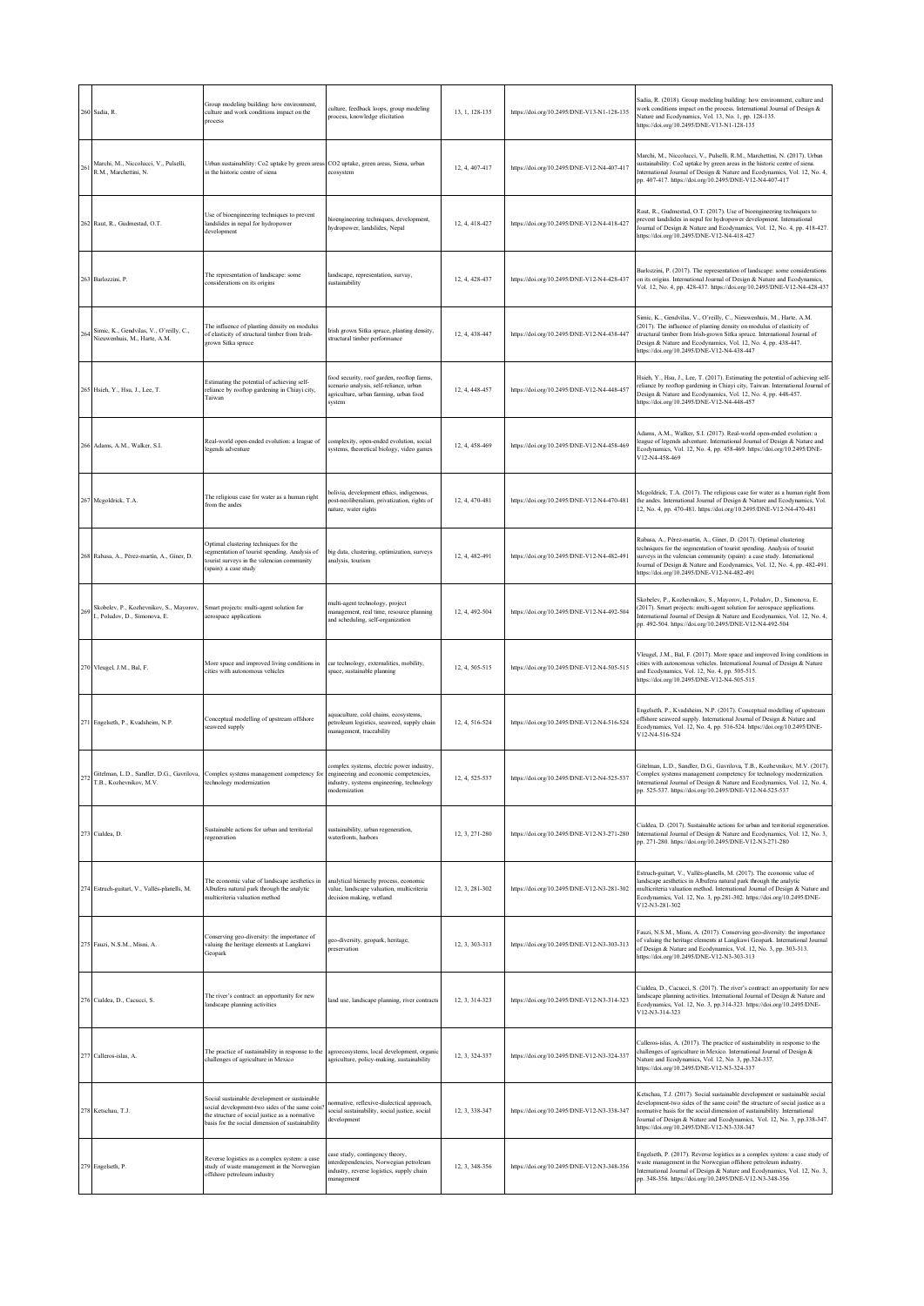|        | 260 Sadia, R.                                                            | Group modeling building: how environment,<br>culture and work conditions impact on the<br>process                                                                                                     | culture, feedback loops, group modeling<br>process, knowledge elicitation                                                                         | 13, 1, 128-135 | https://doi.org/10.2495/DNE-V13-N1-128-135 | Sadia, R. (2018). Group modeling building: how environment, culture and<br>work conditions impact on the process. International Journal of Design &<br>Nature and Ecodynamics, Vol. 13, No. 1, pp. 128-135.<br>https://doi.org/10.2495/DNE-V13-N1-128-135                                                                                                         |
|--------|--------------------------------------------------------------------------|-------------------------------------------------------------------------------------------------------------------------------------------------------------------------------------------------------|---------------------------------------------------------------------------------------------------------------------------------------------------|----------------|--------------------------------------------|-------------------------------------------------------------------------------------------------------------------------------------------------------------------------------------------------------------------------------------------------------------------------------------------------------------------------------------------------------------------|
|        | Marchi, M., Niccolucci, V., Pulselli,<br>R.M., Marchettini, N.           | Urban sustainability: Co2 uptake by green areas<br>in the historic centre of siena                                                                                                                    | CO2 uptake, green areas, Siena, urban<br>ecosystem                                                                                                | 12.4.407-417   | https://doi.org/10.2495/DNE-V12-N4-407-417 | Marchi, M., Niccolucci, V., Pulselli, R.M., Marchettini, N. (2017). Urban<br>sustainability: Co2 uptake by green areas in the historic centre of siena.<br>International Journal of Design & Nature and Ecodynamics, Vol. 12, No. 4,<br>pp. 407-417. https://doi.org/10.2495/DNE-V12-N4-407-417                                                                   |
|        | 262 Raut, R., Gudmestad, O.T.                                            | Use of bioengineering techniques to prevent<br>landslides in nepal for hydropower<br>development                                                                                                      | bioengineering techniques, development,<br>hydropower, landslides, Nepal                                                                          | 12, 4, 418-427 | https://doi.org/10.2495/DNE-V12-N4-418-427 | Raut, R., Gudmestad, O.T. (2017). Use of bioengineering techniques to<br>prevent landslides in nepal for hydropower development. International<br>lournal of Design & Nature and Ecodynamics, Vol. 12, No. 4, pp. 418-427.<br>https://doi.org/10.2495/DNE-V12-N4-418-427                                                                                          |
|        | 263 Barlozzini, P.                                                       | The representation of landscape: some<br>considerations on its origins                                                                                                                                | landscape, representation, survay,<br>sustainability                                                                                              | 12, 4, 428-437 | https://doi.org/10.2495/DNE-V12-N4-428-437 | Barlozzini, P. (2017). The representation of landscape: some considerations<br>on its origins. International Journal of Design & Nature and Ecodynamics,<br>Vol. 12, No. 4, pp. 428-437. https://doi.org/10.2495/DNE-V12-N4-428-437                                                                                                                               |
| $26 -$ | Simic, K., Gendvilas, V., O'reilly, C.,<br>Nieuwenhuis, M., Harte, A.M.  | The influence of planting density on modulus<br>of elasticity of structural timber from Irish-<br>grown Sitka spruce                                                                                  | Irish grown Sitka spruce, planting density,<br>structural timber performance                                                                      | 12, 4, 438-447 | https://doi.org/10.2495/DNE-V12-N4-438-447 | Simic, K., Gendvilas, V., O'reilly, C., Nieuwenhuis, M., Harte, A.M.<br>(2017). The influence of planting density on modulus of elasticity of<br>structural timber from Irish-grown Sitka spruce. International Journal of<br>Design & Nature and Ecodynamics, Vol. 12, No. 4, pp. 438-447.<br>https://doi.org/10.2495/DNE-V12-N4-438-447                         |
|        | 265 Hsieh, Y., Hsu, J., Lee, T.                                          | Estimating the potential of achieving self-<br>reliance by rooftop gardening in Chiayi city,<br>Taiwan                                                                                                | food security, roof garden, rooftop farms,<br>scenario analysis, self-reliance, urban<br>agriculture, urban farming, urban food<br>system         | 12, 4, 448-457 | https://doi.org/10.2495/DNE-V12-N4-448-457 | Hsieh, Y., Hsu, J., Lee, T. (2017). Estimating the potential of achieving self-<br>reliance by rooftop gardening in Chiayi city, Taiwan. International Journal of<br>Design & Nature and Ecodynamics, Vol. 12, No. 4, pp. 448-457.<br>https://doi.org/10.2495/DNE-V12-N4-448-457                                                                                  |
|        | Adams, A.M., Walker, S.I.                                                | Real-world open-ended evolution: a league of<br>legends adventure                                                                                                                                     | complexity, open-ended evolution, social<br>systems, theoretical biology, video games                                                             | 12, 4, 458-469 | https://doi.org/10.2495/DNE-V12-N4-458-469 | Adams, A.M., Walker, S.I. (2017). Real-world open-ended evolution: a<br>league of legends adventure. International Journal of Design & Nature and<br>Ecodynamics, Vol. 12, No. 4, pp. 458-469. https://doi.org/10.2495/DNE-<br>V12-N4-458-469                                                                                                                     |
|        | 267 Mcgoldrick, T.A.                                                     | The religious case for water as a human right<br>from the andes                                                                                                                                       | bolivia, development ethics, indigenous,<br>post-neoliberalism, privatization, rights of<br>nature, water rights                                  | 12, 4, 470-481 | https://doi.org/10.2495/DNE-V12-N4-470-481 | Mcgoldrick, T.A. (2017). The religious case for water as a human right from<br>the andes. International Journal of Design & Nature and Ecodynamics, Vol.<br>12, No. 4, pp. 470-481. https://doi.org/10.2495/DNE-V12-N4-470-481                                                                                                                                    |
|        | 268 Rabasa, A., Pérez-martín, A., Giner, D.                              | Optimal clustering techniques for the<br>segmentation of tourist spending. Analysis of<br>tourist surveys in the valencian community<br>spain): a case study                                          | big data, clustering, optimization, surveys<br>analysis, tourism                                                                                  | 12, 4, 482-491 | https://doi.org/10.2495/DNE-V12-N4-482-491 | Rabasa, A., Pérez-martín, A., Giner, D. (2017). Optimal clustering<br>techniques for the segmentation of tourist spending. Analysis of tourist<br>surveys in the valencian community (spain): a case study. International<br>Journal of Design & Nature and Ecodynamics, Vol. 12, No. 4, pp. 482-491.<br>https://doi.org/10.2495/DNE-V12-N4-482-491               |
| 269    | Skobelev, P., Kozhevnikov, S., Mayorov,<br>I., Poludov, D., Simonova, E. | Smart projects: multi-agent solution for<br>aerospace applications                                                                                                                                    | multi-agent technology, project<br>management, real time, resource planning<br>and scheduling, self-organization                                  | 12, 4, 492-504 | https://doi.org/10.2495/DNE-V12-N4-492-504 | Skobelev, P., Kozhevnikov, S., Mayorov, I., Poludov, D., Simonova, E.<br>(2017). Smart projects: multi-agent solution for aerospace applications.<br>International Journal of Design & Nature and Ecodynamics, Vol. 12, No. 4,<br>pp. 492-504. https://doi.org/10.2495/DNE-V12-N4-492-504                                                                         |
|        | 270 Vleugel, J.M., Bal, F.                                               | More space and improved living conditions in<br>cities with autonomous vehicles                                                                                                                       | car technology, externalities, mobility,<br>space, sustainable planning                                                                           | 12, 4, 505-515 | https://doi.org/10.2495/DNE-V12-N4-505-515 | Vleugel, J.M., Bal, F. (2017). More space and improved living conditions in<br>cities with autonomous vehicles. International Journal of Design & Nature<br>and Ecodynamics, Vol. 12, No. 4, pp. 505-515.<br>https://doi.org/10.2495/DNE-V12-N4-505-515                                                                                                           |
|        | 271 Engelseth, P., Kvadsheim, N.P.                                       | Conceptual modelling of upstream offshore<br>seaweed supply                                                                                                                                           | aquaculture, cold chains, ecosystems,<br>petroleum logistics, seaweed, supply chain<br>management, traceability                                   | 12, 4, 516-524 | https://doi.org/10.2495/DNE-V12-N4-516-524 | Engelseth, P., Kvadsheim, N.P. (2017). Conceptual modelling of upstream<br>offshore seaweed supply. International Journal of Design & Nature and<br>Ecodynamics, Vol. 12, No. 4, pp. 516-524. https://doi.org/10.2495/DNE-<br>V12-N4-516-524                                                                                                                      |
|        | T.B., Kozhevnikov, M.V                                                   | Gitelman, L.D., Sandler, D.G., Gavrilova, Complex systems management competency for<br>echnology modernization                                                                                        | complex systems, electric power industry,<br>engineering and economic competencies.<br>industry, systems engineering, technology<br>modernization | 12, 4, 525-537 | https://doi.org/10.2495/DNE-V12-N4-525-537 | Gitelman, L.D., Sandler, D.G., Gavrilova, T.B., Kozhevnikov, M.V. (2017).<br>Complex systems management competency for technology modernization.<br>International Journal of Design & Nature and Ecodynamics, Vol. 12, No. 4<br>pp. 525-537. https://doi.org/10.2495/DNE-V12-N4-525-537                                                                           |
|        | 273 Cialdea, D.                                                          | Sustainable actions for urban and territorial<br>regeneration                                                                                                                                         | sustainability, urban regeneration,<br>waterfronts, harbors                                                                                       | 12, 3, 271-280 | https://doi.org/10.2495/DNE-V12-N3-271-280 | Cialdea, D. (2017). Sustainable actions for urban and territorial regeneration.<br>International Journal of Design & Nature and Ecodynamics, Vol. 12, No. 3,<br>pp. 271-280. https://doi.org/10.2495/DNE-V12-N3-271-280                                                                                                                                           |
|        | 274 Estruch-guitart, V., Vallés-planells, M.                             | The economic value of landscape aesthetics in<br>Albufera natural park through the analytic<br>multicriteria valuation method                                                                         | analytical hierarchy process, economic<br>value, landscape valuation, multicriteria<br>decision making, wetland                                   | 12, 3, 281-302 | https://doi.org/10.2495/DNE-V12-N3-281-302 | Estruch-guitart, V., Vallés-planells, M. (2017). The economic value of<br>landscape aesthetics in Albufera natural park through the analytic<br>multicriteria valuation method. International Journal of Design & Nature and<br>Ecodynamics, Vol. 12, No. 3, pp.281-302. https://doi.org/10.2495/DNE-<br>V12-N3-281-302                                           |
|        | 275 Fauzi, N.S.M., Misni, A.                                             | Conserving geo-diversity: the importance of<br>valuing the heritage elements at Langkawi<br>Geopark                                                                                                   | geo-diversity, geopark, heritage,<br>preservation                                                                                                 | 12, 3, 303-313 | https://doi.org/10.2495/DNE-V12-N3-303-313 | Fauzi, N.S.M., Misni, A. (2017). Conserving geo-diversity: the importance<br>of valuing the heritage elements at Langkawi Geopark. International Journal<br>of Design & Nature and Ecodynamics, Vol. 12, No. 3, pp. 303-313.<br>https://doi.org/10.2495/DNE-V12-N3-303-313                                                                                        |
|        | 276 Cialdea, D., Cacucci, S.                                             | The river's contract: an opportunity for new<br>landscape planning activities                                                                                                                         | land use, landscape planning, river contracts                                                                                                     | 12. 3. 314-323 | https://doi.org/10.2495/DNE-V12-N3-314-323 | Cialdea, D., Cacucci, S. (2017). The river's contract: an opportunity for new<br>landscape planning activities. International Journal of Design & Nature and<br>Ecodynamics, Vol. 12, No. 3, pp.314-323. https://doi.org/10.2495/DNE-<br>V12-N3-314-323                                                                                                           |
|        | 277 Calleros-islas, A.                                                   | The practice of sustainability in response to the<br>challenges of agriculture in Mexico                                                                                                              | agroecosystems, local development, organic<br>agriculture, policy-making, sustainability                                                          | 12, 3, 324-337 | https://doi.org/10.2495/DNE-V12-N3-324-337 | Calleros-islas, A. (2017). The practice of sustainability in response to the<br>challenges of agriculture in Mexico. International Journal of Design &<br>Nature and Ecodynamics, Vol. 12, No. 3, pp.324-337.<br>https://doi.org/10.2495/DNE-V12-N3-324-337                                                                                                       |
|        | 278 Ketschau, T.J.                                                       | Social sustainable development or sustainable<br>social development-two sides of the same coin'<br>the structure of social justice as a normative<br>basis for the social dimension of sustainability | normative, reflexive-dialectical approach,<br>social sustainability, social justice, social<br>development                                        | 12, 3, 338-347 | https://doi.org/10.2495/DNE-V12-N3-338-347 | Ketschau, T.J. (2017). Social sustainable development or sustainable social<br>development-two sides of the same coin? the structure of social justice as a<br>normative basis for the social dimension of sustainability. International<br>Journal of Design & Nature and Ecodynamics, Vol. 12, No. 3, pp.338-347.<br>https://doi.org/10.2495/DNE-V12-N3-338-347 |
|        | 279 Engelseth, P.                                                        | Reverse logistics as a complex system: a case<br>study of waste management in the Norwegian<br>offshore petroleum industry                                                                            | case study, contingency theory,<br>interdependencies, Norwegian petroleum<br>industry, reverse logistics, supply chain<br>nanagement              | 12, 3, 348-356 | https://doi.org/10.2495/DNE-V12-N3-348-356 | Engelseth, P. (2017). Reverse logistics as a complex system: a case study of<br>waste management in the Norwegian offshore petroleum industry.<br>International Journal of Design & Nature and Ecodynamics, Vol. 12, No. 3,<br>pp. 348-356. https://doi.org/10.2495/DNE-V12-N3-348-356                                                                            |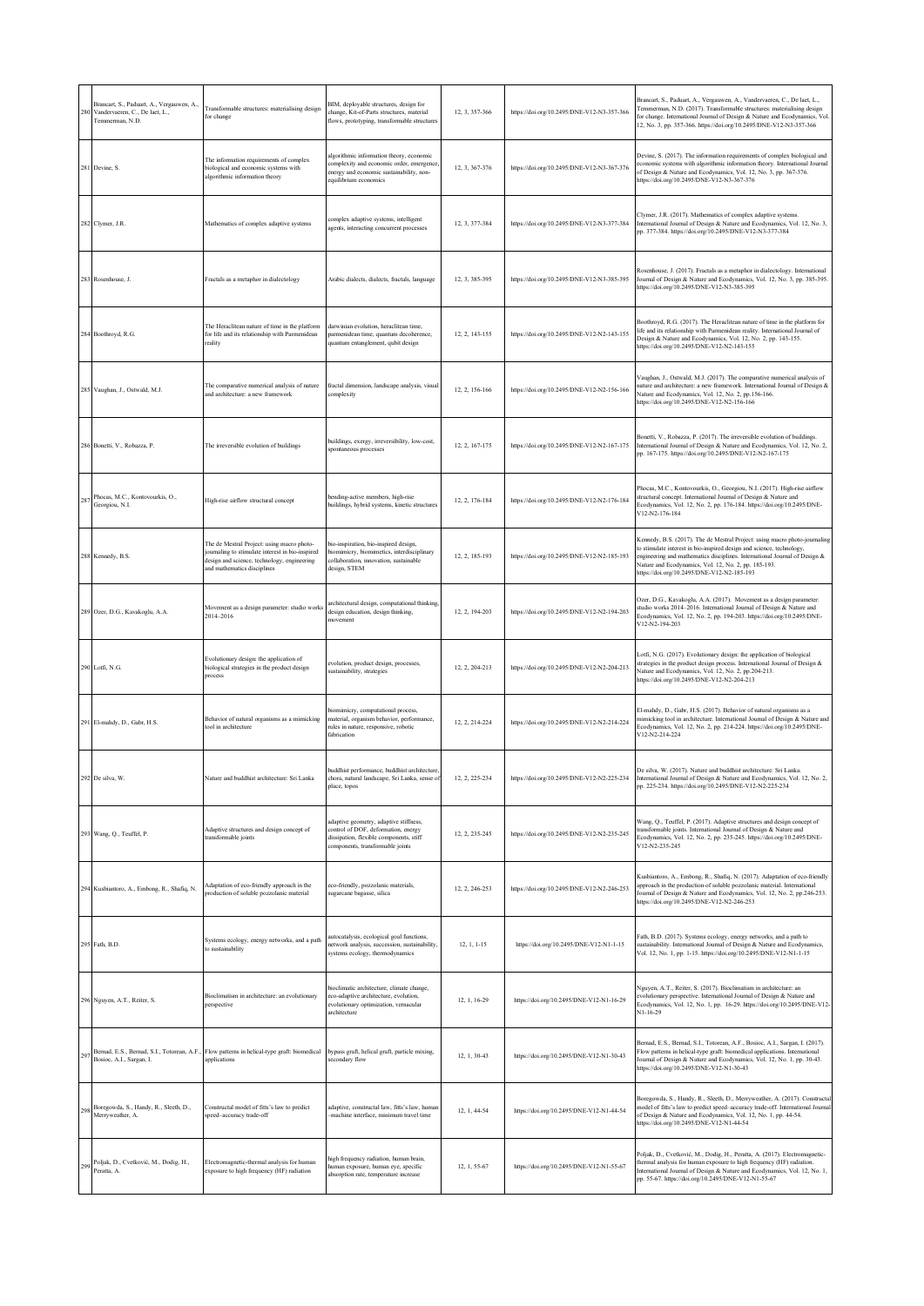| 280 | Brancart, S., Paduart, A., Vergauwen, A.,<br>Vandervaeren, C., De laet, L.,<br>Temmerman, N.D. | Transformable structures: materialising design<br>for change                                                                                                                 | BIM, deployable structures, design for<br>change, Kit-of-Parts structures, material<br>flows, prototyping, transformable structures                          | 12, 3, 357-366  | https://doi.org/10.2495/DNE-V12-N3-357-366 | Brancart, S., Paduart, A., Vergauwen, A., Vandervaeren, C., De laet, L.,<br>Femmerman, N.D. (2017). Transformable structures: materialising design<br>for change. International Journal of Design & Nature and Ecodynamics, Vol.<br>12, No. 3, pp. 357-366. https://doi.org/10.2495/DNE-V12-N3-357-366                                 |
|-----|------------------------------------------------------------------------------------------------|------------------------------------------------------------------------------------------------------------------------------------------------------------------------------|--------------------------------------------------------------------------------------------------------------------------------------------------------------|-----------------|--------------------------------------------|----------------------------------------------------------------------------------------------------------------------------------------------------------------------------------------------------------------------------------------------------------------------------------------------------------------------------------------|
|     | 281 Devine, S.                                                                                 | The information requirements of complex<br>biological and economic systems with<br>algorithmic information theory                                                            | algorithmic information theory, economic<br>omplexity and economic order, emergence<br>energy and economic sustainability, non-<br>equilibrium economics     | 12, 3, 367-376  | https://doi.org/10.2495/DNE-V12-N3-367-376 | Devine, S. (2017). The information requirements of complex biological and<br>conomic systems with algorithmic information theory. International Journal<br>of Design & Nature and Ecodynamics, Vol. 12, No. 3, pp. 367-376.<br>https://doi.org/10.2495/DNE-V12-N3-367-376                                                              |
|     | 282 Clymer, J.R.                                                                               | Mathematics of complex adaptive systems                                                                                                                                      | complex adaptive systems, intelligent<br>agents, interacting concurrent processes                                                                            | 12, 3, 377-384  | https://doi.org/10.2495/DNE-V12-N3-377-384 | Clymer, J.R. (2017). Mathematics of complex adaptive systems.<br>nternational Journal of Design & Nature and Ecodynamics, Vol. 12, No. 3,<br>pp. 377-384. https://doi.org/10.2495/DNE-V12-N3-377-384                                                                                                                                   |
|     | 283 Rosenhouse, J.                                                                             | Fractals as a metaphor in dialectology                                                                                                                                       | Arabic dialects, dialects, fractals, language                                                                                                                | 12, 3, 385-395  | https://doi.org/10.2495/DNE-V12-N3-385-395 | Rosenhouse, J. (2017). Fractals as a metaphor in dialectology. International<br>Journal of Design & Nature and Ecodynamics, Vol. 12, No. 3, pp. 385-395.<br>https://doi.org/10.2495/DNE-V12-N3-385-395                                                                                                                                 |
| 284 | Boothroyd, R.G.                                                                                | The Heraclitean nature of time in the platform<br>for life and its relationship with Parmenidean<br>reality                                                                  | darwinian evolution, heraclitean time,<br>parmenidean time, quantum decoherence,<br>quantum entanglement, qubit design                                       | 12, 2, 143-155  | https://doi.org/10.2495/DNE-V12-N2-143-155 | Boothroyd, R.G. (2017). The Heraclitean nature of time in the platform for<br>life and its relationship with Parmenidean reality. International Journal of<br>Design & Nature and Ecodynamics, Vol. 12, No. 2, pp. 143-155.<br>https://doi.org/10.2495/DNE-V12-N2-143-155                                                              |
|     | 285 Vaughan, J., Ostwald, M.J.                                                                 | The comparative numerical analysis of nature<br>and architecture: a new framework                                                                                            | fractal dimension, landscape analysis, visual<br>complexity                                                                                                  | 12, 2, 156-166  | https://doi.org/10.2495/DNE-V12-N2-156-166 | Vaughan, J., Ostwald, M.J. (2017). The comparative numerical analysis of<br>ature and architecture: a new framework. International Journal of Design &<br>Nature and Ecodynamics, Vol. 12, No. 2, pp.156-166.<br>https://doi.org/10.2495/DNE-V12-N2-156-166                                                                            |
| 286 | Bonetti, V., Robazza, P.                                                                       | The irreversible evolution of buildings                                                                                                                                      | buildings, exergy, irreversibility, low-cost,<br>spontaneous processes                                                                                       | 12.2.167-175    | https://doi.org/10.2495/DNE-V12-N2-167-175 | Bonetti, V., Robazza, P. (2017). The irreversible evolution of buildings.<br>International Journal of Design & Nature and Ecodynamics, Vol. 12, No. 2,<br>pp. 167-175. https://doi.org/10.2495/DNE-V12-N2-167-175                                                                                                                      |
| 28  | Phocas, M.C., Kontovourkis, O.,<br>Georgiou, N.I.                                              | High-rise airflow structural concept                                                                                                                                         | bending-active members, high-rise<br>buildings, hybrid systems, kinetic structures                                                                           | 12.2.176-184    | https://doi.org/10.2495/DNE-V12-N2-176-184 | Phocas, M.C., Kontovourkis, O., Georgiou, N.I. (2017). High-rise airflow<br>structural concept. International Journal of Design & Nature and<br>Ecodynamics, Vol. 12, No. 2, pp. 176-184. https://doi.org/10.2495/DNE-<br>V12-N2-176-184                                                                                               |
|     | 288 Kennedy, B.S.                                                                              | The de Mestral Project: using macro photo-<br>journaling to stimulate interest in bio-inspired<br>design and science, technology, engineering<br>and mathematics disciplines | bio-inspiration, bio-inspired design,<br>biomimicry, biomimetics, interdisciplinary<br>collaboration, innovation, sustainable<br>design, STEM                | 12, 2, 185-193  | https://doi.org/10.2495/DNE-V12-N2-185-193 | Kennedy, B.S. (2017). The de Mestral Project: using macro photo-journaling<br>o stimulate interest in bio-inspired design and science, technology,<br>engineering and mathematics disciplines. International Journal of Design &<br>Vature and Ecodynamics, Vol. 12, No. 2, pp. 185-193.<br>https://doi.org/10.2495/DNE-V12-N2-185-193 |
|     | 289 Ozer, D.G., Kavakoglu, A.A.                                                                | Movement as a design parameter: studio works<br>2014-2016                                                                                                                    | architectural design, computational thinking.<br>design education, design thinking,<br>novement                                                              | 12, 2, 194-203  | https://doi.org/10.2495/DNE-V12-N2-194-203 | Ozer, D.G., Kavakoglu, A.A. (2017). Movement as a design parameter:<br>studio works 2014-2016. International Journal of Design & Nature and<br>Ecodynamics, Vol. 12, No. 2, pp. 194-203. https://doi.org/10.2495/DNE-<br>V12-N2-194-203                                                                                                |
|     | 290 Lotfi, N.G.                                                                                | Evolutionary design: the application of<br>biological strategies in the product design<br>process                                                                            | evolution, product design, processes,<br>sustainability, strategies                                                                                          | 12, 2, 204-213  | https://doi.org/10.2495/DNE-V12-N2-204-213 | Lotfi, N.G. (2017). Evolutionary design: the application of biological<br>strategies in the product design process. International Journal of Design &<br>Nature and Ecodynamics, Vol. 12, No. 2, pp.204-213.<br>https://doi.org/10.2495/DNE-V12-N2-204-213                                                                             |
|     | 291 El-mahdy, D., Gabr, H.S.                                                                   | Behavior of natural organisms as a mimicking<br>ool in architecture                                                                                                          | biomimicry, computational process,<br>material, organism behavior, performance,<br>rules in nature, responsive, robotic<br>fabrication                       | 12, 2, 214-224  | https://doi.org/10.2495/DNE-V12-N2-214-224 | El-mahdy, D., Gabr, H.S. (2017). Behavior of natural organisms as a<br>nimicking tool in architecture. International Journal of Design & Nature and<br>Ecodynamics, Vol. 12, No. 2, pp. 214-224. https://doi.org/10.2495/DNE-<br>V12-N2-214-224                                                                                        |
|     |                                                                                                | Sri I anka                                                                                                                                                                   | buddhist performance, buddhist architecture,<br>ural landscane. Sri I anka, sense.<br>place, topos                                                           | 12, 2, 225, 224 |                                            | De silva, W. (2017). Nature and buddhist architecture: Sri Lanka.<br>tional Journal of Design & Nature and Ecodynamics, Vol. 12, No<br>pp. 225-234. https://doi.org/10.2495/DNE-V12-N2-225-234                                                                                                                                         |
|     | 293 Wang, Q., Teuffel, P.                                                                      | Adaptive structures and design concept of<br>transformable joints                                                                                                            | adaptive geometry, adaptive stiffness,<br>control of DOF, deformation, energy<br>dissipation, flexible components, stiff<br>components, transformable joints | 12, 2, 235-245  | https://doi.org/10.2495/DNE-V12-N2-235-245 | Wang, Q., Teuffel, P. (2017). Adaptive structures and design concept of<br>ransformable joints. International Journal of Design & Nature and<br>Ecodynamics, Vol. 12, No. 2, pp. 235-245. https://doi.org/10.2495/DNE-<br>V12-N2-235-245                                                                                               |
|     | 294 Kusbiantoro, A., Embong, R., Shafiq, N.                                                    | Adaptation of eco-friendly approach in the<br>production of soluble pozzolanic material                                                                                      | eco-friendly, pozzolanic materials,<br>sugarcane bagasse, silica                                                                                             | 12. 2. 246-253  | https://doi.org/10.2495/DNE-V12-N2-246-253 | Kusbiantoro, A., Embong, R., Shafiq, N. (2017). Adaptation of eco-friendly<br>approach in the production of soluble pozzolanic material. International<br>lournal of Design & Nature and Ecodynamics, Vol. 12, No. 2, pp.246-253.<br>https://doi.org/10.2495/DNE-V12-N2-246-253                                                        |
|     | 295 Fath, B.D.                                                                                 | Systems ecology, energy networks, and a path<br>to sustainability                                                                                                            | utocatalysis, ecological goal functions,<br>network analysis, succession, sustainability,<br>systems ecology, thermodynamics                                 | $12.1.1 - 15$   | https://doi.org/10.2495/DNE-V12-N1-1-15    | Fath, B.D. (2017). Systems ecology, energy networks, and a path to<br>sustainability. International Journal of Design & Nature and Ecodynamics,<br>Vol. 12, No. 1, pp. 1-15. https://doi.org/10.2495/DNE-V12-N1-1-15                                                                                                                   |
|     | 296 Nguyen, A.T., Reiter, S.                                                                   | Bioclimatism in architecture: an evolutionary<br>perspective                                                                                                                 | bioclimatic architecture, climate change,<br>eco-adaptive architecture, evolution.<br>evolutionary optimization, vernacular<br>architecture                  | 12, 1, 16-29    | https://doi.org/10.2495/DNE-V12-N1-16-29   | Nguyen, A.T., Reiter, S. (2017). Bioclimatism in architecture: an<br>volutionary perspective. International Journal of Design & Nature and<br>Ecodynamics, Vol. 12, No. 1, pp. 16-29. https://doi.org/10.2495/DNE-V12-<br>$N1 - 16 - 29$                                                                                               |
| 297 | Bosioc, A.I., Sargan, I.                                                                       | Bernad, E.S., Bernad, S.I., Totorean, A.F., Flow patterns in helical-type graft: biomedical<br>applications                                                                  | bypass graft, helical graft, particle mixing,<br>secondary flow                                                                                              | 12, 1, 30-43    | https://doi.org/10.2495/DNE-V12-N1-30-43   | Bernad, E.S., Bernad, S.I., Totorean, A.F., Bosioc, A.I., Sargan, I. (2017).<br>Flow patterns in helical-type graft: biomedical applications. International<br>Journal of Design & Nature and Ecodynamics, Vol. 12, No. 1, pp. 30-43.<br>https://doi.org/10.2495/DNE-V12-N1-30-43                                                      |
| 298 | Boregowda, S., Handy, R., Sleeth, D.,<br>Merryweather, A.                                      | Constructal model of fitts's law to predict<br>speed-accuracy trade-off                                                                                                      | adaptive, constructal law, fitts's law, human<br>-machine interface, minimum travel time                                                                     | 12, 1, 44-54    | https://doi.org/10.2495/DNE-V12-N1-44-54   | Boregowda, S., Handy, R., Sleeth, D., Merryweather, A. (2017). Constructal<br>nodel of fitts's law to predict speed-accuracy trade-off. International Journal<br>of Design & Nature and Ecodynamics, Vol. 12, No. 1, pp. 44-54.<br>https://doi.org/10.2495/DNE-V12-N1-44-54                                                            |
| 299 | Poljak, D., Cvetković, M., Dodig, H.,<br>Peratta, A.                                           | Electromagnetic-thermal analysis for human<br>exposure to high frequency (HF) radiation                                                                                      | high frequency radiation, human brain,<br>human exposure, human eye, specific<br>absorption rate, temperature increase                                       | 12, 1, 55-67    | https://doi.org/10.2495/DNE-V12-N1-55-67   | Poljak, D., Cvetković, M., Dodig, H., Peratta, A. (2017). Electromagnetic-<br>thermal analysis for human exposure to high frequency (HF) radiation.<br>International Journal of Design & Nature and Ecodynamics, Vol. 12, No. 1,<br>pp. 55-67. https://doi.org/10.2495/DNE-V12-N1-55-67                                                |